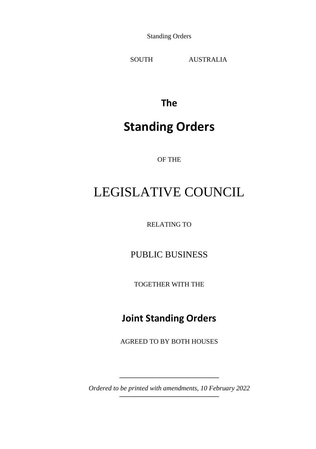Standing Orders

SOUTH AUSTRALIA

**The**

## **Standing Orders**

OF THE

# LEGISLATIVE COUNCIL

RELATING TO

PUBLIC BUSINESS

TOGETHER WITH THE

## **Joint Standing Orders**

AGREED TO BY BOTH HOUSES

\_\_\_\_\_\_\_\_\_\_\_\_\_\_\_\_\_\_\_\_\_\_ *Ordered to be printed with amendments, 10 February 2022*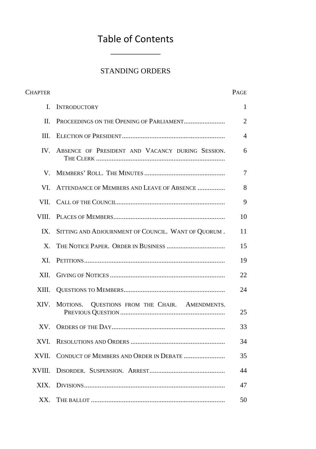## Table of Contents \_\_\_\_\_\_\_\_\_\_\_

## STANDING ORDERS

| <b>CHAPTER</b>   |                                                     | PAGE           |
|------------------|-----------------------------------------------------|----------------|
| L.               | <b>INTRODUCTORY</b>                                 | 1              |
| II.              | PROCEEDINGS ON THE OPENING OF PARLIAMENT            | 2              |
| III.             |                                                     | $\overline{4}$ |
| $IV_{-}$         | ABSENCE OF PRESIDENT AND VACANCY DURING SESSION.    | 6              |
| V.               |                                                     | 7              |
| VI.              | ATTENDANCE OF MEMBERS AND LEAVE OF ABSENCE          | 8              |
| VII.             |                                                     | 9              |
| VIII.            |                                                     | 10             |
| IX.              | SITTING AND ADJOURNMENT OF COUNCIL. WANT OF QUORUM. | 11             |
| $\mathbf{X}_{-}$ |                                                     | 15             |
| XI.              |                                                     | 19             |
| XII.             |                                                     | 22             |
| XIII.            |                                                     | 24             |
| XIV.             | MOTIONS.<br>QUESTIONS FROM THE CHAIR. AMENDMENTS.   | 25             |
| XV.              |                                                     | 33             |
| XVI.             |                                                     | 34             |
| XVII.            | CONDUCT OF MEMBERS AND ORDER IN DEBATE              | 35             |
| XVIII.           |                                                     | 44             |
| XIX.             |                                                     | 47             |
| XX.              |                                                     | 50             |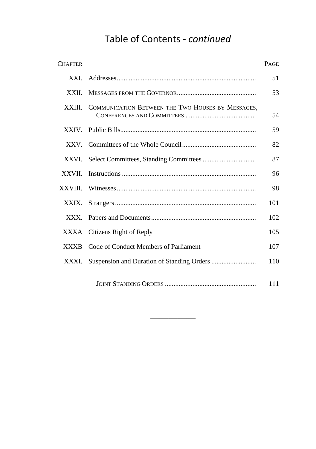## Table of Contents - *continued*

| <b>CHAPTER</b> |                                                   | PAGE |
|----------------|---------------------------------------------------|------|
| XXI.           |                                                   | 51   |
| XXII.          |                                                   | 53   |
| XXIII.         | COMMUNICATION BETWEEN THE TWO HOUSES BY MESSAGES. | 54   |
|                |                                                   | 59   |
|                |                                                   | 82   |
| XXVI.          |                                                   | 87   |
| XXVII.         |                                                   | 96   |
| XXVIII.        |                                                   | 98   |
| XXIX.          |                                                   | 101  |
| XXX.           |                                                   | 102  |
|                | XXXA Citizens Right of Reply                      | 105  |
| <b>XXXB</b>    | Code of Conduct Members of Parliament             | 107  |
| XXXI.          |                                                   | 110  |
|                |                                                   | 111  |

 $\overline{\phantom{a}}$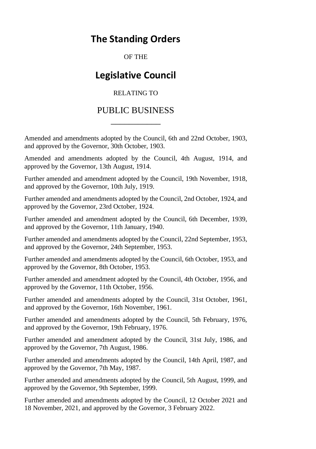## **The Standing Orders**

OF THE

## **Legislative Council**

## RELATING TO

## PUBLIC BUSINESS \_\_\_\_\_\_\_\_\_\_\_

Amended and amendments adopted by the Council, 6th and 22nd October, 1903, and approved by the Governor, 30th October, 1903.

Amended and amendments adopted by the Council, 4th August, 1914, and approved by the Governor, 13th August, 1914.

Further amended and amendment adopted by the Council, 19th November, 1918, and approved by the Governor, 10th July, 1919.

Further amended and amendments adopted by the Council, 2nd October, 1924, and approved by the Governor, 23rd October, 1924.

Further amended and amendment adopted by the Council, 6th December, 1939, and approved by the Governor, 11th January, 1940.

Further amended and amendments adopted by the Council, 22nd September, 1953, and approved by the Governor, 24th September, 1953.

Further amended and amendments adopted by the Council, 6th October, 1953, and approved by the Governor, 8th October, 1953.

Further amended and amendment adopted by the Council, 4th October, 1956, and approved by the Governor, 11th October, 1956.

Further amended and amendments adopted by the Council, 31st October, 1961, and approved by the Governor, 16th November, 1961.

Further amended and amendments adopted by the Council, 5th February, 1976, and approved by the Governor, 19th February, 1976.

Further amended and amendment adopted by the Council, 31st July, 1986, and approved by the Governor, 7th August, 1986.

Further amended and amendments adopted by the Council, 14th April, 1987, and approved by the Governor, 7th May, 1987.

Further amended and amendments adopted by the Council, 5th August, 1999, and approved by the Governor, 9th September, 1999.

Further amended and amendments adopted by the Council, 12 October 2021 and 18 November, 2021, and approved by the Governor, 3 February 2022.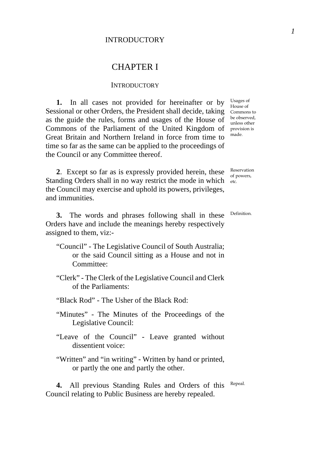## CHAPTER I

#### **INTRODUCTORY**

**1.** In all cases not provided for hereinafter or by Sessional or other Orders, the President shall decide, taking Commons to as the guide the rules, forms and usages of the House of Commons of the Parliament of the United Kingdom of provision is Great Britain and Northern Ireland in force from time to time so far as the same can be applied to the proceedings of the Council or any Committee thereof.

Usages of House of be observed, unless other made.

**2**. Except so far as is expressly provided herein, these Standing Orders shall in no way restrict the mode in which etc. the Council may exercise and uphold its powers, privileges, and immunities.

**3.** The words and phrases following shall in these Orders have and include the meanings hereby respectively assigned to them, viz:-

- "Council" The Legislative Council of South Australia; or the said Council sitting as a House and not in Committee:
- "Clerk" The Clerk of the Legislative Council and Clerk of the Parliaments:
- "Black Rod" The Usher of the Black Rod:
- "Minutes" The Minutes of the Proceedings of the Legislative Council:
- "Leave of the Council" Leave granted without dissentient voice:
- "Written" and "in writing" Written by hand or printed, or partly the one and partly the other.

**4.** All previous Standing Rules and Orders of this Council relating to Public Business are hereby repealed. Repeal.

Definition.

Reservation of powers,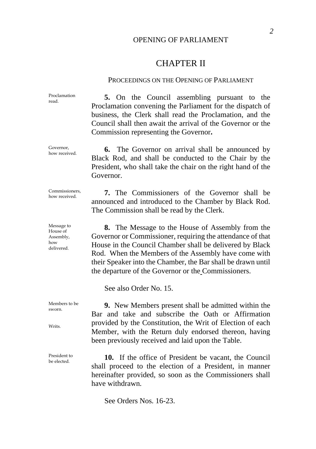## OPENING OF PARLIAMENT

## CHAPTER II

### PROCEEDINGS ON THE OPENING OF PARLIAMENT

Proclamation Proclamation 5. On the Council assembling pursuant to the Proclamation convening the Parliament for the dispatch of business, the Clerk shall read the Proclamation, and the Council shall then await the arrival of the Governor or the Commission representing the Governor**.** 

Governor,<br>how received. **6.** The Governor on arrival shall be announced by Black Rod, and shall be conducted to the Chair by the President, who shall take the chair on the right hand of the Governor.

Commissioners,<br>how received.

Message to House of Assembly, how delivered.

Governor,

**7.** The Commissioners of the Governor shall be announced and introduced to the Chamber by Black Rod. The Commission shall be read by the Clerk.

**8.** The Message to the House of Assembly from the Governor or Commissioner, requiring the attendance of that House in the Council Chamber shall be delivered by Black Rod. When the Members of the Assembly have come with their Speaker into the Chamber, the Bar shall be drawn until the departure of the Governor or the Commissioners.

See also Order No. 15.

**9.** New Members present shall be admitted within the Bar and take and subscribe the Oath or Affirmation provided by the Constitution, the Writ of Election of each Member, with the Return duly endorsed thereon, having been previously received and laid upon the Table.

President to **10.** If the office of President be vacant, the Council shall proceed to the election of a President, in manner hereinafter provided, so soon as the Commissioners shall have withdrawn.

See Orders Nos. 16-23.

Members to be sworn.

Writs.

President to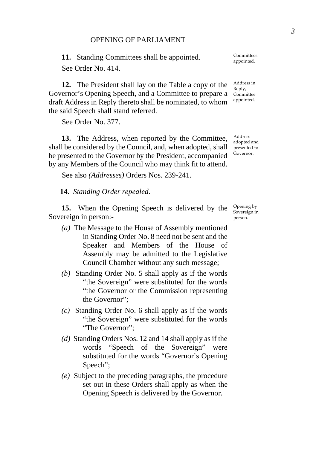#### OPENING OF PARLIAMENT

**11.** Standing Committees shall be appointed. See Order No. 414.

**12.** The President shall lay on the Table a copy of the Governor's Opening Speech, and a Committee to prepare a draft Address in Reply thereto shall be nominated, to whom the said Speech shall stand referred.

See Order No. 377.

**13.** The Address, when reported by the Committee, shall be considered by the Council, and, when adopted, shall be presented to the Governor by the President, accompanied by any Members of the Council who may think fit to attend.

See also *(Addresses)* Orders Nos. 239-241.

**14.** *Standing Order repealed.*

**15.** When the Opening Speech is delivered by the Sovereign in person:-

- *(a)* The Message to the House of Assembly mentioned in Standing Order No. 8 need not be sent and the Speaker and Members of the House of Assembly may be admitted to the Legislative Council Chamber without any such message;
- *(b)* Standing Order No. 5 shall apply as if the words "the Sovereign" were substituted for the words "the Governor or the Commission representing the Governor";
- *(c)* Standing Order No. 6 shall apply as if the words "the Sovereign" were substituted for the words "The Governor";
- *(d)* Standing Orders Nos. 12 and 14 shall apply as if the words "Speech of the Sovereign" were substituted for the words "Governor's Opening Speech";
- *(e)* Subject to the preceding paragraphs, the procedure set out in these Orders shall apply as when the Opening Speech is delivered by the Governor.

Committees appointed.

Address in Reply, **Committee** appointed.

Address adopted and presented to Governor.

Opening by Sovereign in person.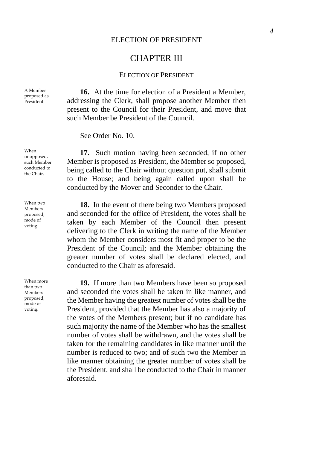## CHAPTER III

## ELECTION OF PRESIDENT

**16.** At the time for election of a President a Member, addressing the Clerk, shall propose another Member then present to the Council for their President, and move that such Member be President of the Council.

See Order No. 10.

**17.** Such motion having been seconded, if no other Member is proposed as President, the Member so proposed, being called to the Chair without question put, shall submit to the House; and being again called upon shall be conducted by the Mover and Seconder to the Chair.

**18.** In the event of there being two Members proposed and seconded for the office of President, the votes shall be taken by each Member of the Council then present delivering to the Clerk in writing the name of the Member whom the Member considers most fit and proper to be the President of the Council; and the Member obtaining the greater number of votes shall be declared elected, and conducted to the Chair as aforesaid.

**19.** If more than two Members have been so proposed and seconded the votes shall be taken in like manner, and the Member having the greatest number of votes shall be the President, provided that the Member has also a majority of the votes of the Members present; but if no candidate has such majority the name of the Member who has the smallest number of votes shall be withdrawn, and the votes shall be taken for the remaining candidates in like manner until the number is reduced to two; and of such two the Member in like manner obtaining the greater number of votes shall be the President, and shall be conducted to the Chair in manner aforesaid.

A Member proposed as President.

When unopposed, such Member conducted to the Chair.

When two Members proposed, mode of voting.

When more than two Members proposed, mode of voting.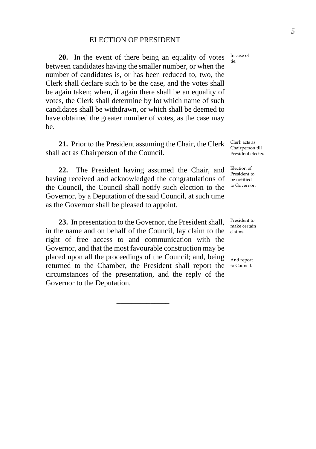## ELECTION OF PRESIDENT

**20.** In the event of there being an equality of votes between candidates having the smaller number, or when the number of candidates is, or has been reduced to, two, the Clerk shall declare such to be the case, and the votes shall be again taken; when, if again there shall be an equality of votes, the Clerk shall determine by lot which name of such candidates shall be withdrawn, or which shall be deemed to have obtained the greater number of votes, as the case may be.

**21.** Prior to the President assuming the Chair, the Clerk shall act as Chairperson of the Council.

**22.** The President having assumed the Chair, and having received and acknowledged the congratulations of the Council, the Council shall notify such election to the Governor, by a Deputation of the said Council, at such time as the Governor shall be pleased to appoint.

**23.** In presentation to the Governor, the President shall, in the name and on behalf of the Council, lay claim to the right of free access to and communication with the Governor, and that the most favourable construction may be placed upon all the proceedings of the Council; and, being returned to the Chamber, the President shall report the to Council. circumstances of the presentation, and the reply of the Governor to the Deputation.

\_\_\_\_\_\_\_\_\_\_\_\_\_\_

In case of tie.

Clerk acts as Chairperson till President elected.

Election of President to be notified to Governor.

President to make certain claims.

And report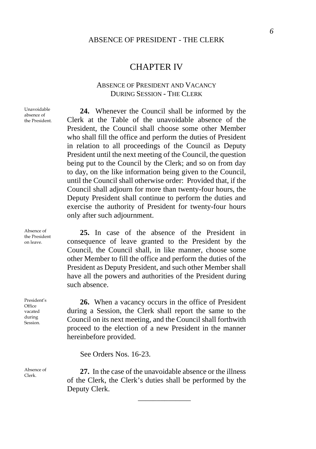## CHAPTER IV

## ABSENCE OF PRESIDENT AND VACANCY DURING SESSION - THE CLERK

Unavoidable absence of the President.

**24.** Whenever the Council shall be informed by the Clerk at the Table of the unavoidable absence of the President, the Council shall choose some other Member who shall fill the office and perform the duties of President in relation to all proceedings of the Council as Deputy President until the next meeting of the Council, the question being put to the Council by the Clerk; and so on from day to day, on the like information being given to the Council, until the Council shall otherwise order: Provided that, if the Council shall adjourn for more than twenty-four hours, the Deputy President shall continue to perform the duties and exercise the authority of President for twenty-four hours only after such adjournment.

**25.** In case of the absence of the President in consequence of leave granted to the President by the Council, the Council shall, in like manner, choose some other Member to fill the office and perform the duties of the President as Deputy President, and such other Member shall have all the powers and authorities of the President during such absence.

**26.** When a vacancy occurs in the office of President during a Session, the Clerk shall report the same to the Council on its next meeting, and the Council shall forthwith proceed to the election of a new President in the manner hereinbefore provided.

See Orders Nos. 16-23.

 $\frac{\text{Absence of}}{\text{Clerk}}$  **27.** In the case of the unavoidable absence or the illness of the Clerk, the Clerk's duties shall be performed by the Deputy Clerk.

\_\_\_\_\_\_\_\_\_\_\_\_\_\_

Absence of the President on leave.

President's Office vacated during Session.

Absence of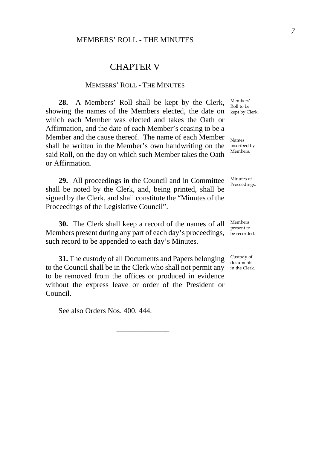## CHAPTER V

### MEMBERS' ROLL - THE MINUTES

**28.** A Members' Roll shall be kept by the Clerk, showing the names of the Members elected, the date on kept by Clerk. which each Member was elected and takes the Oath or Affirmation, and the date of each Member's ceasing to be a Member and the cause thereof. The name of each Member shall be written in the Member's own handwriting on the said Roll, on the day on which such Member takes the Oath or Affirmation.

**29.** All proceedings in the Council and in Committee shall be noted by the Clerk, and, being printed, shall be signed by the Clerk, and shall constitute the "Minutes of the Proceedings of the Legislative Council".

**30.** The Clerk shall keep a record of the names of all Members present during any part of each day's proceedings, be recorded. such record to be appended to each day's Minutes.

**31.** The custody of all Documents and Papers belonging to the Council shall be in the Clerk who shall not permit any to be removed from the offices or produced in evidence without the express leave or order of the President or Council.

\_\_\_\_\_\_\_\_\_\_\_\_\_\_

See also Orders Nos. 400, 444.

Members' Roll to be

Names inscribed by Members.

> Minutes of Proceedings.

Members present to

Custody of documents in the Clerk.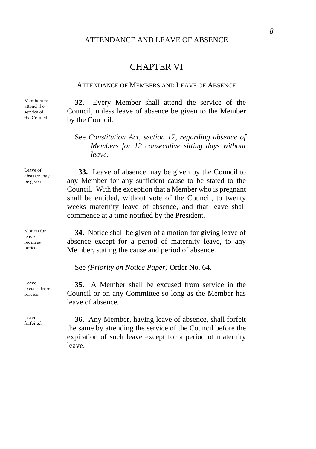## ATTENDANCE AND LEAVE OF ABSENCE

## CHAPTER VI

#### ATTENDANCE OF MEMBERS AND LEAVE OF ABSENCE

Members to attend the service of the Council.

**32.** Every Member shall attend the service of the Council, unless leave of absence be given to the Member by the Council.

## See *Constitution Act, section 17, regarding absence of Members for 12 consecutive sitting days without leave.*

**33.** Leave of absence may be given by the Council to any Member for any sufficient cause to be stated to the Council. With the exception that a Member who is pregnant shall be entitled, without vote of the Council, to twenty weeks maternity leave of absence, and that leave shall commence at a time notified by the President.

**34.** Notice shall be given of a motion for giving leave of absence except for a period of maternity leave, to any Member, stating the cause and period of absence.

See *(Priority on Notice Paper)* Order No. 64.

**35.** A Member shall be excused from service in the Council or on any Committee so long as the Member has leave of absence.

**36.** Any Member, having leave of absence, shall forfeit the same by attending the service of the Council before the expiration of such leave except for a period of maternity leave.

\_\_\_\_\_\_\_\_\_\_\_\_\_\_

Leave of absence may be given.

Motion for leave requires notice.

Leave excuses from service.

Leave<br>forfeited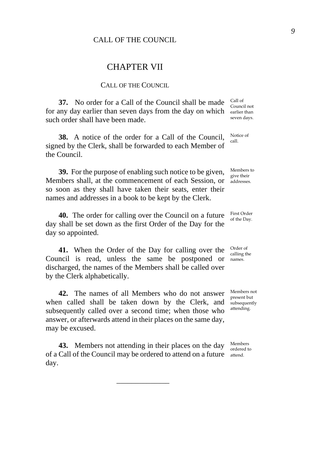## CALL OF THE COUNCIL

## CHAPTER VII

#### CALL OF THE COUNCIL.

**37.** No order for a Call of the Council shall be made for any day earlier than seven days from the day on which such order shall have been made.

**38.** A notice of the order for a Call of the Council, signed by the Clerk, shall be forwarded to each Member of the Council.

**39.** For the purpose of enabling such notice to be given, Members shall, at the commencement of each Session, or so soon as they shall have taken their seats, enter their names and addresses in a book to be kept by the Clerk.

**40.** The order for calling over the Council on a future day shall be set down as the first Order of the Day for the day so appointed.

**41.** When the Order of the Day for calling over the Council is read, unless the same be postponed or discharged, the names of the Members shall be called over by the Clerk alphabetically.

**42.** The names of all Members who do not answer when called shall be taken down by the Clerk, and subsequently called over a second time; when those who answer, or afterwards attend in their places on the same day, may be excused.

**43.** Members not attending in their places on the day of a Call of the Council may be ordered to attend on a future day.

\_\_\_\_\_\_\_\_\_\_\_\_\_\_

Call of Council not earlier than seven days.

Notice of call.

Members to give their addresses.

First Order of the Day.

Order of calling the names.

Members not present but subsequently attending.

Members ordered to attend.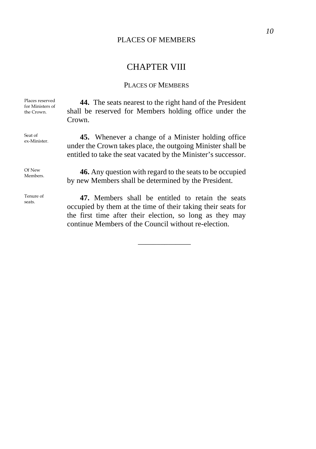## PLACES OF MEMBERS

## CHAPTER VIII

## PLACES OF MEMBERS

Places reserved for Ministers of the Crown.

**44.** The seats nearest to the right hand of the President shall be reserved for Members holding office under the Crown.

45. Whenever a change of a Minister holding office under the Crown takes place, the outgoing Minister shall be entitled to take the seat vacated by the Minister's successor.

Of New

Seat of<br>ex-Minister.

Tenure of seats.

Of New **46.** Any question with regard to the seats to be occupied by new Members shall be determined by the President.

> **47.** Members shall be entitled to retain the seats occupied by them at the time of their taking their seats for the first time after their election, so long as they may continue Members of the Council without re-election.

> > \_\_\_\_\_\_\_\_\_\_\_\_\_\_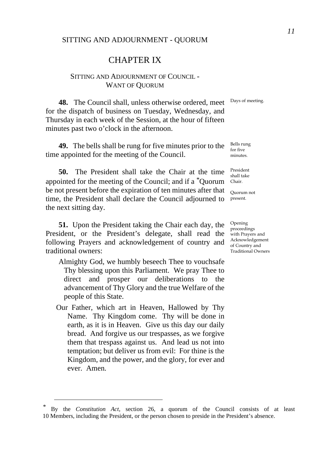#### SITTING AND ADJOURNMENT - QUORUM

## CHAPTER IX

## SITTING AND ADJOURNMENT OF COUNCIL - WANT OF QUORUM

Days of meeting.

**48.** The Council shall, unless otherwise ordered, meet for the dispatch of business on Tuesday, Wednesday, and Thursday in each week of the Session, at the hour of fifteen minutes past two o'clock in the afternoon.

**49.** The bells shall be rung for five minutes prior to the time appointed for the meeting of the Council.

**50.** The President shall take the Chair at the time appointed for the meeting of the Council; and if a *[\\*](#page-14-0)*Quorum be not present before the expiration of ten minutes after that time, the President shall declare the Council adjourned to the next sitting day.

**51.** Upon the President taking the Chair each day, the President, or the President's delegate, shall read the following Prayers and acknowledgement of country and traditional owners:

- Almighty God, we humbly beseech Thee to vouchsafe Thy blessing upon this Parliament. We pray Thee to direct and prosper our deliberations to the advancement of Thy Glory and the true Welfare of the people of this State.
- Our Father, which art in Heaven, Hallowed by Thy Name. Thy Kingdom come. Thy will be done in earth, as it is in Heaven. Give us this day our daily bread. And forgive us our trespasses, as we forgive them that trespass against us. And lead us not into temptation; but deliver us from evil: For thine is the Kingdom, and the power, and the glory, for ever and ever. Amen.

Bells rung for five minutes.

President shall take Chair.

Quorum not present.

Opening proceedings with Prayers and Acknowledgement of Country and Traditional Owners

<span id="page-14-0"></span>*<sup>\*</sup>* By the *Constitution Act*, section 26, a quorum of the Council consists of at least 10 Members, including the President, or the person chosen to preside in the President's absence.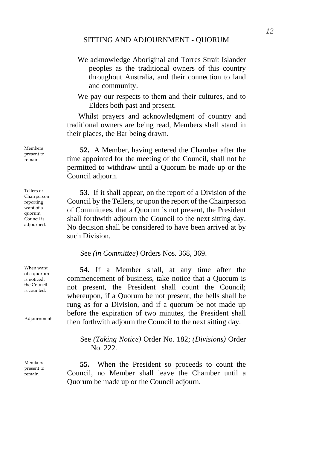- We acknowledge Aboriginal and Torres Strait Islander peoples as the traditional owners of this country throughout Australia, and their connection to land and community.
- We pay our respects to them and their cultures, and to Elders both past and present.

Whilst prayers and acknowledgment of country and traditional owners are being read, Members shall stand in their places, the Bar being drawn.

**52.** A Member, having entered the Chamber after the time appointed for the meeting of the Council, shall not be permitted to withdraw until a Quorum be made up or the Council adjourn.

**53.** If it shall appear, on the report of a Division of the Council by the Tellers, or upon the report of the Chairperson of Committees, that a Quorum is not present, the President shall forthwith adjourn the Council to the next sitting day. No decision shall be considered to have been arrived at by such Division.

See *(in Committee)* Orders Nos. 368, 369.

**54.** If a Member shall, at any time after the commencement of business, take notice that a Quorum is not present, the President shall count the Council; whereupon, if a Quorum be not present, the bells shall be rung as for a Division, and if a quorum be not made up before the expiration of two minutes, the President shall then forthwith adjourn the Council to the next sitting day.

See *(Taking Notice)* Order No. 182; *(Divisions)* Order No. 222.

**55.** When the President so proceeds to count the Council, no Member shall leave the Chamber until a Quorum be made up or the Council adjourn.

Members present to remain.

Tellers or Chairperson reporting want of a quorum, Council is adjourned.

When want of a quorum is noticed, the Council is counted.

Adjournment.

Members present to remain.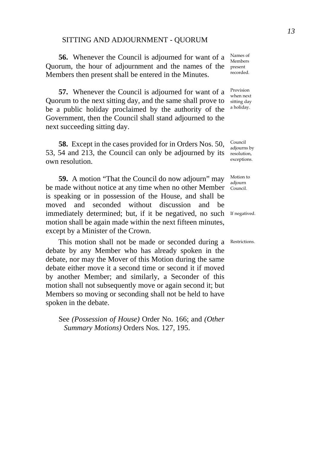#### SITTING AND ADJOURNMENT - QUORUM

**56.** Whenever the Council is adjourned for want of a Quorum, the hour of adjournment and the names of the Members then present shall be entered in the Minutes.

**57.** Whenever the Council is adjourned for want of a Quorum to the next sitting day, and the same shall prove to be a public holiday proclaimed by the authority of the Government, then the Council shall stand adjourned to the next succeeding sitting day.

**58.** Except in the cases provided for in Orders Nos. 50, 53, 54 and 213, the Council can only be adjourned by its own resolution.

**59.** A motion "That the Council do now adjourn" may be made without notice at any time when no other Member is speaking or in possession of the House, and shall be moved and seconded without discussion and be immediately determined; but, if it be negatived, no such If negatived. motion shall be again made within the next fifteen minutes, except by a Minister of the Crown.

This motion shall not be made or seconded during a Restrictions. debate by any Member who has already spoken in the debate, nor may the Mover of this Motion during the same debate either move it a second time or second it if moved by another Member; and similarly, a Seconder of this motion shall not subsequently move or again second it; but Members so moving or seconding shall not be held to have spoken in the debate.

See *(Possession of House)* Order No. 166; and *(Other Summary Motions)* Orders Nos. 127, 195.

Names of Members present recorded.

Provision when next sitting day a holiday.

Council adjourns by resolution, exceptions.

Motion to adjourn Council.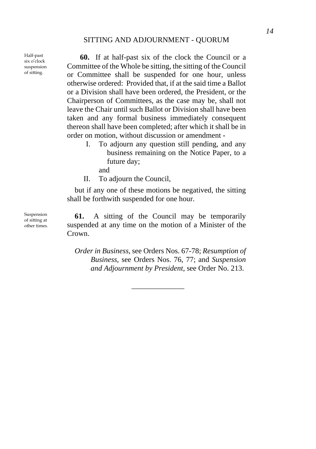Half-past six o'clock suspension of sitting.

**60.** If at half-past six of the clock the Council or a Committee of the Whole be sitting, the sitting of the Council or Committee shall be suspended for one hour, unless otherwise ordered: Provided that, if at the said time a Ballot or a Division shall have been ordered, the President, or the Chairperson of Committees, as the case may be, shall not leave the Chair until such Ballot or Division shall have been taken and any formal business immediately consequent thereon shall have been completed; after which it shall be in order on motion, without discussion or amendment -

- I. To adjourn any question still pending, and any business remaining on the Notice Paper, to a future day;
	- and
- II. To adjourn the Council,

but if any one of these motions be negatived, the sitting shall be forthwith suspended for one hour.

**61.** A sitting of the Council may be temporarily suspended at any time on the motion of a Minister of the Crown.

*Order in Business,* see Orders Nos. 67-78; *Resumption of Business,* see Orders Nos. 76, 77; and *Suspension and Adjournment by President,* see Order No. 213.

\_\_\_\_\_\_\_\_\_\_\_\_\_\_

Suspension of sitting at other times.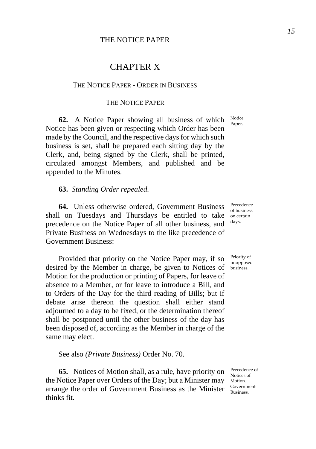## CHAPTER X

## THE NOTICE PAPER - ORDER IN BUSINESS

## THE NOTICE PAPER

**62.** A Notice Paper showing all business of which Notice Notice has been given or respecting which Order has been made by the Council, and the respective days for which such business is set, shall be prepared each sitting day by the Clerk, and, being signed by the Clerk, shall be printed, circulated amongst Members, and published and be appended to the Minutes.

#### **63.** *Standing Order repealed.*

**64.** Unless otherwise ordered, Government Business shall on Tuesdays and Thursdays be entitled to take on certain precedence on the Notice Paper of all other business, and Private Business on Wednesdays to the like precedence of Government Business:

Provided that priority on the Notice Paper may, if so desired by the Member in charge, be given to Notices of Motion for the production or printing of Papers, for leave of absence to a Member, or for leave to introduce a Bill, and to Orders of the Day for the third reading of Bills; but if debate arise thereon the question shall either stand adjourned to a day to be fixed, or the determination thereof shall be postponed until the other business of the day has been disposed of, according as the Member in charge of the same may elect.

See also *(Private Business)* Order No. 70.

**65.** Notices of Motion shall, as a rule, have priority on the Notice Paper over Orders of the Day; but a Minister may Motion. arrange the order of Government Business as the Minister  $\frac{\text{Government}}{\text{Business}}$ thinks fit.

Paper

Precedence of business days.

Priority of unopposed business.

Precedence of Notices of Government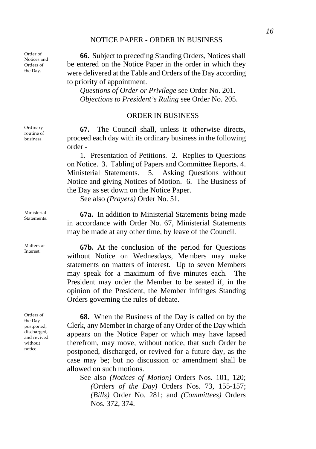## NOTICE PAPER - ORDER IN BUSINESS

Order of Notices and Orders of the Day.

Ordinary routine of business.

Ministerial

Matters of

Orders of the Day postponed, discharged, and revived without notice.

**66.** Subject to preceding Standing Orders, Notices shall be entered on the Notice Paper in the order in which they were delivered at the Table and Orders of the Day according to priority of appointment.

*Questions of Order or Privilege* see Order No. 201. *Objections to President's Ruling* see Order No. 205.

## ORDER IN BUSINESS

**67.** The Council shall, unless it otherwise directs, proceed each day with its ordinary business in the following order -

1. Presentation of Petitions. 2. Replies to Questions on Notice. 3. Tabling of Papers and Committee Reports. 4. Ministerial Statements. 5. Asking Questions without Notice and giving Notices of Motion. 6. The Business of the Day as set down on the Notice Paper.

See also *(Prayers)* Order No. 51.

Ministerial **67a.** In addition to Ministerial Statements being made in accordance with Order No. 67, Ministerial Statements may be made at any other time, by leave of the Council.

Matters of **67b.** At the conclusion of the period for Questions without Notice on Wednesdays, Members may make statements on matters of interest. Up to seven Members may speak for a maximum of five minutes each. The President may order the Member to be seated if, in the opinion of the President, the Member infringes Standing Orders governing the rules of debate.

> **68.** When the Business of the Day is called on by the Clerk, any Member in charge of any Order of the Day which appears on the Notice Paper or which may have lapsed therefrom, may move, without notice, that such Order be postponed, discharged, or revived for a future day, as the case may be; but no discussion or amendment shall be allowed on such motions.

See also *(Notices of Motion)* Orders Nos. 101, 120; *(Orders of the Day)* Orders Nos. 73, 155-157; *(Bills)* Order No. 281; and *(Committees)* Orders Nos. 372, 374.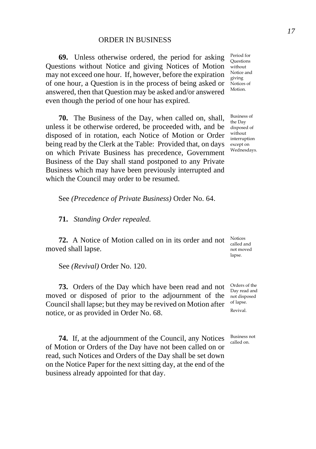## ORDER IN BUSINESS

**69.** Unless otherwise ordered, the period for asking Questions without Notice and giving Notices of Motion may not exceed one hour. If, however, before the expiration of one hour, a Question is in the process of being asked or answered, then that Question may be asked and/or answered even though the period of one hour has expired.

**70.** The Business of the Day, when called on, shall, unless it be otherwise ordered, be proceeded with, and be disposed of in rotation, each Notice of Motion or Order being read by the Clerk at the Table: Provided that, on days on which Private Business has precedence, Government Business of the Day shall stand postponed to any Private Business which may have been previously interrupted and which the Council may order to be resumed.

See *(Precedence of Private Business)* Order No. 64.

**71.** *Standing Order repealed.* 

**72.** A Notice of Motion called on in its order and not moved shall lapse.

See *(Revival)* Order No. 120.

**73.** Orders of the Day which have been read and not moved or disposed of prior to the adjournment of the Council shall lapse; but they may be revived on Motion after notice, or as provided in Order No. 68.

**74.** If, at the adjournment of the Council, any Notices of Motion or Orders of the Day have not been called on or read, such Notices and Orders of the Day shall be set down on the Notice Paper for the next sitting day, at the end of the business already appointed for that day.

Period for Questions without Notice and giving Notices of Motion.

Business of the Day disposed of without interruption except on Wednesdays.

Notices called and not moved lapse.

Orders of the Day read and not disposed of lapse. Revival.

Business not called on.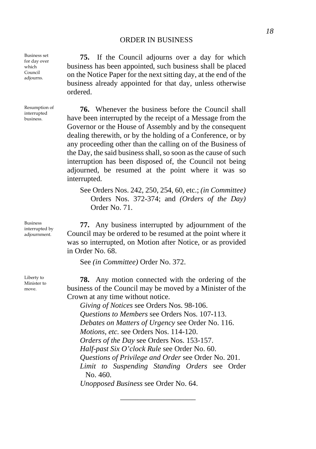## ORDER IN BUSINESS

Business set for day over which Council adjourns.

Resumption of interrupted business.

Business interrupted by adjournment.

Liberty to Minister to move.

**75.** If the Council adjourns over a day for which business has been appointed, such business shall be placed on the Notice Paper for the next sitting day, at the end of the business already appointed for that day, unless otherwise ordered.

**76.** Whenever the business before the Council shall have been interrupted by the receipt of a Message from the Governor or the House of Assembly and by the consequent dealing therewith, or by the holding of a Conference, or by any proceeding other than the calling on of the Business of the Day, the said business shall, so soon as the cause of such interruption has been disposed of, the Council not being adjourned, be resumed at the point where it was so interrupted.

See Orders Nos. 242, 250, 254, 60, etc.; *(in Committee)* Orders Nos. 372-374; and *(Orders of the Day)* Order No. 71.

**77.** Any business interrupted by adjournment of the Council may be ordered to be resumed at the point where it was so interrupted, on Motion after Notice, or as provided in Order No. 68.

See *(in Committee)* Order No. 372.

**78.** Any motion connected with the ordering of the business of the Council may be moved by a Minister of the Crown at any time without notice.

*Giving of Notices* see Orders Nos. 98-106. *Questions to Members* see Orders Nos. 107-113. *Debates on Matters of Urgency* see Order No. 116. *Motions, etc.* see Orders Nos. 114-120. *Orders of the Day* see Orders Nos. 153-157. *Half-past Six O'clock Rule* see Order No. 60. *Questions of Privilege and Order* see Order No. 201. *Limit to Suspending Standing Orders* see Order No. 460. *Unopposed Business* see Order No. 64.

\_\_\_\_\_\_\_\_\_\_\_\_\_\_\_\_\_\_\_\_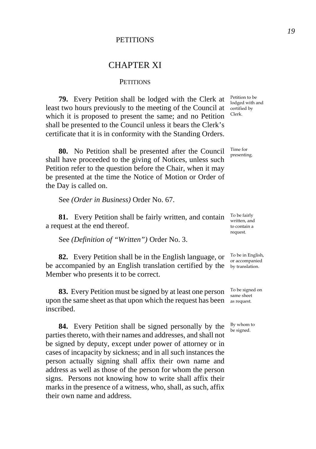## **PETITIONS**

## CHAPTER XI

#### **PETITIONS**

**79.** Every Petition shall be lodged with the Clerk at least two hours previously to the meeting of the Council at which it is proposed to present the same; and no Petition shall be presented to the Council unless it bears the Clerk's certificate that it is in conformity with the Standing Orders.

**80.** No Petition shall be presented after the Council shall have proceeded to the giving of Notices, unless such Petition refer to the question before the Chair, when it may be presented at the time the Notice of Motion or Order of the Day is called on.

See *(Order in Business)* Order No. 67.

**81.** Every Petition shall be fairly written, and contain To be fairly a request at the end thereof.

See *(Definition of "Written")* Order No. 3.

**82.** Every Petition shall be in the English language, or be accompanied by an English translation certified by the by translation. Member who presents it to be correct.

**83.** Every Petition must be signed by at least one person upon the same sheet as that upon which the request has been as request. inscribed.

**84.** Every Petition shall be signed personally by the parties thereto, with their names and addresses, and shall not be signed by deputy, except under power of attorney or in cases of incapacity by sickness; and in all such instances the person actually signing shall affix their own name and address as well as those of the person for whom the person signs. Persons not knowing how to write shall affix their marks in the presence of a witness, who, shall, as such, affix their own name and address.

Petition to be lodged with and certified by Clerk.

Time for presenting.

written, and to contain a request.

To be in English, or accompanied

To be signed on same sheet

By whom to be signed.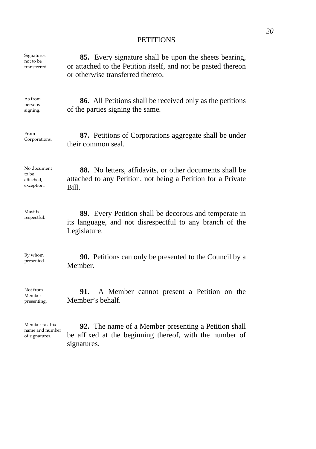## **PETITIONS**

| Signatures                                      | 85. Every signature shall be upon the sheets bearing,                                                                                    |
|-------------------------------------------------|------------------------------------------------------------------------------------------------------------------------------------------|
| not to be                                       | or attached to the Petition itself, and not be pasted thereon                                                                            |
| transferred.                                    | or otherwise transferred thereto.                                                                                                        |
| As from<br>persons<br>signing.                  | <b>86.</b> All Petitions shall be received only as the petitions<br>of the parties signing the same.                                     |
| From                                            | 87. Petitions of Corporations aggregate shall be under                                                                                   |
| Corporations.                                   | their common seal.                                                                                                                       |
| No document<br>to be<br>attached,<br>exception. | 88. No letters, affidavits, or other documents shall be<br>attached to any Petition, not being a Petition for a Private<br>Bill.         |
| Must be<br>respectful.                          | <b>89.</b> Every Petition shall be decorous and temperate in<br>its language, and not disrespectful to any branch of the<br>Legislature. |
| By whom                                         | <b>90.</b> Petitions can only be presented to the Council by a                                                                           |
| presented.                                      | Member.                                                                                                                                  |
| Not from                                        | 91.                                                                                                                                      |
| Member                                          | A Member cannot present a Petition on the                                                                                                |
| presenting.                                     | Member's behalf.                                                                                                                         |
| Member to affix                                 | <b>92.</b> The name of a Member presenting a Petition shall                                                                              |
| name and number                                 | be affixed at the beginning thereof, with the number of                                                                                  |
| of signatures.                                  | signatures.                                                                                                                              |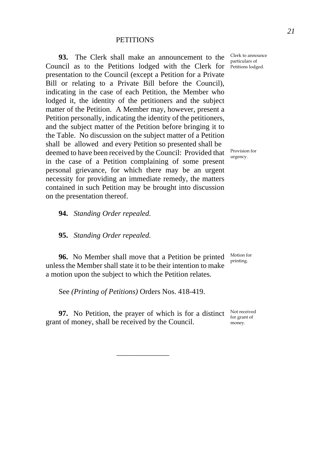## **PETITIONS**

**93.** The Clerk shall make an announcement to the Council as to the Petitions lodged with the Clerk for Petitions lodged. presentation to the Council (except a Petition for a Private Bill or relating to a Private Bill before the Council), indicating in the case of each Petition, the Member who lodged it, the identity of the petitioners and the subject matter of the Petition. A Member may, however, present a Petition personally, indicating the identity of the petitioners, and the subject matter of the Petition before bringing it to the Table. No discussion on the subject matter of a Petition shall be allowed and every Petition so presented shall be deemed to have been received by the Council: Provided that in the case of a Petition complaining of some present personal grievance, for which there may be an urgent necessity for providing an immediate remedy, the matters contained in such Petition may be brought into discussion on the presentation thereof.

**94.** *Standing Order repealed.*

**95.** *Standing Order repealed.*

**96.** No Member shall move that a Petition be printed unless the Member shall state it to be their intention to make a motion upon the subject to which the Petition relates.

See *(Printing of Petitions)* Orders Nos. 418-419.

**97.** No Petition, the prayer of which is for a distinct grant of money, shall be received by the Council.

\_\_\_\_\_\_\_\_\_\_\_\_\_\_

Clerk to announce particulars of

Provision for urgency.

Motion for printing.

Not received for grant of money.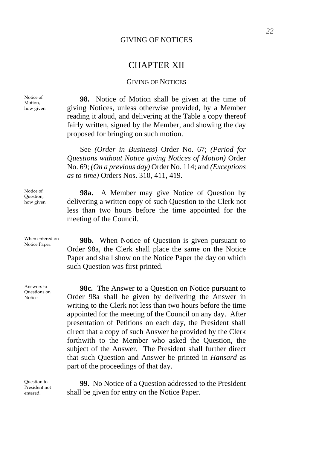## GIVING OF NOTICES

## CHAPTER XII

## GIVING OF NOTICES

**98.** Notice of Motion shall be given at the time of giving Notices, unless otherwise provided, by a Member reading it aloud, and delivering at the Table a copy thereof fairly written, signed by the Member, and showing the day proposed for bringing on such motion.

See *(Order in Business)* Order No. 67; *(Period for Questions without Notice giving Notices of Motion)* Order No. 69; *(On a previous day)* Order No. 114; and *(Exceptions as to time)* Orders Nos. 310, 411, 419.

**98a.** A Member may give Notice of Question by delivering a written copy of such Question to the Clerk not less than two hours before the time appointed for the meeting of the Council.

When entered on **98b.** When Notice of Question is given pursuant to Notice Paper. Order 98a, the Clerk shall place the same on the Notice Paper and shall show on the Notice Paper the day on which such Question was first printed.

> **98c.** The Answer to a Question on Notice pursuant to Order 98a shall be given by delivering the Answer in writing to the Clerk not less than two hours before the time appointed for the meeting of the Council on any day. After presentation of Petitions on each day, the President shall direct that a copy of such Answer be provided by the Clerk forthwith to the Member who asked the Question, the subject of the Answer. The President shall further direct that such Question and Answer be printed in *Hansard* as part of the proceedings of that day.

> **99.** No Notice of a Question addressed to the President shall be given for entry on the Notice Paper.

Notice of Motion, how given.

Notice of Question, how given.

When entered on

Answers to Questions on Notice.

Question to President not entered.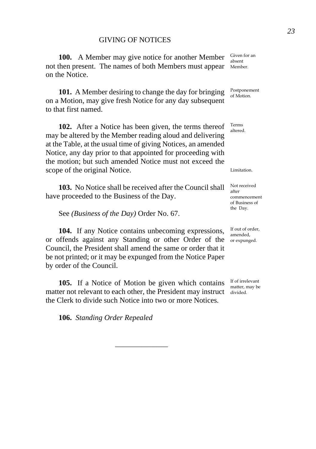**100.** A Member may give notice for another Member not then present. The names of both Members must appear Member. on the Notice.

**101.** A Member desiring to change the day for bringing on a Motion, may give fresh Notice for any day subsequent to that first named.

**102.** After a Notice has been given, the terms thereof may be altered by the Member reading aloud and delivering at the Table, at the usual time of giving Notices, an amended Notice, any day prior to that appointed for proceeding with the motion; but such amended Notice must not exceed the scope of the original Notice.

**103.** No Notice shall be received after the Council shall have proceeded to the Business of the Day.

See *(Business of the Day)* Order No. 67.

**104.** If any Notice contains unbecoming expressions, or offends against any Standing or other Order of the orexpunged. Council, the President shall amend the same or order that it be not printed; or it may be expunged from the Notice Paper by order of the Council.

**105.** If a Notice of Motion be given which contains matter not relevant to each other, the President may instruct divided. the Clerk to divide such Notice into two or more Notices.

\_\_\_\_\_\_\_\_\_\_\_\_\_\_

**106.** *Standing Order Repealed* 

Given for an absent

Postponement of Motion.

Terms altered.

Limitation.

Not received after commencement of Business of the Day.

If out of order, amended,

If of irrelevant matter, may be *23*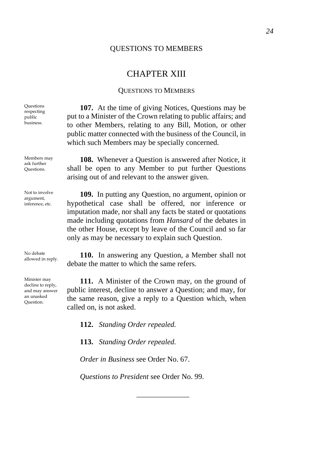#### QUESTIONS TO MEMBERS

## CHAPTER XIII

#### QUESTIONS TO MEMBERS

**107.** At the time of giving Notices, Questions may be put to a Minister of the Crown relating to public affairs; and to other Members, relating to any Bill, Motion, or other public matter connected with the business of the Council, in which such Members may be specially concerned.

**108.** Whenever a Question is answered after Notice, it shall be open to any Member to put further Questions arising out of and relevant to the answer given.

**109.** In putting any Question, no argument, opinion or hypothetical case shall be offered, nor inference or imputation made, nor shall any facts be stated or quotations made including quotations from *Hansard* of the debates in the other House, except by leave of the Council and so far only as may be necessary to explain such Question.

No debate<br>allowed in reply. **110.** In answering any Question, a Member shall not debate the matter to which the same refers.

> **111.** A Minister of the Crown may, on the ground of public interest, decline to answer a Question; and may, for the same reason, give a reply to a Question which, when called on, is not asked.

**112.** *Standing Order repealed.*

**113.** *Standing Order repealed.* 

*Order in Business* see Order No. 67.

*Questions to President* see Order No. 99.

\_\_\_\_\_\_\_\_\_\_\_\_\_\_

**Questions** respecting public business.

Members may ask further Questions.

Not to involve argument, inference, etc.

No debate

Minister may decline to reply, and may answer an unasked Question.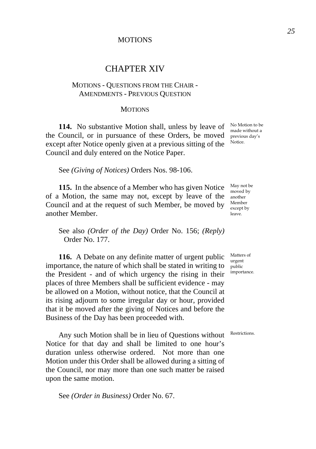## **MOTIONS**

## CHAPTER XIV

## MOTIONS - QUESTIONS FROM THE CHAIR - AMENDMENTS - PREVIOUS QUESTION

#### **MOTIONS**

**114.** No substantive Motion shall, unless by leave of the Council, or in pursuance of these Orders, be moved except after Notice openly given at a previous sitting of the Council and duly entered on the Notice Paper.

See *(Giving of Notices)* Orders Nos. 98-106.

**115.** In the absence of a Member who has given Notice of a Motion, the same may not, except by leave of the another Council and at the request of such Member, be moved by another Member.

See also *(Order of the Day)* Order No. 156; *(Reply)* Order No. 177.

**116.** A Debate on any definite matter of urgent public importance, the nature of which shall be stated in writing to the President - and of which urgency the rising in their places of three Members shall be sufficient evidence - may be allowed on a Motion, without notice, that the Council at its rising adjourn to some irregular day or hour, provided that it be moved after the giving of Notices and before the Business of the Day has been proceeded with.

Any such Motion shall be in lieu of Questions without Notice for that day and shall be limited to one hour's duration unless otherwise ordered. Not more than one Motion under this Order shall be allowed during a sitting of the Council, nor may more than one such matter be raised upon the same motion.

See *(Order in Business)* Order No. 67.

No Motion to be made without a previous day's Notice.

May not be moved by Member except by leave.

Matters of urgent public importance.

Restrictions.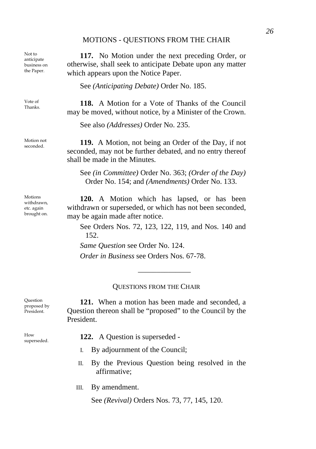#### MOTIONS - QUESTIONS FROM THE CHAIR

Not to anticipate business on the Paper.

Vote of<br>Thanks

Motion not<br>seconded

Motions withdrawn, etc. again brought on.

**117.** No Motion under the next preceding Order, or otherwise, shall seek to anticipate Debate upon any matter which appears upon the Notice Paper.

See *(Anticipating Debate)* Order No. 185.

118. A Motion for a Vote of Thanks of the Council may be moved, without notice, by a Minister of the Crown.

See also *(Addresses)* Order No. 235.

119. A Motion, not being an Order of the Day, if not seconded, may not be further debated, and no entry thereof shall be made in the Minutes.

See *(in Committee)* Order No. 363; *(Order of the Day)* Order No. 154; and *(Amendments)* Order No. 133.

**120.** A Motion which has lapsed, or has been withdrawn or superseded, or which has not been seconded, may be again made after notice.

See Orders Nos. 72, 123, 122, 119, and Nos. 140 and 152.

\_\_\_\_\_\_\_\_\_\_\_\_\_\_

*Same Question* see Order No. 124.

*Order in Business* see Orders Nos. 67-78.

## QUESTIONS FROM THE CHAIR

**121.** When a motion has been made and seconded, a Question thereon shall be "proposed" to the Council by the President.

- superseded. **122.** A Question is superseded
	- I. By adjournment of the Council;
	- II. By the Previous Question being resolved in the affirmative;
	- III. By amendment.

See *(Revival)* Orders Nos. 73, 77, 145, 120.

**Question** proposed by President.

How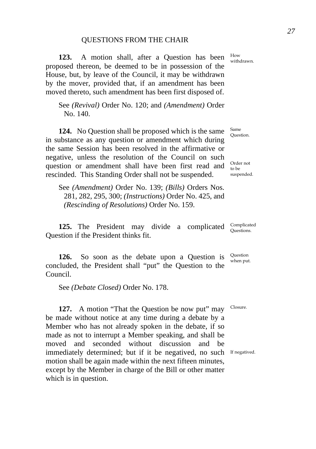#### QUESTIONS FROM THE CHAIR

**123.** A motion shall, after a Question has been proposed thereon, be deemed to be in possession of the House, but, by leave of the Council, it may be withdrawn by the mover, provided that, if an amendment has been moved thereto, such amendment has been first disposed of.

See *(Revival)* Order No. 120; and *(Amendment)* Order No. 140.

**124.** No Question shall be proposed which is the same in substance as any question or amendment which during the same Session has been resolved in the affirmative or negative, unless the resolution of the Council on such question or amendment shall have been first read and rescinded. This Standing Order shall not be suspended.

See *(Amendment)* Order No. 139; *(Bills)* Orders Nos. 281, 282, 295, 300; *(Instructions)* Order No. 425, and *(Rescinding of Resolutions)* Order No. 159.

**125.** The President may divide a complicated Question if the President thinks fit.

**126.** So soon as the debate upon a Question is concluded, the President shall "put" the Question to the Council.

See *(Debate Closed)* Order No. 178.

**127.** A motion "That the Question be now put" may be made without notice at any time during a debate by a Member who has not already spoken in the debate, if so made as not to interrupt a Member speaking, and shall be moved and seconded without discussion and be immediately determined; but if it be negatived, no such If negatived. motion shall be again made within the next fifteen minutes, except by the Member in charge of the Bill or other matter which is in question.

How withdrawn.

Question.

Same

Order not to be suspended.

Complicated Questions.

Question when put.

Closure.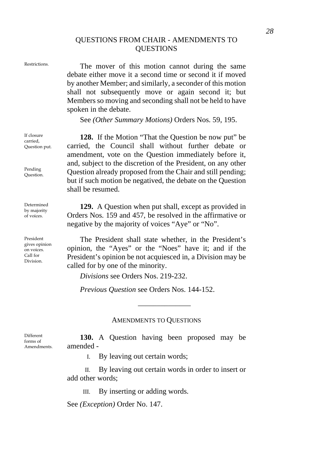## QUESTIONS FROM CHAIR - AMENDMENTS TO **OUESTIONS**

Restrictions. The mover of this motion cannot during the same debate either move it a second time or second it if moved by another Member; and similarly, a seconder of this motion shall not subsequently move or again second it; but Members so moving and seconding shall not be held to have spoken in the debate.

See *(Other Summary Motions)* Orders Nos. 59, 195.

**128.** If the Motion "That the Question be now put" be carried, the Council shall without further debate or amendment, vote on the Question immediately before it, and, subject to the discretion of the President, on any other Question already proposed from the Chair and still pending; but if such motion be negatived, the debate on the Question shall be resumed.

**129.** A Question when put shall, except as provided in Orders Nos. 159 and 457, be resolved in the affirmative or negative by the majority of voices "Aye" or "No".

The President shall state whether, in the President's opinion, the "Ayes" or the "Noes" have it; and if the President's opinion be not acquiesced in, a Division may be called for by one of the minority.

*Divisions* see Orders Nos. 219-232.

*Previous Question* see Orders Nos. 144-152.

#### AMENDMENTS TO QUESTIONS

\_\_\_\_\_\_\_\_\_\_\_\_\_\_

**130.** A Question having been proposed may be amended -

I. By leaving out certain words;

II. By leaving out certain words in order to insert or add other words;

III. By inserting or adding words.

See *(Exception)* Order No. 147.

If closure carried, Question put.

Pending Question.

Determined by majority of voices.

President gives opinion on voices. Call for Division.

Different forms of Amendments.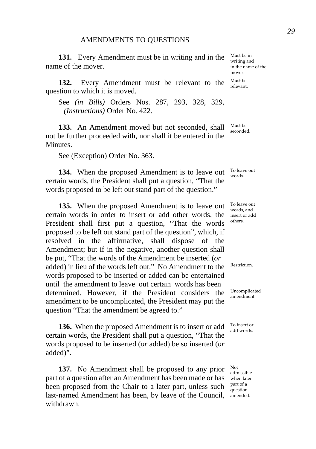**131.** Every Amendment must be in writing and in the name of the mover.

**132.** Every Amendment must be relevant to the question to which it is moved.

See *(in Bills)* Orders Nos. 287, 293, 328, 329, *(Instructions)* Order No. 422.

**133.** An Amendment moved but not seconded, shall not be further proceeded with, nor shall it be entered in the Minutes.

See (Exception) Order No. 363.

**134.** When the proposed Amendment is to leave out certain words, the President shall put a question, "That the words proposed to be left out stand part of the question."

**135.** When the proposed Amendment is to leave out certain words in order to insert or add other words, the President shall first put a question, "That the words proposed to be left out stand part of the question", which, if resolved in the affirmative, shall dispose of the Amendment; but if in the negative, another question shall be put, "That the words of the Amendment be inserted (*or* added) in lieu of the words left out." No Amendment to the words proposed to be inserted or added can be entertained until the amendment to leave out certain words has been determined. However, if the President considers the amendment to be uncomplicated, the President may put the question "That the amendment be agreed to."

**136.** When the proposed Amendment is to insert or add certain words, the President shall put a question, "That the words proposed to be inserted (*or* added) be so inserted (*or* added)".

**137.** No Amendment shall be proposed to any prior part of a question after an Amendment has been made or has been proposed from the Chair to a later part, unless such last-named Amendment has been, by leave of the Council, amended. withdrawn.

Must be in writing and in the name of the mover. Must be relevant.

Must be seconded.

To leave out words.

To leave out words, and insert or add others.

Restriction.

Uncomplicated amendment.

To insert or add words.

Not admissible when later part of a question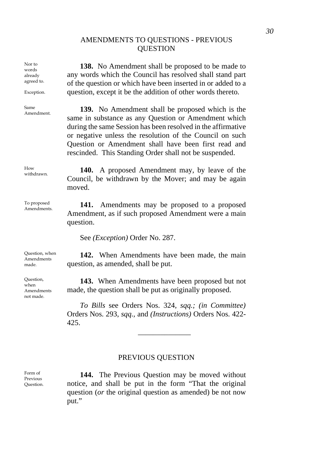## AMENDMENTS TO QUESTIONS - PREVIOUS **OUESTION**

**138.** No Amendment shall be proposed to be made to any words which the Council has resolved shall stand part of the question or which have been inserted in or added to a question, except it be the addition of other words thereto.

<sup>Same</sup> **139.** No Amendment shall be proposed which is the same in substance as any Question or Amendment which during the same Session has been resolved in the affirmative or negative unless the resolution of the Council on such Question or Amendment shall have been first read and rescinded. This Standing Order shall not be suspended.

How How **140.** A proposed Amendment may, by leave of the Council, be withdrawn by the Mover; and may be again moved.

Amendments. **141.** Amendments may be proposed to a proposed Amendment, as if such proposed Amendment were a main question.

See *(Exception)* Order No. 287.

**142.** When Amendments have been made, the main question, as amended, shall be put.

**143.** When Amendments have been proposed but not made, the question shall be put as originally proposed.

*To Bills* see Orders Nos. 324, *sqq.; (in Committee)*  Orders Nos. 293, *sqq.,* and *(Instructions)* Orders Nos. 422- 425.

\_\_\_\_\_\_\_\_\_\_\_\_\_\_

## PREVIOUS QUESTION

**144.** The Previous Question may be moved without notice, and shall be put in the form "That the original question (*or* the original question as amended) be not now put."

Form of Previous Question.

words already agreed to. Exception.

Nor to

Same

 $H_{\alpha\alpha\gamma}$ 

To proposed

Question, when Amendments made.

Question, when Amendments not made.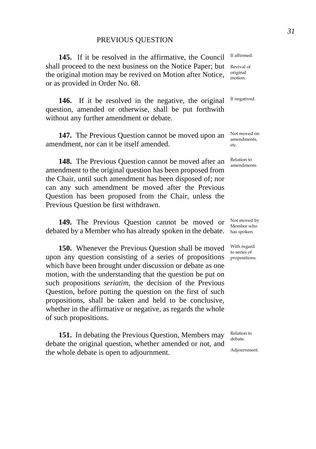#### PREVIOUS QUESTION

**145.** If it be resolved in the affirmative, the Council shall proceed to the next business on the Notice Paper; but the original motion may be revived on Motion after Notice, or as provided in Order No. 68.

**146.** If it be resolved in the negative, the original question, amended or otherwise, shall be put forthwith without any further amendment or debate.

**147.** The Previous Question cannot be moved upon an amendment, nor can it be itself amended.

**148.** The Previous Question cannot be moved after an amendment to the original question has been proposed from the Chair, until such amendment has been disposed of; nor can any such amendment be moved after the Previous Question has been proposed from the Chair, unless the Previous Question be first withdrawn.

**149.** The Previous Question cannot be moved or debated by a Member who has already spoken in the debate.

**150.** Whenever the Previous Question shall be moved upon any question consisting of a series of propositions which have been brought under discussion or debate as one motion, with the understanding that the question be put on such propositions *seriatim*, the decision of the Previous Question, before putting the question on the first of such propositions, shall be taken and held to be conclusive, whether in the affirmative or negative, as regards the whole of such propositions.

**151.** In debating the Previous Question, Members may debate the original question, whether amended or not, and the whole debate is open to adjournment.

If affirmed.

Revival of original motion.

If negatived.

Not moved on amendments, etc.

Relation to amendments.

Not moved by Member who has spoken.

With regard to series of propositions.

Relation to debate.

Adjournment.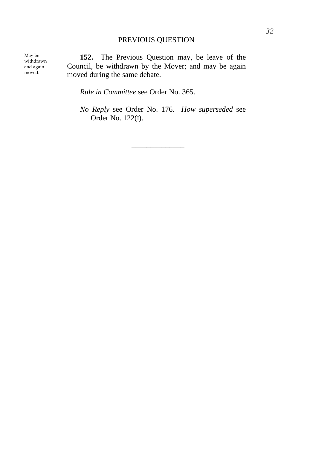## PREVIOUS QUESTION

May be withdrawn and again moved.

**152.** The Previous Question may, be leave of the Council, be withdrawn by the Mover; and may be again moved during the same debate.

*Rule in Committee* see Order No. 365.

*No Reply* see Order No. 176. *How superseded* see Order No. 122(I).

\_\_\_\_\_\_\_\_\_\_\_\_\_\_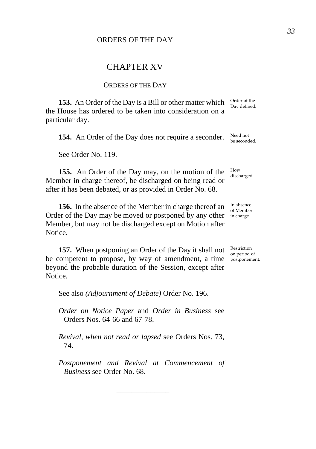# CHAPTER XV

## ORDERS OF THE DAY

**153.** An Order of the Day is a Bill or other matter which the House has ordered to be taken into consideration on a particular day.

**154.** An Order of the Day does not require a seconder.

See Order No. 119.

**155.** An Order of the Day may, on the motion of the Member in charge thereof, be discharged on being read or after it has been debated, or as provided in Order No. 68.

**156.** In the absence of the Member in charge thereof an Order of the Day may be moved or postponed by any other in charge. Member, but may not be discharged except on Motion after Notice.

**157.** When postponing an Order of the Day it shall not be competent to propose, by way of amendment, a time postponement. beyond the probable duration of the Session, except after Notice.

See also *(Adjournment of Debate)* Order No. 196.

*Order on Notice Paper* and *Order in Business* see Orders Nos. 64-66 and 67-78.

*Revival, when not read or lapsed* see Orders Nos. 73, 74.

*Postponement and Revival at Commencement of Business* see Order No. 68.

\_\_\_\_\_\_\_\_\_\_\_\_\_\_

Order of the Day defined.

Need not be seconded.

How discharged.

In absence of Member

Restriction on period of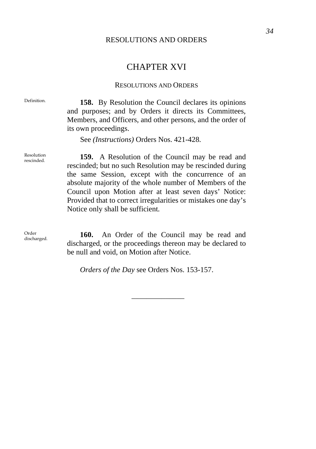### RESOLUTIONS AND ORDERS

# CHAPTER XVI

#### RESOLUTIONS AND ORDERS

Definition. **158.** By Resolution the Council declares its opinions and purposes; and by Orders it directs its Committees, Members, and Officers, and other persons, and the order of its own proceedings.

See *(Instructions)* Orders Nos. 421-428.

Resolution<br>rescinded.

159. A Resolution of the Council may be read and rescinded; but no such Resolution may be rescinded during the same Session, except with the concurrence of an absolute majority of the whole number of Members of the Council upon Motion after at least seven days' Notice: Provided that to correct irregularities or mistakes one day's Notice only shall be sufficient.

Order

Order of the Council may be read and discharged. **160.** An Order of the Council may be read and discharged, or the proceedings thereon may be declared to be null and void, on Motion after Notice.

\_\_\_\_\_\_\_\_\_\_\_\_\_\_

*Orders of the Day* see Orders Nos. 153-157.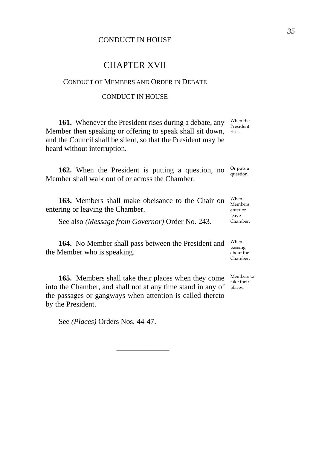# CONDUCT IN HOUSE

# CHAPTER XVII

## CONDUCT OF MEMBERS AND ORDER IN DEBATE

### CONDUCT IN HOUSE

**161.** Whenever the President rises during a debate, any Member then speaking or offering to speak shall sit down, rises. and the Council shall be silent, so that the President may be heard without interruption. When the President

**162.** When the President is putting a question, no Member shall walk out of or across the Chamber. Or puts a question.

**163.** Members shall make obeisance to the Chair on entering or leaving the Chamber. When Members enter or leave

See also *(Message from Governor)* Order No. 243.

**164.** No Member shall pass between the President and the Member who is speaking.

**165.** Members shall take their places when they come Members to into the Chamber, and shall not at any time stand in any of places. the passages or gangways when attention is called thereto by the President.

\_\_\_\_\_\_\_\_\_\_\_\_\_\_

See *(Places)* Orders Nos. 44-47.

Chamber. When

passing about the Chamber.

take their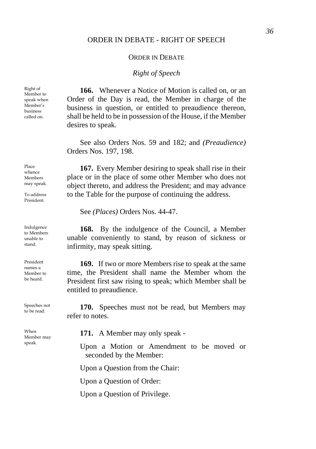## ORDER IN DEBATE - RIGHT OF SPEECH

### ORDER IN DEBATE

# *Right of Speech*

**166.** Whenever a Notice of Motion is called on, or an Order of the Day is read, the Member in charge of the business in question, or entitled to preaudience thereon, shall be held to be in possession of the House, if the Member desires to speak.

See also Orders Nos. 59 and 182; and *(Preaudience)* Orders Nos. 197, 198.

**167.** Every Member desiring to speak shall rise in their place or in the place of some other Member who does not object thereto, and address the President; and may advance to the Table for the purpose of continuing the address.

See *(Places)* Orders Nos. 44-47.

**168.** By the indulgence of the Council, a Member unable conveniently to stand, by reason of sickness or infirmity, may speak sitting.

**169.** If two or more Members rise to speak at the same time, the President shall name the Member whom the President first saw rising to speak; which Member shall be entitled to preaudience.

Speeches not **170.** Speeches must not be read, but Members may refer to notes.

**171.** A Member may only speak -

Upon a Motion or Amendment to be moved or seconded by the Member:

Upon a Question from the Chair:

Upon a Question of Order:

Upon a Question of Privilege.

Right of Member to speak when Member's business called on.

Place whence Members may speak.

To address President.

Indulgence to Members unable to stand.

President names a Member to be heard.

Speeches not

When Member may speak.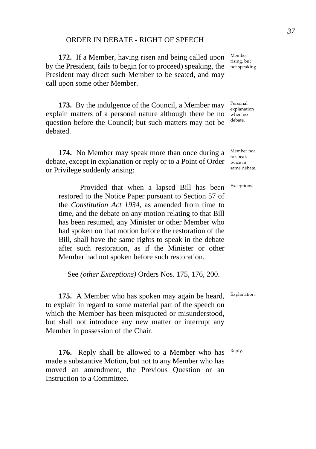# ORDER IN DEBATE - RIGHT OF SPEECH

**172.** If a Member, having risen and being called upon by the President, fails to begin (or to proceed) speaking, the not speaking. President may direct such Member to be seated, and may call upon some other Member.

**173.** By the indulgence of the Council, a Member may explain matters of a personal nature although there be no question before the Council; but such matters may not be debated.

**174.** No Member may speak more than once during a debate, except in explanation or reply or to a Point of Order twice in or Privilege suddenly arising:

 Provided that when a lapsed Bill has been restored to the Notice Paper pursuant to Section 57 of the *Constitution Act 1934*, as amended from time to time, and the debate on any motion relating to that Bill has been resumed, any Minister or other Member who had spoken on that motion before the restoration of the Bill, shall have the same rights to speak in the debate after such restoration, as if the Minister or other Member had not spoken before such restoration.

See *(other Exceptions)* Orders Nos. 175, 176, 200.

**175.** A Member who has spoken may again be heard, to explain in regard to some material part of the speech on which the Member has been misquoted or misunderstood, but shall not introduce any new matter or interrupt any Member in possession of the Chair.

**176.** Reply shall be allowed to a Member who has made a substantive Motion, but not to any Member who has moved an amendment, the Previous Question or an Instruction to a Committee.

Member rising, but

Personal explanation when no debate.

Member not to speak same debate.

Exceptions.

Explanation.

Reply.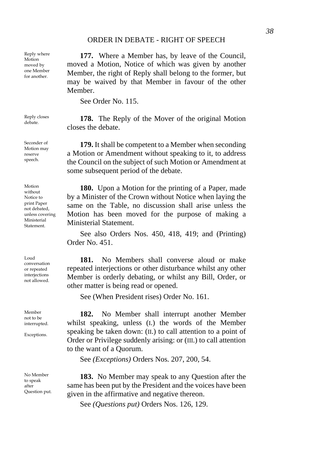## ORDER IN DEBATE - RIGHT OF SPEECH

**177.** Where a Member has, by leave of the Council, moved a Motion, Notice of which was given by another Member, the right of Reply shall belong to the former, but may be waived by that Member in favour of the other **Member** 

See Order No. 115.

Reply closes **178.** The Reply of the Mover of the original Motion closes the debate.

> **179.** It shall be competent to a Member when seconding a Motion or Amendment without speaking to it, to address the Council on the subject of such Motion or Amendment at some subsequent period of the debate.

**180.** Upon a Motion for the printing of a Paper, made by a Minister of the Crown without Notice when laying the same on the Table, no discussion shall arise unless the Motion has been moved for the purpose of making a Ministerial Statement.

See also Orders Nos. 450, 418, 419; and (Printing) Order No. 451.

**181.** No Members shall converse aloud or make repeated interjections or other disturbance whilst any other Member is orderly debating, or whilst any Bill, Order, or other matter is being read or opened.

See (When President rises) Order No. 161.

**182.** No Member shall interrupt another Member whilst speaking, unless (I.) the words of the Member speaking be taken down: (II.) to call attention to a point of Order or Privilege suddenly arising: or (III.) to call attention to the want of a Quorum.

See *(Exceptions)* Orders Nos. 207, 200, 54.

**183.** No Member may speak to any Question after the same has been put by the President and the voices have been given in the affirmative and negative thereon.

See *(Questions put)* Orders Nos. 126, 129.

Reply where Motion moved by one Member for another.

Reply closes

Seconder of Motion may reserve speech.

Motion without Notice to print Paper not debated, unless covering Ministerial **Statement** 

Loud conversation or repeated interjections not allowed.

Member not to be interrupted.

Exceptions.

No Member to speak after Question put.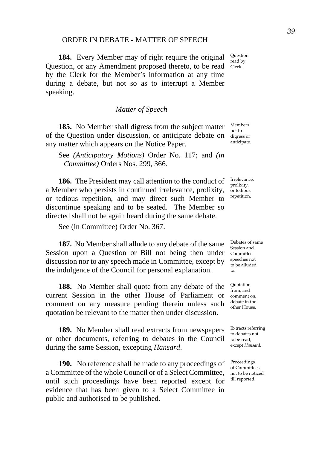# ORDER IN DEBATE - MATTER OF SPEECH

**184.** Every Member may of right require the original Question, or any Amendment proposed thereto, to be read Clerk. by the Clerk for the Member's information at any time during a debate, but not so as to interrupt a Member speaking.

*Matter of Speech* 

**185.** No Member shall digress from the subject matter of the Question under discussion, or anticipate debate on any matter which appears on the Notice Paper.

See *(Anticipatory Motions)* Order No. 117; and *(in Committee)* Orders Nos. 299, 366.

**186.** The President may call attention to the conduct of a Member who persists in continued irrelevance, prolixity, or tedious repetition, and may direct such Member to discontinue speaking and to be seated. The Member so directed shall not be again heard during the same debate.

See (in Committee) Order No. 367.

**187.** No Member shall allude to any debate of the same Session upon a Question or Bill not being then under discussion nor to any speech made in Committee, except by the indulgence of the Council for personal explanation.

**188.** No Member shall quote from any debate of the current Session in the other House of Parliament or comment on any measure pending therein unless such quotation be relevant to the matter then under discussion.

**189.** No Member shall read extracts from newspapers or other documents, referring to debates in the Council during the same Session, excepting *Hansard*.

**190.** No reference shall be made to any proceedings of a Committee of the whole Council or of a Select Committee, until such proceedings have been reported except for evidence that has been given to a Select Committee in public and authorised to be published.

Question read by

Members not to digress or anticipate.

Irrelevance, prolixity, or tedious repetition.

Debates of same Session and Committee speeches not to be alluded to.

Quotation from, and comment on, debate in the other House.

Extracts referring to debates not to be read, except *Hansard*.

Proceedings of Committees not to be noticed till reported.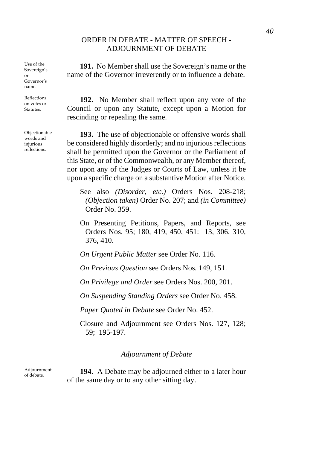# ORDER IN DEBATE - MATTER OF SPEECH - ADJOURNMENT OF DEBATE

Use of the Sovereign's or Governor's name.

Reflections on votes or Statutes.

Objectionable words and injurious reflections.

**191.** No Member shall use the Sovereign's name or the name of the Governor irreverently or to influence a debate.

**192.** No Member shall reflect upon any vote of the Council or upon any Statute, except upon a Motion for rescinding or repealing the same.

**193.** The use of objectionable or offensive words shall be considered highly disorderly; and no injurious reflections shall be permitted upon the Governor or the Parliament of this State, or of the Commonwealth, or any Member thereof, nor upon any of the Judges or Courts of Law, unless it be upon a specific charge on a substantive Motion after Notice.

See also *(Disorder, etc.)* Orders Nos. 208-218; *(Objection taken)* Order No. 207; and *(in Committee)* Order No. 359.

On Presenting Petitions, Papers, and Reports, see Orders Nos. 95; 180, 419, 450, 451: 13, 306, 310, 376, 410.

*On Urgent Public Matter* see Order No. 116.

*On Previous Question* see Orders Nos. 149, 151.

*On Privilege and Order* see Orders Nos. 200, 201.

*On Suspending Standing Orders* see Order No. 458.

*Paper Quoted in Debate* see Order No. 452.

Closure and Adjournment see Orders Nos. 127, 128; 59; 195-197.

### *Adjournment of Debate*

Adjournment

**194.** A Debate may be adjourned either to a later hour of the same day or to any other sitting day.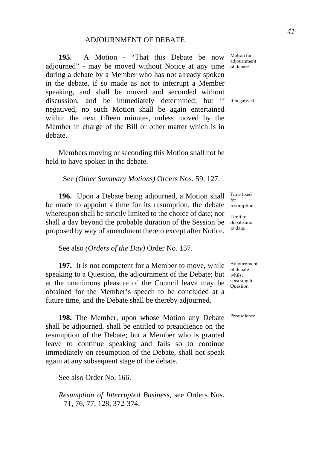**195.** A Motion - "That this Debate be now adjourned" - may be moved without Notice at any time of debate. during a debate by a Member who has not already spoken in the debate, if so made as not to interrupt a Member speaking, and shall be moved and seconded without discussion, and be immediately determined; but if If negatived. negatived, no such Motion shall be again entertained within the next fifteen minutes, unless moved by the Member in charge of the Bill or other matter which is in debate.

Members moving or seconding this Motion shall not be held to have spoken in the debate.

See *(Other Summary Motions)* Orders Nos. 59, 127.

**196.** Upon a Debate being adjourned, a Motion shall be made to appoint a time for its resumption, the debate resumption. whereupon shall be strictly limited to the choice of date; nor shall a day beyond the probable duration of the Session be debate and proposed by way of amendment thereto except after Notice.

See also *(Orders of the Day)* Order No. 157.

**197.** It is not competent for a Member to move, while speaking to a Question, the adjournment of the Debate; but whilst at the unanimous pleasure of the Council leave may be obtained for the Member's speech to be concluded at a future time, and the Debate shall be thereby adjourned.

**198.** The Member, upon whose Motion any Debate shall be adjourned, shall be entitled to preaudience on the resumption of the Debate; but a Member who is granted leave to continue speaking and fails so to continue immediately on resumption of the Debate, shall not speak again at any subsequent stage of the debate.

See also Order No. 166.

*Resumption of Interrupted Business,* see Orders Nos. 71, 76, 77, 128, 372-374.

Motion for adjournment

Time fixed for

Limit to to date.

Adjournment of debate speaking to Question.

Preaudience.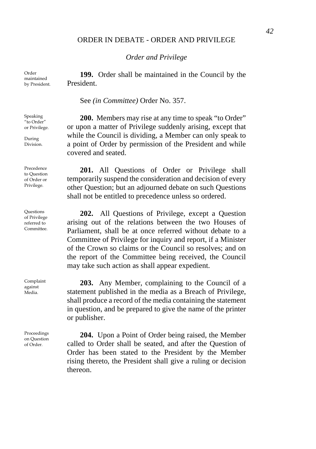## ORDER IN DEBATE - ORDER AND PRIVILEGE

*Order and Privilege*

**199.** Order shall be maintained in the Council by the President.

See *(in Committee)* Order No. 357.

**200.** Members may rise at any time to speak "to Order" or upon a matter of Privilege suddenly arising, except that while the Council is dividing, a Member can only speak to a point of Order by permission of the President and while covered and seated.

**201.** All Questions of Order or Privilege shall temporarily suspend the consideration and decision of every other Question; but an adjourned debate on such Questions shall not be entitled to precedence unless so ordered.

**202.** All Questions of Privilege, except a Question arising out of the relations between the two Houses of Parliament, shall be at once referred without debate to a Committee of Privilege for inquiry and report, if a Minister of the Crown so claims or the Council so resolves; and on the report of the Committee being received, the Council may take such action as shall appear expedient.

**203.** Any Member, complaining to the Council of a statement published in the media as a Breach of Privilege, shall produce a record of the media containing the statement in question, and be prepared to give the name of the printer or publisher.

**204.** Upon a Point of Order being raised, the Member called to Order shall be seated, and after the Question of Order has been stated to the President by the Member rising thereto, the President shall give a ruling or decision thereon.

Order maintained by President.

Speaking "to Order" or Privilege.

During Division.

Precedence to Question of Order or Privilege.

**Ouestions** of Privilege referred to Committee.

Complaint against Media.

Proceedings on Question of Order.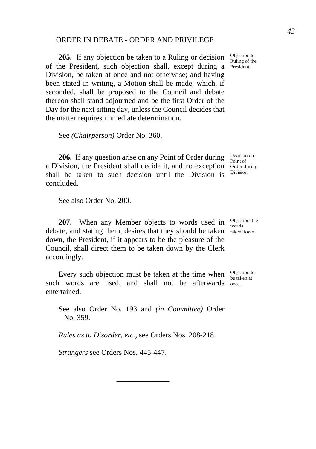## ORDER IN DEBATE - ORDER AND PRIVILEGE

**205.** If any objection be taken to a Ruling or decision of the President, such objection shall, except during a President. Division, be taken at once and not otherwise; and having been stated in writing, a Motion shall be made, which, if seconded, shall be proposed to the Council and debate thereon shall stand adjourned and be the first Order of the Day for the next sitting day, unless the Council decides that the matter requires immediate determination.

See *(Chairperson)* Order No. 360.

**206.** If any question arise on any Point of Order during  $\frac{\text{Decision on}}{\text{Point of}}$ a Division, the President shall decide it, and no exception Order during shall be taken to such decision until the Division is concluded.

See also Order No. 200.

**207.** When any Member objects to words used in Objectionable debate, and stating them, desires that they should be taken taken down. down, the President, if it appears to be the pleasure of the Council, shall direct them to be taken down by the Clerk accordingly.

Every such objection must be taken at the time when  $\frac{\text{Objection to}}{\text{bestion of}}$ such words are used, and shall not be afterwards once. entertained.

See also Order No. 193 and *(in Committee)* Order No. 359.

\_\_\_\_\_\_\_\_\_\_\_\_\_\_

*Rules as to Disorder, etc.,* see Orders Nos. 208-218.

*Strangers* see Orders Nos. 445-447.

Objection to Ruling of the

Division.

words

be taken at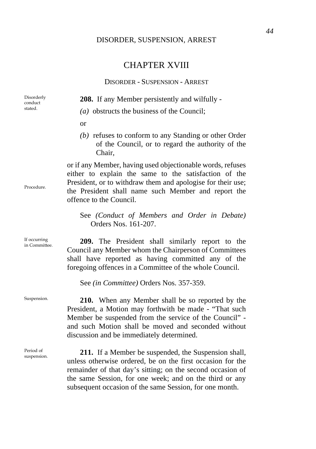# DISORDER, SUSPENSION, ARREST

# CHAPTER XVIII

# DISORDER - SUSPENSION - ARREST

| Disorderly<br>conduct<br>stated. | 208. If any Member persistently and wilfully -                                                                                                                                                                                                                                                         |
|----------------------------------|--------------------------------------------------------------------------------------------------------------------------------------------------------------------------------------------------------------------------------------------------------------------------------------------------------|
|                                  | $(a)$ obstructs the business of the Council;                                                                                                                                                                                                                                                           |
|                                  | <sub>or</sub>                                                                                                                                                                                                                                                                                          |
|                                  | $(b)$ refuses to conform to any Standing or other Order<br>of the Council, or to regard the authority of the<br>Chair,                                                                                                                                                                                 |
| Procedure.                       | or if any Member, having used objectionable words, refuses<br>either to explain the same to the satisfaction of the<br>President, or to withdraw them and apologise for their use;<br>the President shall name such Member and report the<br>offence to the Council.                                   |
|                                  | See (Conduct of Members and Order in Debate)<br>Orders Nos. 161-207.                                                                                                                                                                                                                                   |
| If occurring<br>in Committee.    | 209. The President shall similarly report to the<br>Council any Member whom the Chairperson of Committees<br>shall have reported as having committed any of the<br>foregoing offences in a Committee of the whole Council.                                                                             |
|                                  | See (in Committee) Orders Nos. 357-359.                                                                                                                                                                                                                                                                |
| Suspension.                      | 210. When any Member shall be so reported by the<br>President, a Motion may forthwith be made - "That such<br>Member be suspended from the service of the Council" -<br>and such Motion shall be moved and seconded without<br>discussion and be immediately determined.                               |
| Period of<br>suspension.         | 211. If a Member be suspended, the Suspension shall,<br>unless otherwise ordered, be on the first occasion for the<br>remainder of that day's sitting; on the second occasion of<br>the same Session, for one week; and on the third or any<br>subsequent occasion of the same Session, for one month. |

*44*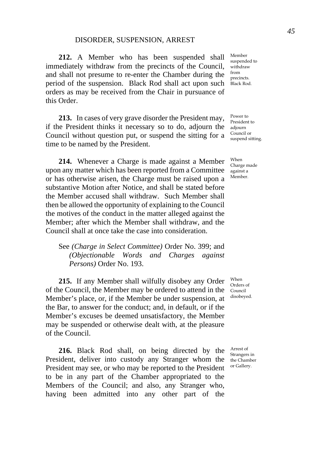#### DISORDER, SUSPENSION, ARREST

**212.** A Member who has been suspended shall immediately withdraw from the precincts of the Council, and shall not presume to re-enter the Chamber during the period of the suspension. Black Rod shall act upon such orders as may be received from the Chair in pursuance of this Order.

**213.** In cases of very grave disorder the President may, if the President thinks it necessary so to do, adjourn the adjourn Council without question put, or suspend the sitting for a time to be named by the President.

**214.** Whenever a Charge is made against a Member upon any matter which has been reported from a Committee or has otherwise arisen, the Charge must be raised upon a substantive Motion after Notice, and shall be stated before the Member accused shall withdraw. Such Member shall then be allowed the opportunity of explaining to the Council the motives of the conduct in the matter alleged against the Member; after which the Member shall withdraw, and the Council shall at once take the case into consideration.

See *(Charge in Select Committee)* Order No. 399; and *(Objectionable Words and Charges against Persons)* Order No. 193.

**215.** If any Member shall wilfully disobey any Order of the Council, the Member may be ordered to attend in the Member's place, or, if the Member be under suspension, at the Bar, to answer for the conduct; and, in default, or if the Member's excuses be deemed unsatisfactory, the Member may be suspended or otherwise dealt with, at the pleasure of the Council.

**216.** Black Rod shall, on being directed by the President, deliver into custody any Stranger whom the President may see, or who may be reported to the President to be in any part of the Chamber appropriated to the Members of the Council; and also, any Stranger who, having been admitted into any other part of the

Member suspended to withdraw from precincts. Black Rod.

Power to President to Council or suspend sitting.

When Charge made against a Member.

When Orders of Council disobeyed.

Arrest of Strangers in the Chamber or Gallery.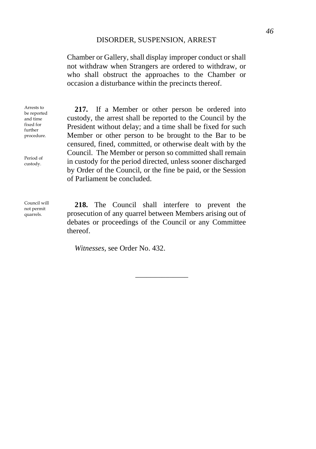Chamber or Gallery, shall display improper conduct or shall not withdraw when Strangers are ordered to withdraw, or who shall obstruct the approaches to the Chamber or occasion a disturbance within the precincts thereof.

Arrests to be reported and time fixed for further procedure.

Period of custody.

Council will not permit quarrels.

**217.** If a Member or other person be ordered into custody, the arrest shall be reported to the Council by the President without delay; and a time shall be fixed for such Member or other person to be brought to the Bar to be censured, fined, committed, or otherwise dealt with by the Council. The Member or person so committed shall remain in custody for the period directed, unless sooner discharged by Order of the Council, or the fine be paid, or the Session of Parliament be concluded.

**218.** The Council shall interfere to prevent the prosecution of any quarrel between Members arising out of debates or proceedings of the Council or any Committee thereof.

\_\_\_\_\_\_\_\_\_\_\_\_\_\_

*Witnesses,* see Order No. 432.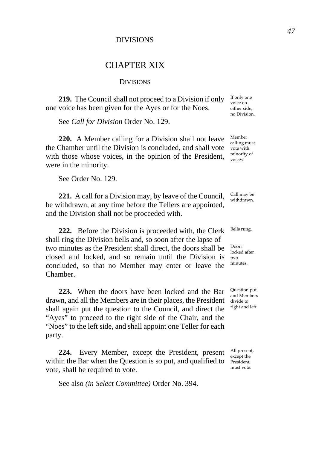# DIVISIONS

# CHAPTER XIX

#### **DIVISIONS**

**219.** The Council shall not proceed to a Division if only one voice has been given for the Ayes or for the Noes.

See *Call for Division* Order No. 129.

**220.** A Member calling for a Division shall not leave the Chamber until the Division is concluded, and shall vote with those whose voices, in the opinion of the President, were in the minority.

See Order No. 129.

**221.** A call for a Division may, by leave of the Council, be withdrawn, at any time before the Tellers are appointed, and the Division shall not be proceeded with.

**222.** Before the Division is proceeded with, the Clerk shall ring the Division bells and, so soon after the lapse of two minutes as the President shall direct, the doors shall be closed and locked, and so remain until the Division is concluded, so that no Member may enter or leave the Chamber.

**223.** When the doors have been locked and the Bar drawn, and all the Members are in their places, the President shall again put the question to the Council, and direct the "Ayes" to proceed to the right side of the Chair, and the "Noes" to the left side, and shall appoint one Teller for each party.

**224.** Every Member, except the President, present within the Bar when the Question is so put, and qualified to vote, shall be required to vote.

See also *(in Select Committee)* Order No. 394.

If only one voice on either side, no Division.

Member calling must vote with minority of voices.

Call may be withdrawn.

Bells rung,

Doors locked after two minutes.

Question put and Members divide to right and left.

All present, except the President, must vote.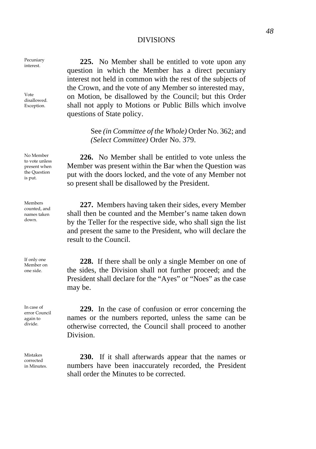### DIVISIONS

Pecuniary **225.** No Member shall be entitled to vote upon any question in which the Member has a direct pecuniary interest not held in common with the rest of the subjects of the Crown, and the vote of any Member so interested may, on Motion, be disallowed by the Council; but this Order shall not apply to Motions or Public Bills which involve questions of State policy.

> See *(in Committee of the Whole)* Order No. 362; and *(Select Committee)* Order No. 379.

**226.** No Member shall be entitled to vote unless the Member was present within the Bar when the Question was put with the doors locked, and the vote of any Member not so present shall be disallowed by the President.

**227.** Members having taken their sides, every Member shall then be counted and the Member's name taken down by the Teller for the respective side, who shall sign the list and present the same to the President, who will declare the result to the Council.

**228.** If there shall be only a single Member on one of the sides, the Division shall not further proceed; and the President shall declare for the "Ayes" or "Noes" as the case may be.

**229.** In the case of confusion or error concerning the names or the numbers reported, unless the same can be otherwise corrected, the Council shall proceed to another Division.

**230.** If it shall afterwards appear that the names or numbers have been inaccurately recorded, the President shall order the Minutes to be corrected.

Pecuniary

Vote disallowed. Exception.

No Member to vote unless present when the Question is put.

Members counted, and names taken down.

If only one Member on one side.

In case of error Council again to divide.

Mistakes corrected in Minutes.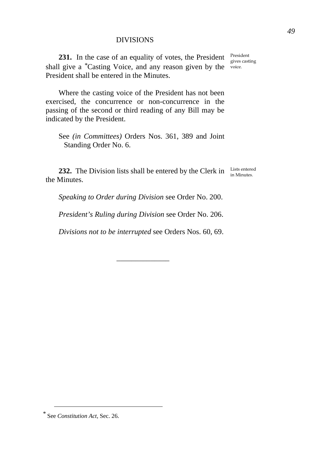# DIVISIONS

**231.** In the case of an equality of votes, the President President shall give a <sup>[\\*](#page-52-0)</sup>Casting Voice, and any reason given by the voice. President shall be entered in the Minutes.

Where the casting voice of the President has not been exercised, the concurrence or non-concurrence in the passing of the second or third reading of any Bill may be indicated by the President.

See *(in Committees)* Orders Nos. 361, 389 and Joint Standing Order No. 6.

**232.** The Division lists shall be entered by the Clerk in  $\frac{\text{Lists entered}}{\text{in Minnesota}}$ the Minutes.

gives casting

*Speaking to Order during Division* see Order No. 200.

*President's Ruling during Division* see Order No. 206.

*Divisions not to be interrupted* see Orders Nos. 60, 69.

\_\_\_\_\_\_\_\_\_\_\_\_\_\_

<span id="page-52-0"></span>*<sup>\*</sup>* See *Constitution Act*, Sec. 26.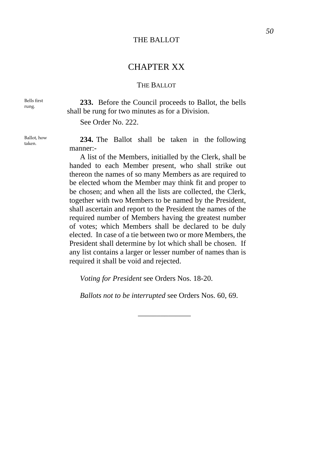# THE BALLOT

# CHAPTER XX

# THE BALLOT

Bells first rung.

Ballot, how

**233.** Before the Council proceeds to Ballot, the bells shall be rung for two minutes as for a Division.

See Order No. 222.

Eallot, how **234.** The Ballot shall be taken in the following manner:-

> A list of the Members, initialled by the Clerk, shall be handed to each Member present, who shall strike out thereon the names of so many Members as are required to be elected whom the Member may think fit and proper to be chosen; and when all the lists are collected, the Clerk, together with two Members to be named by the President, shall ascertain and report to the President the names of the required number of Members having the greatest number of votes; which Members shall be declared to be duly elected. In case of a tie between two or more Members, the President shall determine by lot which shall be chosen. If any list contains a larger or lesser number of names than is required it shall be void and rejected.

*Voting for President* see Orders Nos. 18-20.

*Ballots not to be interrupted* see Orders Nos. 60, 69.

\_\_\_\_\_\_\_\_\_\_\_\_\_\_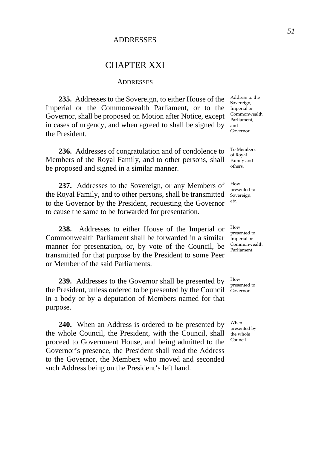# **ADDRESSES**

# CHAPTER XXI

#### **ADDRESSES**

**235.** Addresses to the Sovereign, to either House of the Imperial or the Commonwealth Parliament, or to the Governor, shall be proposed on Motion after Notice, except in cases of urgency, and when agreed to shall be signed by the President.

**236.** Addresses of congratulation and of condolence to Members of the Royal Family, and to other persons, shall be proposed and signed in a similar manner.

**237.** Addresses to the Sovereign, or any Members of the Royal Family, and to other persons, shall be transmitted to the Governor by the President, requesting the Governor to cause the same to be forwarded for presentation.

**238.** Addresses to either House of the Imperial or Commonwealth Parliament shall be forwarded in a similar manner for presentation, or, by vote of the Council, be transmitted for that purpose by the President to some Peer or Member of the said Parliaments.

**239.** Addresses to the Governor shall be presented by the President, unless ordered to be presented by the Council in a body or by a deputation of Members named for that purpose.

**240.** When an Address is ordered to be presented by the whole Council, the President, with the Council, shall proceed to Government House, and being admitted to the Governor's presence, the President shall read the Address to the Governor, the Members who moved and seconded such Address being on the President's left hand.

Address to the Sovereign, Imperial or Commonwealth Parliament, and Governor.

To Members of Royal Family and others.

How presented to Sovereign, etc.

How presented to Imperial or Commonwealth Parliament.

How presented to Governor.

When presented by the whole Council.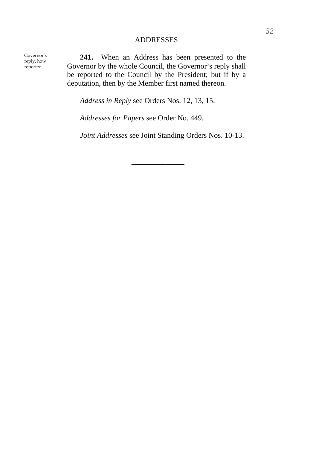# ADDRESSES

Governor's reply, how reported.

**241.** When an Address has been presented to the Governor by the whole Council, the Governor's reply shall be reported to the Council by the President; but if by a deputation, then by the Member first named thereon.

*Address in Reply* see Orders Nos. 12, 13, 15.

*Addresses for Papers* see Order No. 449.

*Joint Addresses* see Joint Standing Orders Nos. 10-13.

\_\_\_\_\_\_\_\_\_\_\_\_\_\_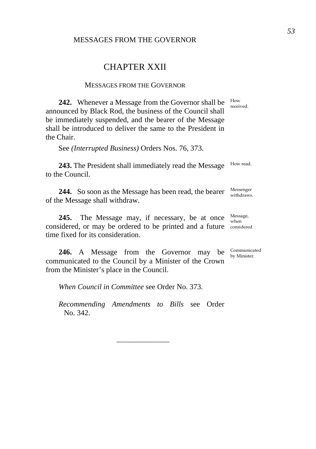## MESSAGES FROM THE GOVERNOR

# CHAPTER XXII

#### MESSAGES FROM THE GOVERNOR

**242.** Whenever a Message from the Governor shall be announced by Black Rod, the business of the Council shall be immediately suspended, and the bearer of the Message shall be introduced to deliver the same to the President in the Chair.

See *(Interrupted Business)* Orders Nos. 76, 373.

**243.** The President shall immediately read the Message to the Council.

**244.** So soon as the Message has been read, the bearer Messenger of the Message shall withdraw.

**245.** The Message may, if necessary, be at once Message, considered, or may be ordered to be printed and a future considered. time fixed for its consideration. when

**246.** A Message from the Governor may be communicated to the Council by a Minister of the Crown from the Minister's place in the Council.

*When Council in Committee* see Order No. 373.

*Recommending Amendments to Bills* see Order No. 342.

\_\_\_\_\_\_\_\_\_\_\_\_\_\_

Communicated by Minister.

received.

How

How read.

withdraws.

*53*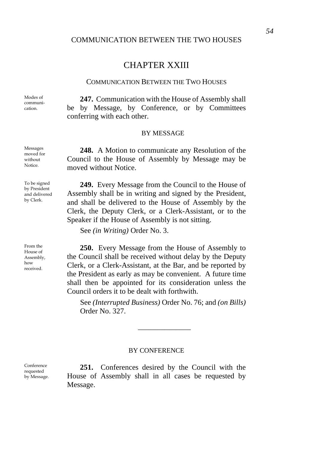### COMMUNICATION BETWEEN THE TWO HOUSES

# CHAPTER XXIII

### COMMUNICATION BETWEEN THE TWO HOUSES

Modes of communication.

Messages moved for without Notice.

**247.** Communication with the House of Assembly shall be by Message, by Conference, or by Committees conferring with each other.

#### BY MESSAGE

**248.** A Motion to communicate any Resolution of the Council to the House of Assembly by Message may be moved without Notice.

**249.** Every Message from the Council to the House of Assembly shall be in writing and signed by the President, and shall be delivered to the House of Assembly by the Clerk, the Deputy Clerk, or a Clerk-Assistant, or to the Speaker if the House of Assembly is not sitting.

See *(in Writing)* Order No. 3.

**250.** Every Message from the House of Assembly to the Council shall be received without delay by the Deputy Clerk, or a Clerk-Assistant, at the Bar, and be reported by the President as early as may be convenient. A future time shall then be appointed for its consideration unless the Council orders it to be dealt with forthwith.

See *(Interrupted Business)* Order No. 76; and *(on Bills)* Order No. 327.

\_\_\_\_\_\_\_\_\_\_\_\_\_\_

#### BY CONFERENCE

**251.** Conferences desired by the Council with the House of Assembly shall in all cases be requested by Message.

To be signed by President and delivered by Clerk.

From the House of Assembly, how received.

Conference requested by Message.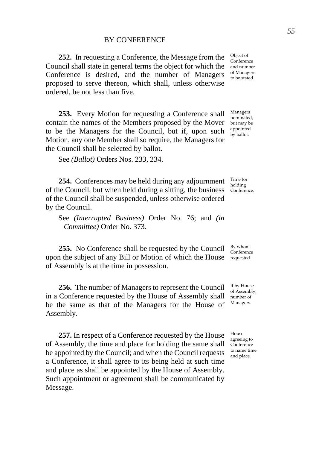**252.** In requesting a Conference, the Message from the Council shall state in general terms the object for which the Conference is desired, and the number of Managers proposed to serve thereon, which shall, unless otherwise ordered, be not less than five.

**253.** Every Motion for requesting a Conference shall contain the names of the Members proposed by the Mover to be the Managers for the Council, but if, upon such Motion, any one Member shall so require, the Managers for the Council shall be selected by ballot.

See *(Ballot)* Orders Nos. 233, 234.

**254.** Conferences may be held during any adjournment of the Council, but when held during a sitting, the business Conference. of the Council shall be suspended, unless otherwise ordered by the Council.

See *(Interrupted Business)* Order No. 76; and *(in Committee)* Order No. 373.

**255.** No Conference shall be requested by the Council upon the subject of any Bill or Motion of which the House requested. of Assembly is at the time in possession.

**256.** The number of Managers to represent the Council in a Conference requested by the House of Assembly shall be the same as that of the Managers for the House of Assembly.

**257.** In respect of a Conference requested by the House of Assembly, the time and place for holding the same shall be appointed by the Council; and when the Council requests a Conference, it shall agree to its being held at such time and place as shall be appointed by the House of Assembly. Such appointment or agreement shall be communicated by Message.

Object of Conference and number of Managers to be stated.

Managers nominated, but may be appointed by ballot.

Time for holding

By whom Conference

If by House of Assembly, number of Managers.

House agreeing to Conference to name time and place.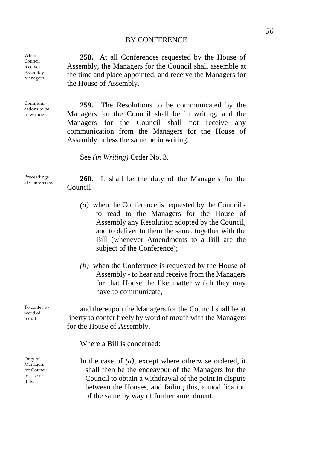### BY CONFERENCE

**258.** At all Conferences requested by the House of Assembly, the Managers for the Council shall assemble at the time and place appointed, and receive the Managers for the House of Assembly.

**259.** The Resolutions to be communicated by the Managers for the Council shall be in writing; and the Managers for the Council shall not receive any communication from the Managers for the House of Assembly unless the same be in writing.

See *(in Writing)* Order No. 3.

Proceedings

When Council receives Assembly Managers.

Communications to be in writing.

To confer by word of mouth.

Duty of Managers for Council in case of Bills.

Proceedings 260. It shall be the duty of the Managers for the Council -

- *(a)* when the Conference is requested by the Council to read to the Managers for the House of Assembly any Resolution adopted by the Council, and to deliver to them the same, together with the Bill (whenever Amendments to a Bill are the subject of the Conference);
- *(b)* when the Conference is requested by the House of Assembly - to hear and receive from the Managers for that House the like matter which they may have to communicate,

and thereupon the Managers for the Council shall be at liberty to confer freely by word of mouth with the Managers for the House of Assembly.

Where a Bill is concerned:

In the case of *(a)*, except where otherwise ordered, it shall then be the endeavour of the Managers for the Council to obtain a withdrawal of the point in dispute between the Houses, and failing this, a modification of the same by way of further amendment;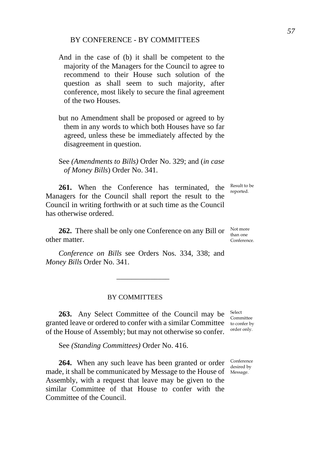# BY CONFERENCE - BY COMMITTEES

- And in the case of (b) it shall be competent to the majority of the Managers for the Council to agree to recommend to their House such solution of the question as shall seem to such majority, after conference, most likely to secure the final agreement of the two Houses.
- but no Amendment shall be proposed or agreed to by them in any words to which both Houses have so far agreed, unless these be immediately affected by the disagreement in question.

See *(Amendments to Bills)* Order No. 329; and (*in case of Money Bills*) Order No. 341.

**261.** When the Conference has terminated, the Managers for the Council shall report the result to the Council in writing forthwith or at such time as the Council has otherwise ordered.

**262.** There shall be only one Conference on any Bill or other matter.

*Conference on Bills* see Orders Nos. 334, 338; and *Money Bills* Order No. 341.

\_\_\_\_\_\_\_\_\_\_\_\_\_\_

#### BY COMMITTEES

**263.** Any Select Committee of the Council may be granted leave or ordered to confer with a similar Committee to confer by of the House of Assembly; but may not otherwise so confer. Select Committee order only.

See *(Standing Committees)* Order No. 416.

**264.** When any such leave has been granted or order  $\frac{\text{Confference}}{\text{desired by }}$ made, it shall be communicated by Message to the House of Message. Assembly, with a request that leave may be given to the similar Committee of that House to confer with the Committee of the Council.

desired by

Not more than one Conference.

Result to be reported.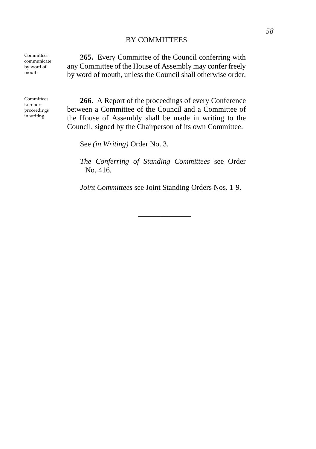## BY COMMITTEES

Committees communicate by word of mouth.

Committees to report proceedings in writing.

**265.** Every Committee of the Council conferring with any Committee of the House of Assembly may confer freely by word of mouth, unless the Council shall otherwise order.

**266.** A Report of the proceedings of every Conference between a Committee of the Council and a Committee of the House of Assembly shall be made in writing to the Council, signed by the Chairperson of its own Committee.

See *(in Writing)* Order No. 3.

*The Conferring of Standing Committees* see Order No. 416.

*Joint Committees* see Joint Standing Orders Nos. 1-9.

\_\_\_\_\_\_\_\_\_\_\_\_\_\_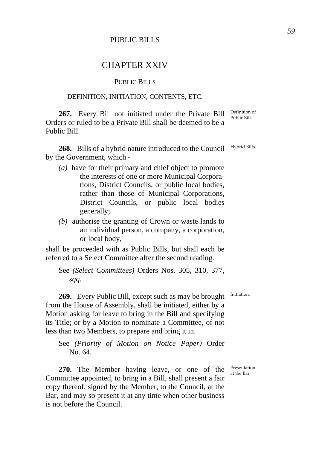# PUBLIC BILLS

# CHAPTER XXIV

# PUBLIC BILLS

## DEFINITION, INITIATION, CONTENTS, ETC.

**267.** Every Bill not initiated under the Private Bill  $\frac{\text{Definition of}}{\text{p}_\text{oblic Bell}}$ Orders or ruled to be a Private Bill shall be deemed to be a Public Bill.

**268.** Bills of a hybrid nature introduced to the Council by the Government, which -

- *(a)* have for their primary and chief object to promote the interests of one or more Municipal Corporations, District Councils, or public local bodies, rather than those of Municipal Corporations, District Councils, or public local bodies generally;
- *(b)* authorise the granting of Crown or waste lands to an individual person, a company, a corporation, or local body,

shall be proceeded with as Public Bills, but shall each be referred to a Select Committee after the second reading.

See *(Select Committees)* Orders Nos. 305, 310, 377, *sqq.*

**269.** Every Public Bill, except such as may be brought from the House of Assembly, shall be initiated, either by a Motion asking for leave to bring in the Bill and specifying its Title; or by a Motion to nominate a Committee, of not less than two Members, to prepare and bring it in.

See *(Priority of Motion on Notice Paper)* Order No. 64.

**270.** The Member having leave, or one of the Committee appointed, to bring in a Bill, shall present a fair copy thereof, signed by the Member, to the Council, at the Bar, and may so present it at any time when other business is not before the Council.

Presentation at the Bar.

Initiation.

Hybrid Bills.

Public Bill.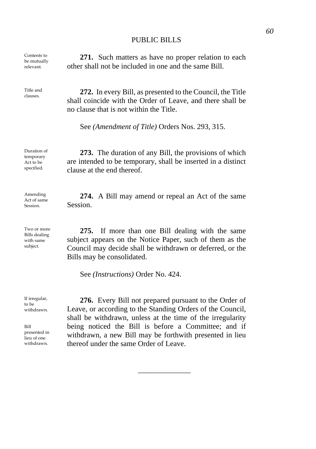### PUBLIC BILLS

Contents to be mutually relevant.

Title and<br>clauses.

Duration of temporary Act to be specified.

Amending Act of same Session.

Two or more Bills dealing with same subject.

**271.** Such matters as have no proper relation to each other shall not be included in one and the same Bill.

272. In every Bill, as presented to the Council, the Title shall coincide with the Order of Leave, and there shall be no clause that is not within the Title.

See *(Amendment of Title)* Orders Nos. 293, 315.

**273.** The duration of any Bill, the provisions of which are intended to be temporary, shall be inserted in a distinct clause at the end thereof.

**274.** A Bill may amend or repeal an Act of the same Session.

**275.** If more than one Bill dealing with the same subject appears on the Notice Paper, such of them as the Council may decide shall be withdrawn or deferred, or the Bills may be consolidated.

See *(Instructions)* Order No. 424.

If irregular, to be withdrawn.

Bill presented in lieu of one withdrawn.

**276.** Every Bill not prepared pursuant to the Order of Leave, or according to the Standing Orders of the Council, shall be withdrawn, unless at the time of the irregularity being noticed the Bill is before a Committee; and if withdrawn, a new Bill may be forthwith presented in lieu thereof under the same Order of Leave.

\_\_\_\_\_\_\_\_\_\_\_\_\_\_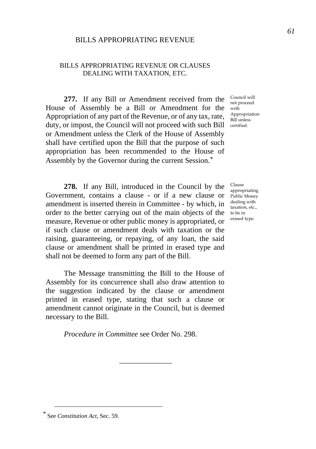# BILLS APPROPRIATING REVENUE

## BILLS APPROPRIATING REVENUE OR CLAUSES DEALING WITH TAXATION, ETC.

**277.** If any Bill or Amendment received from the House of Assembly be a Bill or Amendment for the with Appropriation of any part of the Revenue, or of any tax, rate,  $\frac{\text{Appropriate}}{\text{Bill unless}}$ duty, or impost, the Council will not proceed with such Bill certified. or Amendment unless the Clerk of the House of Assembly shall have certified upon the Bill that the purpose of such appropriation has been recommended to the House of Assembly by the Governor during the current Session.*[\\*](#page-64-0)*

**278.** If any Bill, introduced in the Council by the Government, contains a clause - or if a new clause or amendment is inserted therein in Committee - by which, in order to the better carrying out of the main objects of the to be in measure, Revenue or other public money is appropriated, or if such clause or amendment deals with taxation or the raising, guaranteeing, or repaying, of any loan, the said clause or amendment shall be printed in erased type and shall not be deemed to form any part of the Bill.

The Message transmitting the Bill to the House of Assembly for its concurrence shall also draw attention to the suggestion indicated by the clause or amendment printed in erased type, stating that such a clause or amendment cannot originate in the Council, but is deemed necessary to the Bill.

*Procedure in Committee* see Order No. 298.

\_\_\_\_\_\_\_\_\_\_\_\_\_\_

Council will not proceed Appropriation

Clause appropriating Public Money dealing with taxation, etc., erased type.

<span id="page-64-0"></span>*<sup>\*</sup>* See *Constitution Act*, Sec. 59.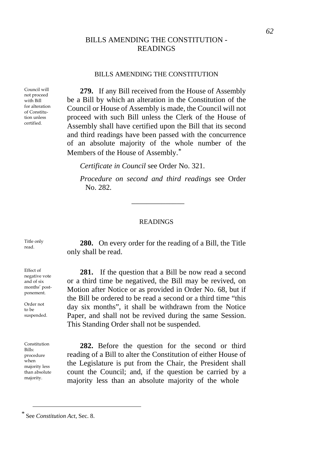# BILLS AMENDING THE CONSTITUTION - READINGS

#### BILLS AMENDING THE CONSTITUTION

Council will not proceed with Bill for alteration of Constitution unless certified.

**279.** If any Bill received from the House of Assembly be a Bill by which an alteration in the Constitution of the Council or House of Assembly is made, the Council will not proceed with such Bill unless the Clerk of the House of Assembly shall have certified upon the Bill that its second and third readings have been passed with the concurrence of an absolute majority of the whole number of the Members of the House of Assembly.*[\\*](#page-65-0)*

*Certificate in Council* see Order No. 321.

*Procedure on second and third readings* see Order No. 282.

#### READINGS

\_\_\_\_\_\_\_\_\_\_\_\_\_\_

**280.** On every order for the reading of a Bill, the Title only shall be read.

**281.** If the question that a Bill be now read a second or a third time be negatived, the Bill may be revived, on Motion after Notice or as provided in Order No. 68, but if the Bill be ordered to be read a second or a third time "this day six months", it shall be withdrawn from the Notice Paper, and shall not be revived during the same Session. This Standing Order shall not be suspended.

**282.** Before the question for the second or third reading of a Bill to alter the Constitution of either House of the Legislature is put from the Chair, the President shall count the Council; and, if the question be carried by a majority less than an absolute majority of the whole

Title only

Effect of negative vote and of six months' postponement.

Order not to be suspended.

Constitution  $B<sub>311c</sub>$ . procedure when majority less than absolute majority.

<span id="page-65-0"></span>*<sup>\*</sup>* See *Constitution Act*, Sec. 8.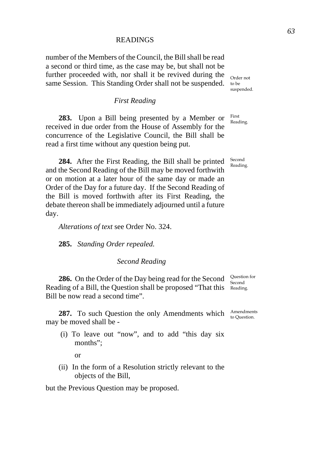## **READINGS**

number of the Members of the Council, the Bill shall be read a second or third time, as the case may be, but shall not be further proceeded with, nor shall it be revived during the same Session. This Standing Order shall not be suspended.

### *First Reading*

**283.** Upon a Bill being presented by a Member or received in due order from the House of Assembly for the concurrence of the Legislative Council, the Bill shall be read a first time without any question being put.

**284.** After the First Reading, the Bill shall be printed and the Second Reading of the Bill may be moved forthwith or on motion at a later hour of the same day or made an Order of the Day for a future day. If the Second Reading of the Bill is moved forthwith after its First Reading, the debate thereon shall be immediately adjourned until a future day.

*Alterations of text* see Order No. 324.

**285.** *Standing Order repealed.*

# *Second Reading*

**286.** On the Order of the Day being read for the Second  $\frac{\text{Question for}}{\text{Concat}}$ Reading of a Bill, the Question shall be proposed "That this Reading. Bill be now read a second time".

**287.** To such Question the only Amendments which Amendments may be moved shall be -

 (i) To leave out "now", and to add "this day six months";

or

(ii) In the form of a Resolution strictly relevant to the objects of the Bill,

but the Previous Question may be proposed.

Order not to be suspended.

First Reading.

Second Reading.

Second

to Question.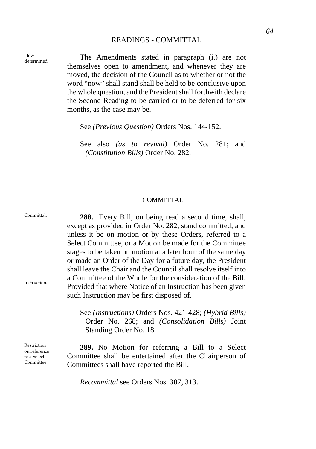## READINGS - COMMITTAL

How How The Amendments stated in paragraph (i.) are not themselves open to amendment, and whenever they are moved, the decision of the Council as to whether or not the word "now" shall stand shall be held to be conclusive upon the whole question, and the President shall forthwith declare the Second Reading to be carried or to be deferred for six months, as the case may be.

See *(Previous Question)* Orders Nos. 144-152.

See also *(as to revival)* Order No. 281; and *(Constitution Bills)* Order No. 282.

\_\_\_\_\_\_\_\_\_\_\_\_\_\_

#### COMMITTAL

**288.** Every Bill, on being read a second time, shall, except as provided in Order No. 282, stand committed, and unless it be on motion or by these Orders, referred to a Select Committee, or a Motion be made for the Committee stages to be taken on motion at a later hour of the same day or made an Order of the Day for a future day, the President shall leave the Chair and the Council shall resolve itself into a Committee of the Whole for the consideration of the Bill: Provided that where Notice of an Instruction has been given such Instruction may be first disposed of.

See *(Instructions)* Orders Nos. 421-428; *(Hybrid Bills)* Order No. 268; and *(Consolidation Bills)* Joint Standing Order No. 18.

**289.** No Motion for referring a Bill to a Select Committee shall be entertained after the Chairperson of Committees shall have reported the Bill.

*Recommittal* see Orders Nos. 307, 313.

How

*64* 

Instruction.

Committal.

Restriction on reference to a Select Committee.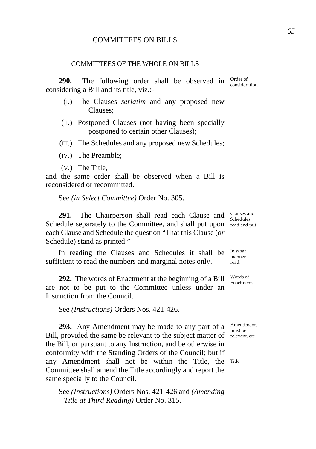# COMMITTEES ON BILLS

#### COMMITTEES OF THE WHOLE ON BILLS

**290.** The following order shall be observed in <sup>Order of</sup> considering a Bill and its title, viz.:-

- (I.) The Clauses *seriatim* and any proposed new Clauses;
- (II.) Postponed Clauses (not having been specially postponed to certain other Clauses);
- (III.) The Schedules and any proposed new Schedules;
- (IV.) The Preamble;
- (V.) The Title,

and the same order shall be observed when a Bill is reconsidered or recommitted.

See *(in Select Committee)* Order No. 305.

**291.** The Chairperson shall read each Clause and Schedule separately to the Committee, and shall put upon read and put. each Clause and Schedule the question "That this Clause (*or* Schedule) stand as printed."

In reading the Clauses and Schedules it shall be sufficient to read the numbers and marginal notes only.

**292.** The words of Enactment at the beginning of a Bill are not to be put to the Committee unless under an Instruction from the Council.

See *(Instructions)* Orders Nos. 421-426.

**293.** Any Amendment may be made to any part of a  $\frac{\text{Amendments}}{\text{mucleon}}$ Bill, provided the same be relevant to the subject matter of relevant, etc. the Bill, or pursuant to any Instruction, and be otherwise in conformity with the Standing Orders of the Council; but if any Amendment shall not be within the Title, the Title. Committee shall amend the Title accordingly and report the same specially to the Council.

See *(Instructions)* Orders Nos. 421-426 and *(Amending Title at Third Reading)* Order No. 315.

Clauses and Schedules

In what manner read.

Words of Enactment.

must be

consideration.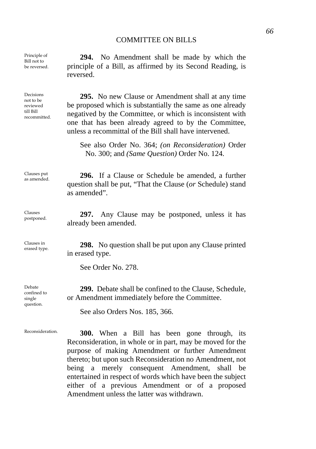### COMMITTEE ON BILLS

**294.** No Amendment shall be made by which the principle of a Bill, as affirmed by its Second Reading, is

Principle of Bill not to be reversed.

reversed.

as amended".

Decisions not to be reviewed till Bill recommitted.

**295.** No new Clause or Amendment shall at any time be proposed which is substantially the same as one already negatived by the Committee, or which is inconsistent with one that has been already agreed to by the Committee,

unless a recommittal of the Bill shall have intervened.

See also Order No. 364; *(on Reconsideration)* Order No. 300; and *(Same Question)* Order No. 124.

question shall be put, "That the Clause (*or* Schedule) stand

Clauses put Clauses put **296.** If a Clause or Schedule be amended, a further

Clauses postponed. **297.** Any Clause may be postponed, unless it has

Clauses in

**298.** No question shall be put upon any Clause printed in erased type.

See Order No. 278.

already been amended.

**299.** Debate shall be confined to the Clause, Schedule, or Amendment immediately before the Committee.

See also Orders Nos. 185, 366.

Reconsideration. **300.** When a Bill has been gone through, its Reconsideration, in whole or in part, may be moved for the purpose of making Amendment or further Amendment thereto; but upon such Reconsideration no Amendment, not being a merely consequent Amendment, shall be entertained in respect of words which have been the subject either of a previous Amendment or of a proposed Amendment unless the latter was withdrawn.

Debate confined to single question.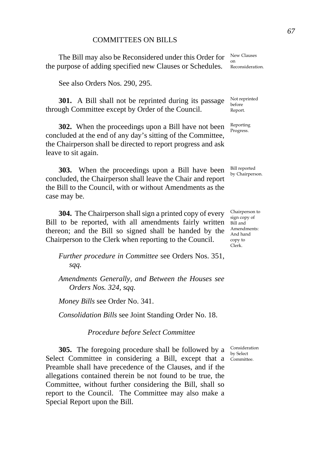# COMMITTEES ON BILLS

The Bill may also be Reconsidered under this Order for the purpose of adding specified new Clauses or Schedules.

See also Orders Nos. 290, 295.

**301.** A Bill shall not be reprinted during its passage through Committee except by Order of the Council.

**302.** When the proceedings upon a Bill have not been concluded at the end of any day's sitting of the Committee, the Chairperson shall be directed to report progress and ask leave to sit again.

**303.** When the proceedings upon a Bill have been concluded, the Chairperson shall leave the Chair and report the Bill to the Council, with or without Amendments as the case may be.

**304.** The Chairperson shall sign a printed copy of every Bill to be reported, with all amendments fairly written thereon; and the Bill so signed shall be handed by the Chairperson to the Clerk when reporting to the Council.

*Further procedure in Committee* see Orders Nos. 351, *sqq.* 

*Amendments Generally, and Between the Houses see Orders Nos. 324, sqq.* 

*Money Bills* see Order No. 341.

*Consolidation Bills* see Joint Standing Order No. 18.

*Procedure before Select Committee* 

**305.** The foregoing procedure shall be followed by a Select Committee in considering a Bill, except that a Committee. Preamble shall have precedence of the Clauses, and if the allegations contained therein be not found to be true, the Committee, without further considering the Bill, shall so report to the Council. The Committee may also make a Special Report upon the Bill.

New Clauses on Reconsideration.

Not reprinted before Report.

Reporting Progress.

Bill reported by Chairperson.

Chairperson to sign copy of Bill and Amendments: And hand copy to Clerk.

Consideration by Select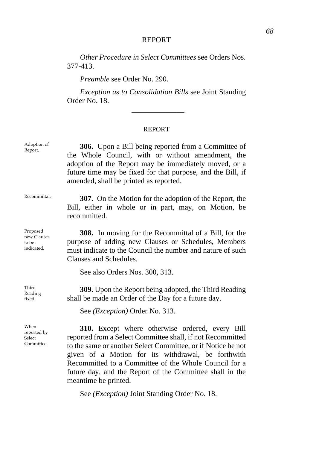# REPORT

*Other Procedure in Select Committees* see Orders Nos. 377-413.

*Preamble* see Order No. 290.

*Exception as to Consolidation Bills* see Joint Standing Order No. 18. \_\_\_\_\_\_\_\_\_\_\_\_\_\_

## REPORT

| Adoption of<br>Report.                         | 306. Upon a Bill being reported from a Committee of<br>the Whole Council, with or without amendment, the<br>adoption of the Report may be immediately moved, or a<br>future time may be fixed for that purpose, and the Bill, if<br>amended, shall be printed as reported.                                                                                                       |
|------------------------------------------------|----------------------------------------------------------------------------------------------------------------------------------------------------------------------------------------------------------------------------------------------------------------------------------------------------------------------------------------------------------------------------------|
| Recommittal.                                   | <b>307.</b> On the Motion for the adoption of the Report, the<br>Bill, either in whole or in part, may, on Motion, be<br>recommitted.                                                                                                                                                                                                                                            |
| Proposed<br>new Clauses<br>to be<br>indicated. | <b>308.</b> In moving for the Recommittal of a Bill, for the<br>purpose of adding new Clauses or Schedules, Members<br>must indicate to the Council the number and nature of such<br>Clauses and Schedules.<br>See also Orders Nos. 300, 313.                                                                                                                                    |
| Third<br>Reading<br>fixed.                     | 309. Upon the Report being adopted, the Third Reading<br>shall be made an Order of the Day for a future day.<br>See (Exception) Order No. 313.                                                                                                                                                                                                                                   |
| When<br>reported by<br>Select<br>Committee.    | 310. Except where otherwise ordered, every Bill<br>reported from a Select Committee shall, if not Recommitted<br>to the same or another Select Committee, or if Notice be not<br>given of a Motion for its withdrawal, be forthwith<br>Recommitted to a Committee of the Whole Council for a<br>future day, and the Report of the Committee shall in the<br>meantime be printed. |

See *(Exception)* Joint Standing Order No. 18.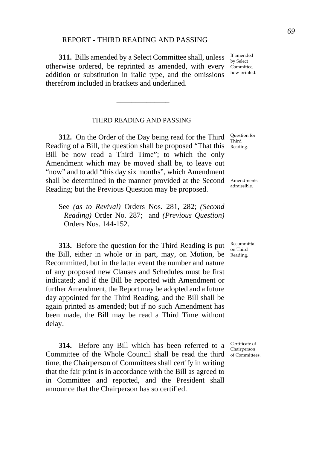## REPORT - THIRD READING AND PASSING

**311.** Bills amended by a Select Committee shall, unless otherwise ordered, be reprinted as amended, with every addition or substitution in italic type, and the omissions therefrom included in brackets and underlined.

### THIRD READING AND PASSING

\_\_\_\_\_\_\_\_\_\_\_\_\_\_

**312.** On the Order of the Day being read for the Third Reading of a Bill, the question shall be proposed "That this Bill be now read a Third Time"; to which the only Amendment which may be moved shall be, to leave out "now" and to add "this day six months", which Amendment shall be determined in the manner provided at the Second Reading; but the Previous Question may be proposed.

See *(as to Revival)* Orders Nos. 281, 282; *(Second Reading)* Order No. 287; and *(Previous Question)* Orders Nos. 144-152.

**313.** Before the question for the Third Reading is put the Bill, either in whole or in part, may, on Motion, be Reading. Recommitted, but in the latter event the number and nature of any proposed new Clauses and Schedules must be first indicated; and if the Bill be reported with Amendment or further Amendment, the Report may be adopted and a future day appointed for the Third Reading, and the Bill shall be again printed as amended; but if no such Amendment has been made, the Bill may be read a Third Time without delay.

**314.** Before any Bill which has been referred to a Committee of the Whole Council shall be read the third of Committees. time, the Chairperson of Committees shall certify in writing that the fair print is in accordance with the Bill as agreed to in Committee and reported, and the President shall announce that the Chairperson has so certified.

Question for Third Reading.

Amendments admissible.

Recommittal on Third

Certificate of Chairperson

If amended by Select Committee, how printed.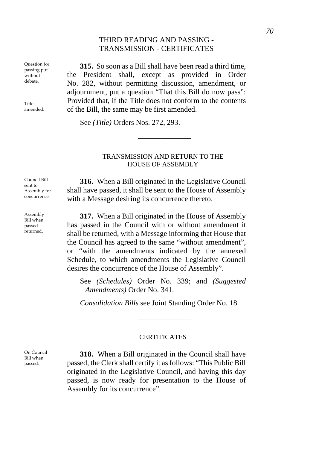# THIRD READING AND PASSING - TRANSMISSION - CERTIFICATES

Question for passing put without debate.

Title amended.

Council Bill sent to Assembly for concurrence.

Assembly Bill when passed returned.

**315.** So soon as a Bill shall have been read a third time, the President shall, except as provided in Order No. 282, without permitting discussion, amendment, or adjournment, put a question "That this Bill do now pass": Provided that, if the Title does not conform to the contents of the Bill, the same may be first amended.

See *(Title)* Orders Nos. 272, 293.

## TRANSMISSION AND RETURN TO THE HOUSE OF ASSEMBLY

\_\_\_\_\_\_\_\_\_\_\_\_\_\_

**316.** When a Bill originated in the Legislative Council shall have passed, it shall be sent to the House of Assembly with a Message desiring its concurrence thereto.

**317.** When a Bill originated in the House of Assembly has passed in the Council with or without amendment it shall be returned, with a Message informing that House that the Council has agreed to the same "without amendment", or "with the amendments indicated by the annexed Schedule, to which amendments the Legislative Council desires the concurrence of the House of Assembly".

See *(Schedules)* Order No. 339; and *(Suggested Amendments)* Order No. 341.

*Consolidation Bills* see Joint Standing Order No. 18.

### **CERTIFICATES**

\_\_\_\_\_\_\_\_\_\_\_\_\_\_

**318.** When a Bill originated in the Council shall have passed, the Clerk shall certify it as follows: "This Public Bill originated in the Legislative Council, and having this day passed, is now ready for presentation to the House of Assembly for its concurrence".

On Council Bill when passed.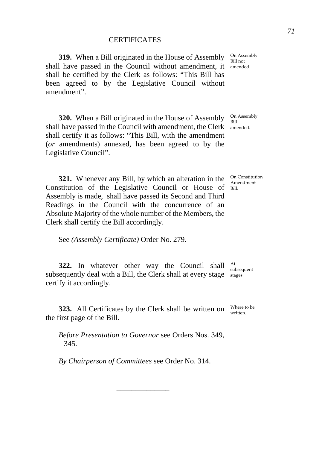**319.** When a Bill originated in the House of Assembly shall have passed in the Council without amendment, it amended. shall be certified by the Clerk as follows: "This Bill has been agreed to by the Legislative Council without amendment".

**320.** When a Bill originated in the House of Assembly shall have passed in the Council with amendment, the Clerk amended. shall certify it as follows: "This Bill, with the amendment (*or* amendments) annexed, has been agreed to by the Legislative Council".

**321.** Whenever any Bill, by which an alteration in the Constitution of the Legislative Council or House of Bill. Assembly is made, shall have passed its Second and Third Readings in the Council with the concurrence of an Absolute Majority of the whole number of the Members, the Clerk shall certify the Bill accordingly.

See *(Assembly Certificate)* Order No. 279.

**322.** In whatever other way the Council shall  $_{\text{out}}^{\text{At}}$ subsequently deal with a Bill, the Clerk shall at every stage stages. certify it accordingly. subsequent

**323.** All Certificates by the Clerk shall be written on  $\frac{W \text{here to be}}{W \text{ritten.}}}$ the first page of the Bill.

*Before Presentation to Governor* see Orders Nos. 349, 345.

\_\_\_\_\_\_\_\_\_\_\_\_\_\_

*By Chairperson of Committees* see Order No. 314.

On Assembly Bill not

On Assembly Bill

On Constitution Amendment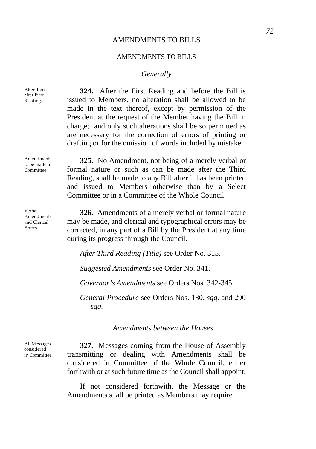### *Generally*

Alterations after First Reading.

Amendment to be made in Committee.

Verbal Amendments and Clerical Errors.

**324.** After the First Reading and before the Bill is issued to Members, no alteration shall be allowed to be made in the text thereof, except by permission of the President at the request of the Member having the Bill in charge; and only such alterations shall be so permitted as are necessary for the correction of errors of printing or drafting or for the omission of words included by mistake.

**325.** No Amendment, not being of a merely verbal or formal nature or such as can be made after the Third Reading, shall be made to any Bill after it has been printed and issued to Members otherwise than by a Select Committee or in a Committee of the Whole Council.

**326.** Amendments of a merely verbal or formal nature may be made, and clerical and typographical errors may be corrected, in any part of a Bill by the President at any time during its progress through the Council.

*After Third Reading (Title)* see Order No. 315.

*Suggested Amendments* see Order No. 341.

*Governor's Amendments* see Orders Nos. 342-345.

*General Procedure* see Orders Nos. 130, *sqq.* and 290 *sqq.* 

*Amendments between the Houses* 

All Messages considered in Committee.

**327.** Messages coming from the House of Assembly transmitting or dealing with Amendments shall be considered in Committee of the Whole Council, either forthwith or at such future time as the Council shall appoint.

If not considered forthwith, the Message or the Amendments shall be printed as Members may require.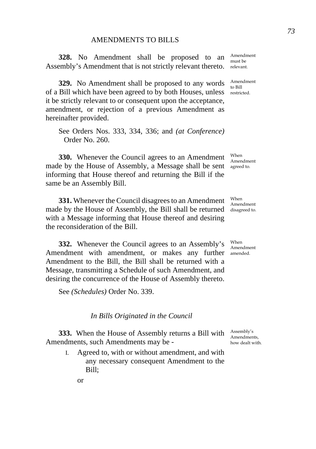**328.** No Amendment shall be proposed to an  $\frac{\text{Amendment}}{\text{must be}}$ Assembly's Amendment that is not strictly relevant thereto. relevant.

**329.** No Amendment shall be proposed to any words  $\frac{\text{Amendment}}{\text{to Bill}}$ of a Bill which have been agreed to by both Houses, unless restricted. it be strictly relevant to or consequent upon the acceptance, amendment, or rejection of a previous Amendment as hereinafter provided.

See Orders Nos. 333, 334, 336; and *(at Conference)* Order No. 260.

**330.** Whenever the Council agrees to an Amendment made by the House of Assembly, a Message shall be sent agreed to. informing that House thereof and returning the Bill if the same be an Assembly Bill.

**331.** Whenever the Council disagrees to an Amendment made by the House of Assembly, the Bill shall be returned disagreed to. with a Message informing that House thereof and desiring the reconsideration of the Bill.

**332.** Whenever the Council agrees to an Assembly's Amendment with amendment, or makes any further amended. Amendment to the Bill, the Bill shall be returned with a Message, transmitting a Schedule of such Amendment, and desiring the concurrence of the House of Assembly thereto.

See *(Schedules)* Order No. 339.

*In Bills Originated in the Council* 

**333.** When the House of Assembly returns a Bill with Assembly's Amendments, such Amendments may be -

I. Agreed to, with or without amendment, and with any necessary consequent Amendment to the Bill;

must be

When Amendment

When Amendment

When Amendment

Amendments, how dealt with.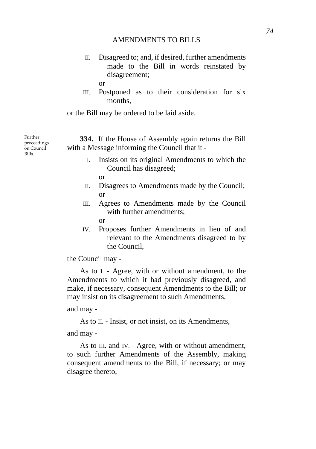II. Disagreed to; and, if desired, further amendments made to the Bill in words reinstated by disagreement;

or

III. Postponed as to their consideration for six months,

or the Bill may be ordered to be laid aside.

**334.** If the House of Assembly again returns the Bill with a Message informing the Council that it -

> I. Insists on its original Amendments to which the Council has disagreed;

or

- II. Disagrees to Amendments made by the Council; or
- III. Agrees to Amendments made by the Council with further amendments;

or

IV. Proposes further Amendments in lieu of and relevant to the Amendments disagreed to by the Council,

the Council may -

As to I. - Agree, with or without amendment, to the Amendments to which it had previously disagreed, and make, if necessary, consequent Amendments to the Bill; or may insist on its disagreement to such Amendments,

and may -

As to II. - Insist, or not insist, on its Amendments,

and may -

As to III. and IV. - Agree, with or without amendment, to such further Amendments of the Assembly, making consequent amendments to the Bill, if necessary; or may disagree thereto,

Further proceedings on Council

 $B<sub>311c</sub>$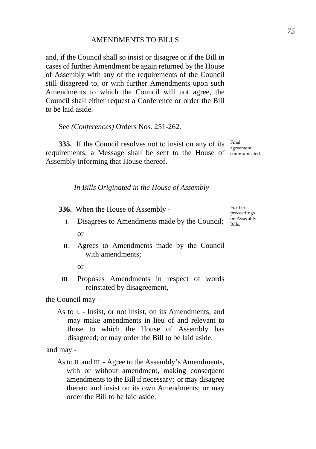and, if the Council shall so insist or disagree or if the Bill in cases of further Amendment be again returned by the House of Assembly with any of the requirements of the Council still disagreed to, or with further Amendments upon such Amendments to which the Council will not agree, the Council shall either request a Conference or order the Bill to be laid aside.

See *(Conferences)* Orders Nos. 251-262.

**335.** If the Council resolves not to insist on any of its Final requirements, a Message shall be sent to the House of communicated. Assembly informing that House thereof.

agreement

*In Bills Originated in the House of Assembly* 

**336.** When the House of Assembly -

- I. Disagrees to Amendments made by the Council;  $\frac{\text{on As}}{\text{Bills}}$ . or
- II. Agrees to Amendments made by the Council with amendments:
	- or
- III. Proposes Amendments in respect of words reinstated by disagreement,

the Council may -

As to I. - Insist, or not insist, on its Amendments; and may make amendments in lieu of and relevant to those to which the House of Assembly has disagreed; or may order the Bill to be laid aside,

and may -

As to II. and III. - Agree to the Assembly's Amendments, with or without amendment, making consequent amendments to the Bill if necessary; or may disagree thereto and insist on its own Amendments; or may order the Bill to be laid aside.

Further proceedings on Assembly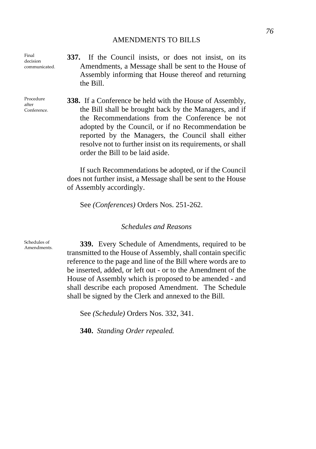Final decision communicated.

Procedure after Conference. **337.** If the Council insists, or does not insist, on its Amendments, a Message shall be sent to the House of Assembly informing that House thereof and returning the Bill.

**338.** If a Conference be held with the House of Assembly, the Bill shall be brought back by the Managers, and if the Recommendations from the Conference be not adopted by the Council, or if no Recommendation be reported by the Managers, the Council shall either resolve not to further insist on its requirements, or shall order the Bill to be laid aside.

If such Recommendations be adopted, or if the Council does not further insist, a Message shall be sent to the House of Assembly accordingly.

See *(Conferences)* Orders Nos. 251-262.

## *Schedules and Reasons*

Schedules of

Schedules of **339.** Every Schedule of Amendments, required to be transmitted to the House of Assembly, shall contain specific reference to the page and line of the Bill where words are to be inserted, added, or left out - or to the Amendment of the House of Assembly which is proposed to be amended - and shall describe each proposed Amendment. The Schedule shall be signed by the Clerk and annexed to the Bill.

See *(Schedule)* Orders Nos. 332, 341.

**340.** *Standing Order repealed.*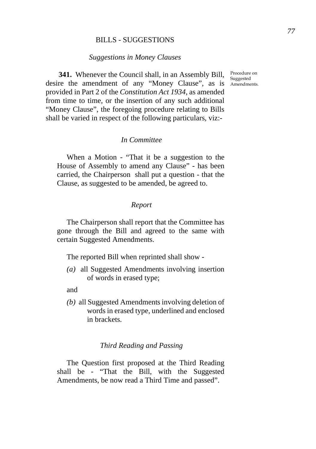### BILLS - SUGGESTIONS

### *Suggestions in Money Clauses*

**341.** Whenever the Council shall, in an Assembly Bill, Procedure on desire the amendment of any "Money Clause", as is Amendments. provided in Part 2 of the *Constitution Act 1934*, as amended from time to time, or the insertion of any such additional "Money Clause", the foregoing procedure relating to Bills shall be varied in respect of the following particulars, viz:-

## *In Committee*

When a Motion - "That it be a suggestion to the House of Assembly to amend any Clause" - has been carried, the Chairperson shall put a question - that the Clause, as suggested to be amended, be agreed to.

### *Report*

The Chairperson shall report that the Committee has gone through the Bill and agreed to the same with certain Suggested Amendments.

The reported Bill when reprinted shall show -

*(a)* all Suggested Amendments involving insertion of words in erased type;

and

*(b)* all Suggested Amendments involving deletion of words in erased type, underlined and enclosed in brackets.

### *Third Reading and Passing*

The Question first proposed at the Third Reading shall be - "That the Bill, with the Suggested Amendments, be now read a Third Time and passed".

Suggested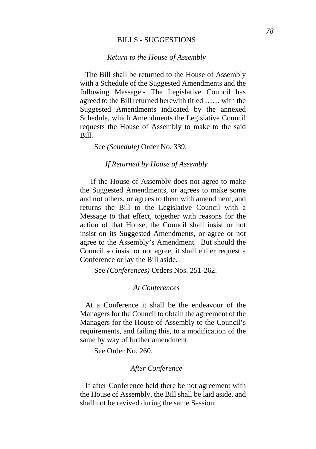### BILLS - SUGGESTIONS

### *Return to the House of Assembly*

The Bill shall be returned to the House of Assembly with a Schedule of the Suggested Amendments and the following Message:- The Legislative Council has agreed to the Bill returned herewith titled …… with the Suggested Amendments indicated by the annexed Schedule, which Amendments the Legislative Council requests the House of Assembly to make to the said Bill.

See *(Schedule)* Order No. 339.

*If Returned by House of Assembly* 

If the House of Assembly does not agree to make the Suggested Amendments, or agrees to make some and not others, or agrees to them with amendment, and returns the Bill to the Legislative Council with a Message to that effect, together with reasons for the action of that House, the Council shall insist or not insist on its Suggested Amendments, or agree or not agree to the Assembly's Amendment. But should the Council so insist or not agree, it shall either request a Conference or lay the Bill aside.

See *(Conferences)* Orders Nos. 251-262.

### *At Conferences*

At a Conference it shall be the endeavour of the Managers for the Council to obtain the agreement of the Managers for the House of Assembly to the Council's requirements, and failing this, to a modification of the same by way of further amendment.

See Order No. 260.

## *After Conference*

If after Conference held there be not agreement with the House of Assembly, the Bill shall be laid aside, and shall not be revived during the same Session.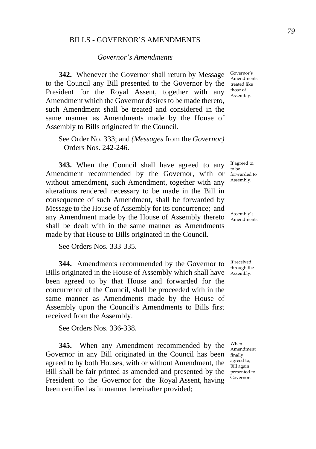### BILLS - GOVERNOR'S AMENDMENTS

## *Governor's Amendments*

**342.** Whenever the Governor shall return by Message to the Council any Bill presented to the Governor by the President for the Royal Assent, together with any Amendment which the Governor desires to be made thereto, such Amendment shall be treated and considered in the same manner as Amendments made by the House of Assembly to Bills originated in the Council.

See Order No. 333; and *(Messages* from the *Governor)* Orders Nos. 242-246.

**343.** When the Council shall have agreed to any Amendment recommended by the Governor, with or without amendment, such Amendment, together with any alterations rendered necessary to be made in the Bill in consequence of such Amendment, shall be forwarded by Message to the House of Assembly for its concurrence; and any Amendment made by the House of Assembly thereto shall be dealt with in the same manner as Amendments made by that House to Bills originated in the Council.

See Orders Nos. 333-335.

**344.** Amendments recommended by the Governor to Bills originated in the House of Assembly which shall have Assembly. been agreed to by that House and forwarded for the concurrence of the Council, shall be proceeded with in the same manner as Amendments made by the House of Assembly upon the Council's Amendments to Bills first received from the Assembly.

See Orders Nos. 336-338.

**345.** When any Amendment recommended by the Governor in any Bill originated in the Council has been agreed to by both Houses, with or without Amendment, the Bill shall be fair printed as amended and presented by the presented to President to the Governor for the Royal Assent, having been certified as in manner hereinafter provided;

Governor's Amendments treated like those of Assembly.

If agreed to, to be forwarded to Assembly.

Assembly's Amendments.

If received through the

When Amendment finally agreed to, Bill again Governor.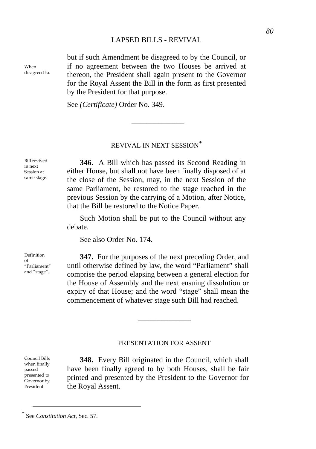# LAPSED BILLS - REVIVAL

When disagreed to. but if such Amendment be disagreed to by the Council, or if no agreement between the two Houses be arrived at thereon, the President shall again present to the Governor for the Royal Assent the Bill in the form as first presented by the President for that purpose.

See *(Certificate)* Order No. 349.

### REVIVAL IN NEXT SESSION*[\\*](#page-83-0)*

\_\_\_\_\_\_\_\_\_\_\_\_\_\_

Bill revived in next Session at same stage.

**346.** A Bill which has passed its Second Reading in either House, but shall not have been finally disposed of at the close of the Session, may, in the next Session of the same Parliament, be restored to the stage reached in the previous Session by the carrying of a Motion, after Notice, that the Bill be restored to the Notice Paper.

Such Motion shall be put to the Council without any debate.

See also Order No. 174.

Definition of "Parliament" and "stage".

**347.** For the purposes of the next preceding Order, and until otherwise defined by law, the word "Parliament" shall comprise the period elapsing between a general election for the House of Assembly and the next ensuing dissolution or expiry of that House; and the word "stage" shall mean the commencement of whatever stage such Bill had reached.

### PRESENTATION FOR ASSENT

\_\_\_\_\_\_\_\_\_\_\_\_\_\_

**348.** Every Bill originated in the Council, which shall have been finally agreed to by both Houses, shall be fair printed and presented by the President to the Governor for the Royal Assent.

<span id="page-83-0"></span>*\** See *Constitution Act*, Sec. 57.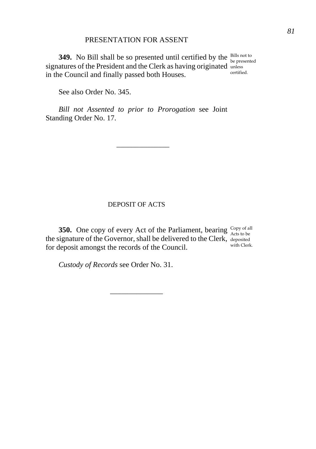# PRESENTATION FOR ASSENT

**349.** No Bill shall be so presented until certified by the  $\frac{\text{Bills not to}}{\text{be presented}}$ signatures of the President and the Clerk as having originated unless in the Council and finally passed both Houses. certified.

See also Order No. 345.

*Bill not Assented to prior to Prorogation* see Joint Standing Order No. 17.

\_\_\_\_\_\_\_\_\_\_\_\_\_\_

# DEPOSIT OF ACTS

\_\_\_\_\_\_\_\_\_\_\_\_\_\_

**350.** One copy of every Act of the Parliament, bearing  $\frac{\text{Copy of all}}{\text{Acts to be}}$ the signature of the Governor, shall be delivered to the Clerk, deposited for deposit amongst the records of the Council. with Clerk.

*Custody of Records* see Order No. 31.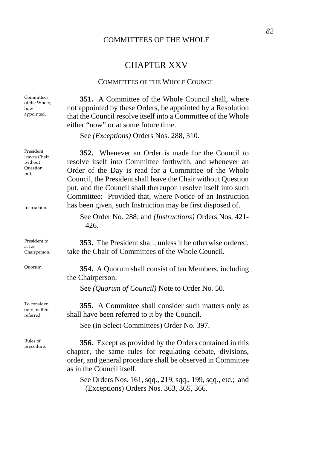## COMMITTEES OF THE WHOLE

# CHAPTER XXV

#### COMMITTEES OF THE WHOLE COUNCIL

**351.** A Committee of the Whole Council shall, where not appointed by these Orders, be appointed by a Resolution that the Council resolve itself into a Committee of the Whole either "now" or at some future time.

See *(Exceptions)* Orders Nos. 288, 310.

**352.** Whenever an Order is made for the Council to resolve itself into Committee forthwith, and whenever an Order of the Day is read for a Committee of the Whole Council, the President shall leave the Chair without Question put, and the Council shall thereupon resolve itself into such Committee: Provided that, where Notice of an Instruction has been given, such Instruction may be first disposed of.

See Order No. 288; and *(Instructions)* Orders Nos. 421- 426.

**353.** The President shall, unless it be otherwise ordered, take the Chair of Committees of the Whole Council.

Quorum. **354.** A Quorum shall consist of ten Members, including the Chairperson.

See *(Quorum of Council)* Note to Order No. 50.

**355.** A Committee shall consider such matters only as shall have been referred to it by the Council.

See (in Select Committees) Order No. 397.

Rules of procedure. **356.** Except as provided by the Orders contained in this chapter, the same rules for regulating debate, divisions, order, and general procedure shall be observed in Committee as in the Council itself.

> See Orders Nos. 161, sqq., 219, sqq., 199, sqq., etc.; and (Exceptions) Orders Nos. 363, 365, 366.

Committees of the Whole, how appointed.

leaves Chair without Question put.

President

Instruction.

President to act as Chairperson.

To consider only matters referred.

Rules of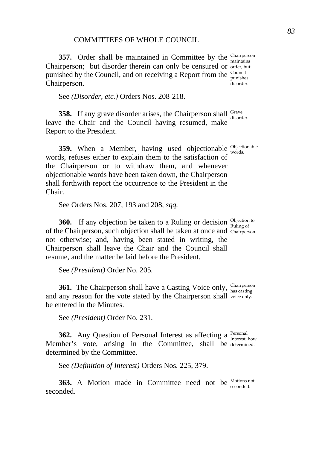## COMMITTEES OF WHOLE COUNCIL

**357.** Order shall be maintained in Committee by the Chairperson Chairperson; but disorder therein can only be censured or order, but punished by the Council, and on receiving a Report from the  $\frac{\text{Count}}{\text{number}}$ Chairperson.

See *(Disorder, etc.)* Orders Nos. 208-218.

**358.** If any grave disorder arises, the Chairperson shall Grave disorder. leave the Chair and the Council having resumed, make Report to the President.

**359.** When a Member, having used objectionable <sup>Objectionable</sup> words, refuses either to explain them to the satisfaction of the Chairperson or to withdraw them, and whenever objectionable words have been taken down, the Chairperson shall forthwith report the occurrence to the President in the Chair.

See Orders Nos. 207, 193 and 208, *sqq.* 

**360.** If any objection be taken to a Ruling or decision  $\frac{\text{Objection to}}{\text{Ruling of}}$ of the Chairperson, such objection shall be taken at once and Chairperson. not otherwise; and, having been stated in writing, the Chairperson shall leave the Chair and the Council shall resume, and the matter be laid before the President.

See *(President)* Order No. 205.

**361.** The Chairperson shall have a Casting Voice only, Chairperson and any reason for the vote stated by the Chairperson shall voice only. be entered in the Minutes. has casting

See *(President)* Order No. 231.

**362.** Any Question of Personal Interest as affecting a Personal how interest, how Member's vote, arising in the Committee, shall be determined. determined by the Committee.

See *(Definition of Interest)* Orders Nos. 225, 379.

**363.** A Motion made in Committee need not be Motions not seconded.

punishes disorder.

words.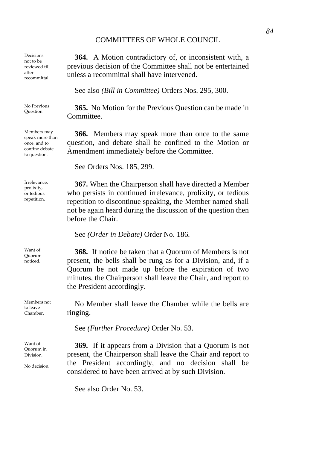## COMMITTEES OF WHOLE COUNCIL

Decisions not to be reviewed till after recommittal.

No Previous

Members may speak more than once, and to confine debate to question.

Irrelevance, prolixity, or tedious repetition.

Want of Quorum noticed.

Members not to leave Chamber.

Want of Quorum in Division.

No decision.

**364.** A Motion contradictory of, or inconsistent with, a previous decision of the Committee shall not be entertained unless a recommittal shall have intervened.

See also *(Bill in Committee)* Orders Nos. 295, 300.

No Previous 365. No Motion for the Previous Question can be made in Committee.

> **366.** Members may speak more than once to the same question, and debate shall be confined to the Motion or Amendment immediately before the Committee.

See Orders Nos. 185, 299.

**367.** When the Chairperson shall have directed a Member who persists in continued irrelevance, prolixity, or tedious repetition to discontinue speaking, the Member named shall not be again heard during the discussion of the question then before the Chair.

See *(Order in Debate)* Order No. 186.

**368.** If notice be taken that a Quorum of Members is not present, the bells shall be rung as for a Division, and, if a Quorum be not made up before the expiration of two minutes, the Chairperson shall leave the Chair, and report to the President accordingly.

No Member shall leave the Chamber while the bells are ringing.

See *(Further Procedure)* Order No. 53.

**369.** If it appears from a Division that a Quorum is not present, the Chairperson shall leave the Chair and report to the President accordingly, and no decision shall be considered to have been arrived at by such Division.

See also Order No. 53.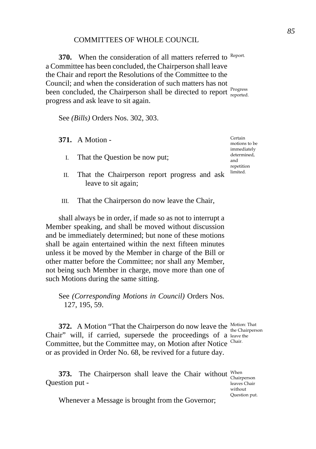### COMMITTEES OF WHOLE COUNCIL

**370.** When the consideration of all matters referred to Report. a Committee has been concluded, the Chairperson shall leave the Chair and report the Resolutions of the Committee to the Council; and when the consideration of such matters has not been concluded, the Chairperson shall be directed to report reported. progress and ask leave to sit again.

See *(Bills)* Orders Nos. 302, 303.

**371.** A Motion -

- I. That the Question be now put;
- II. That the Chairperson report progress and ask leave to sit again;
- III. That the Chairperson do now leave the Chair,

shall always be in order, if made so as not to interrupt a Member speaking, and shall be moved without discussion and be immediately determined; but none of these motions shall be again entertained within the next fifteen minutes unless it be moved by the Member in charge of the Bill or other matter before the Committee; nor shall any Member, not being such Member in charge, move more than one of such Motions during the same sitting.

See *(Corresponding Motions in Council)* Orders Nos. 127, 195, 59.

**372.** A Motion "That the Chairperson do now leave the Motion: That Chair" will, if carried, supersede the proceedings of a leave the Committee, but the Committee may, on Motion after Notice Chair. or as provided in Order No. 68, be revived for a future day. the Chairperson

**373.** The Chairperson shall leave the Chair without When Chairperson Question put -

leaves Chair without Question put.

Whenever a Message is brought from the Governor;

Certain motions to be immediately determined, and repetition limited.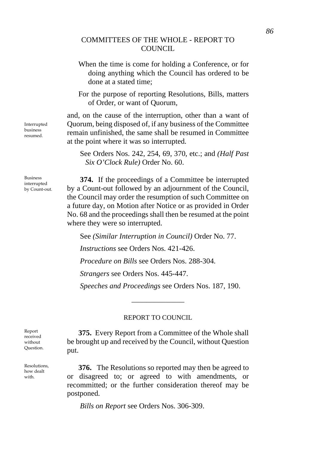# COMMITTEES OF THE WHOLE - REPORT TO COUNCIL.

- When the time is come for holding a Conference, or for doing anything which the Council has ordered to be done at a stated time;
- For the purpose of reporting Resolutions, Bills, matters of Order, or want of Quorum,

and, on the cause of the interruption, other than a want of Quorum, being disposed of, if any business of the Committee remain unfinished, the same shall be resumed in Committee at the point where it was so interrupted.

See Orders Nos. 242, 254, 69, 370, etc.; and *(Half Past Six O'Clock Rule)* Order No. 60.

**374.** If the proceedings of a Committee be interrupted by a Count-out followed by an adjournment of the Council, the Council may order the resumption of such Committee on a future day, on Motion after Notice or as provided in Order No. 68 and the proceedings shall then be resumed at the point where they were so interrupted.

See *(Similar Interruption in Council)* Order No. 77. *Instructions* see Orders Nos. 421-426. *Procedure on Bills* see Orders Nos. 288-304. *Strangers* see Orders Nos. 445-447. *Speeches and Proceedings* see Orders Nos. 187, 190.

### REPORT TO COUNCIL

\_\_\_\_\_\_\_\_\_\_\_\_\_\_

**375.** Every Report from a Committee of the Whole shall be brought up and received by the Council, without Question put.

**376.** The Resolutions so reported may then be agreed to or disagreed to; or agreed to with amendments, or recommitted; or the further consideration thereof may be postponed.

*Bills on Report* see Orders Nos. 306-309.

Interrupted business resumed.

Business interrupted by Count-out.

Report received without Question.

Resolutions, how dealt with.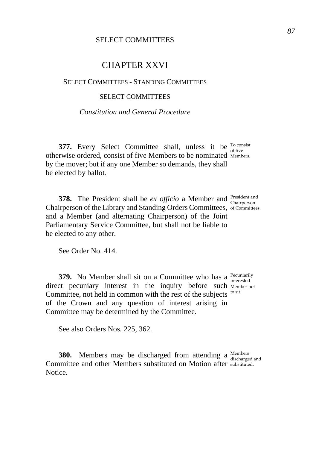# CHAPTER XXVI

## SELECT COMMITTEES - STANDING COMMITTEES

### SELECT COMMITTEES

# *Constitution and General Procedure*

**377.** Every Select Committee shall, unless it be <sup>To consist</sup> otherwise ordered, consist of five Members to be nominated Members. by the mover; but if any one Member so demands, they shall be elected by ballot.

**378.** The President shall be *ex officio* a Member and *President* and *Chairperson* Chairperson of the Library and Standing Orders Committees, of Committees. and a Member (and alternating Chairperson) of the Joint Parliamentary Service Committee, but shall not be liable to be elected to any other.

See Order No. 414.

**379.** No Member shall sit on a Committee who has a <sup>Pecuniarily</sup> interested direct pecuniary interest in the inquiry before such Member not Committee, not held in common with the rest of the subjects to sit. of the Crown and any question of interest arising in Committee may be determined by the Committee.

See also Orders Nos. 225, 362.

**380.** Members may be discharged from attending a Members discharged and Committee and other Members substituted on Motion after substituted. Notice.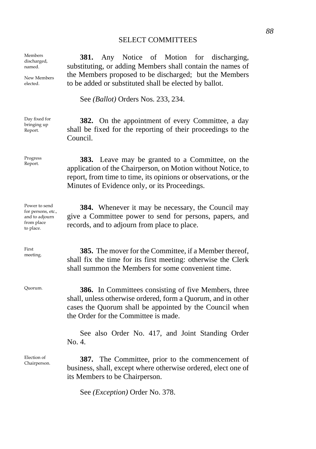**381.** Any Notice of Motion for discharging, substituting, or adding Members shall contain the names of the Members proposed to be discharged; but the Members to be added or substituted shall be elected by ballot.

See *(Ballot)* Orders Nos. 233, 234.

**382.** On the appointment of every Committee, a day shall be fixed for the reporting of their proceedings to the Council.

Progress **383.** Leave may be granted to a Committee, on the application of the Chairperson, on Motion without Notice, to report, from time to time, its opinions or observations, or the Minutes of Evidence only, or its Proceedings.

> **384.** Whenever it may be necessary, the Council may give a Committee power to send for persons, papers, and records, and to adjourn from place to place.

**385.** The mover for the Committee, if a Member thereof, shall fix the time for its first meeting: otherwise the Clerk shall summon the Members for some convenient time.

Quorum. **386.** In Committees consisting of five Members, three shall, unless otherwise ordered, form a Quorum, and in other cases the Quorum shall be appointed by the Council when the Order for the Committee is made.

> See also Order No. 417, and Joint Standing Order  $N_0$  4.

Election of Chairperson. **387.** The Committee, prior to the commencement of business, shall, except where otherwise ordered, elect one of its Members to be Chairperson.

See *(Exception)* Order No. 378.

Members discharged, named.

New Members elected.

Day fixed for bringing up Report.

Progress

Power to send for persons, etc., and to adjourn from place to place.

First<br>meeting.

Election of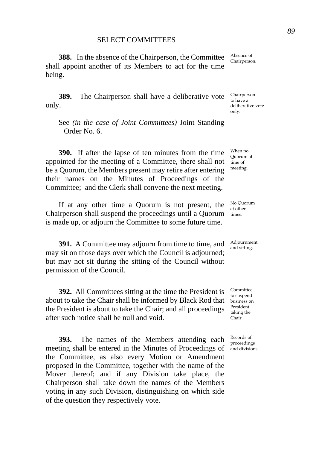**388.** In the absence of the Chairperson, the Committee shall appoint another of its Members to act for the time being.

**389.** The Chairperson shall have a deliberative vote only.

See *(in the case of Joint Committees)* Joint Standing Order No. 6.

**390.** If after the lapse of ten minutes from the time appointed for the meeting of a Committee, there shall not be a Quorum, the Members present may retire after entering their names on the Minutes of Proceedings of the Committee; and the Clerk shall convene the next meeting.

If at any other time a Quorum is not present, the Chairperson shall suspend the proceedings until a Quorum is made up, or adjourn the Committee to some future time.

**391.** A Committee may adjourn from time to time, and may sit on those days over which the Council is adjourned; but may not sit during the sitting of the Council without permission of the Council.

**392.** All Committees sitting at the time the President is about to take the Chair shall be informed by Black Rod that business on the President is about to take the Chair; and all proceedings after such notice shall be null and void.

**393.** The names of the Members attending each meeting shall be entered in the Minutes of Proceedings of the Committee, as also every Motion or Amendment proposed in the Committee, together with the name of the Mover thereof; and if any Division take place, the Chairperson shall take down the names of the Members voting in any such Division, distinguishing on which side of the question they respectively vote.

Absence of Chairperson.

Chairperson to have a deliberative vote only.

When no Quorum at time of meeting.

No Quorum at other times.

Adjournment and sitting.

**Committee** to suspend President taking the Chair.

Records of proceedings and divisions.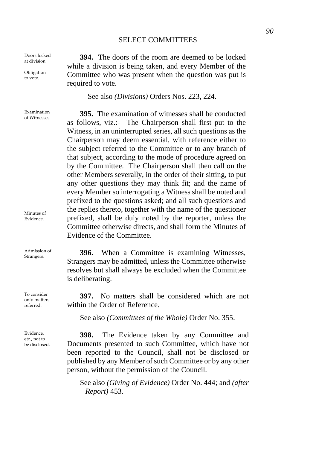Doors locked at division.

Obligation to vote.

Examination of Witnesses.

Minutes of Evidence.

Admission of<br>Strangers.

To consider only matters referred.

Evidence, etc., not to be disclosed.

**394.** The doors of the room are deemed to be locked while a division is being taken, and every Member of the Committee who was present when the question was put is required to vote.

See also *(Divisions)* Orders Nos. 223, 224.

**395.** The examination of witnesses shall be conducted as follows, viz.:- The Chairperson shall first put to the Witness, in an uninterrupted series, all such questions as the Chairperson may deem essential, with reference either to the subject referred to the Committee or to any branch of that subject, according to the mode of procedure agreed on by the Committee. The Chairperson shall then call on the other Members severally, in the order of their sitting, to put any other questions they may think fit; and the name of every Member so interrogating a Witness shall be noted and prefixed to the questions asked; and all such questions and the replies thereto, together with the name of the questioner prefixed, shall be duly noted by the reporter, unless the Committee otherwise directs, and shall form the Minutes of Evidence of the Committee.

396. When a Committee is examining Witnesses, Strangers may be admitted, unless the Committee otherwise resolves but shall always be excluded when the Committee is deliberating.

**397.** No matters shall be considered which are not within the Order of Reference.

See also *(Committees of the Whole)* Order No. 355.

**398.** The Evidence taken by any Committee and Documents presented to such Committee, which have not been reported to the Council, shall not be disclosed or published by any Member of such Committee or by any other person, without the permission of the Council.

See also *(Giving of Evidence)* Order No. 444; and *(after Report)* 453.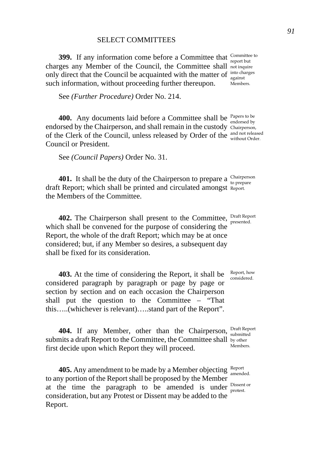**399.** If any information come before a Committee that  $\frac{\text{Commitite to}}{\text{report but}}$ charges any Member of the Council, the Committee shall not inquire only direct that the Council be acquainted with the matter of  $\frac{1}{n}$  acquainted such information, without proceeding further thereupon.

See *(Further Procedure)* Order No. 214.

**400.** Any documents laid before a Committee shall be <sup>Papers to be</sup> endorsed by endorsed by the Chairperson, and shall remain in the custody Chairperson, of the Clerk of the Council, unless released by Order of the and not released Council or President.

See *(Council Papers)* Order No. 31.

**401.** It shall be the duty of the Chairperson to prepare a  $\frac{\text{Chairperson}}{\text{to prepare}}$ draft Report; which shall be printed and circulated amongst Report. the Members of the Committee.

**402.** The Chairperson shall present to the Committee, **Draft Report** which shall be convened for the purpose of considering the Report, the whole of the draft Report; which may be at once considered; but, if any Member so desires, a subsequent day shall be fixed for its consideration.

**403.** At the time of considering the Report, it shall be considered paragraph by paragraph or page by page or section by section and on each occasion the Chairperson shall put the question to the Committee – "That this…..(whichever is relevant)…..stand part of the Report".

404. If any Member, other than the Chairperson, Draft Report submits a draft Report to the Committee, the Committee shall by other first decide upon which Report they will proceed.

**405.** Any amendment to be made by a Member objecting Report amended. to any portion of the Report shall be proposed by the Member at the time the paragraph to be amended is under  $_{\text{protest}}^{\text{Dissent or}}$ consideration, but any Protest or Dissent may be added to the Report.

against Members.

presented.

Report, how considered.

Members.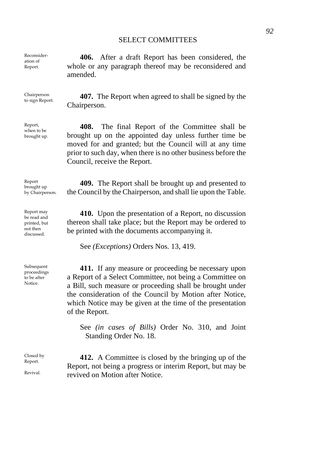**406.** After a draft Report has been considered, the amended.

Chairperson<br>to sign Report.

Reconsideration of Report.

Report, when to be brought up.

Report brought up by Chairperson.

Report may be read and printed, but not then discussed.

Subsequent proceedings to be after Notice.

Closed by Report.

Revival.

whole or any paragraph thereof may be reconsidered and

**407.** The Report when agreed to shall be signed by the Chairperson.

**408.** The final Report of the Committee shall be brought up on the appointed day unless further time be moved for and granted; but the Council will at any time prior to such day, when there is no other business before the Council, receive the Report.

**409.** The Report shall be brought up and presented to the Council by the Chairperson, and shall lie upon the Table.

**410.** Upon the presentation of a Report, no discussion thereon shall take place; but the Report may be ordered to be printed with the documents accompanying it.

See *(Exceptions)* Orders Nos. 13, 419.

**411.** If any measure or proceeding be necessary upon a Report of a Select Committee, not being a Committee on a Bill, such measure or proceeding shall be brought under the consideration of the Council by Motion after Notice, which Notice may be given at the time of the presentation of the Report.

See *(in cases of Bills)* Order No. 310, and Joint Standing Order No. 18.

**412.** A Committee is closed by the bringing up of the Report, not being a progress or interim Report, but may be revived on Motion after Notice.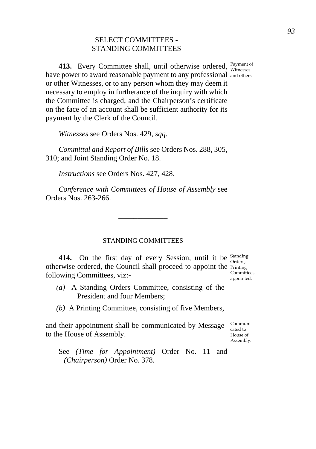# SELECT COMMITTEES - STANDING COMMITTEES

**413.** Every Committee shall, until otherwise ordered, *Payment of Witnesses* have power to award reasonable payment to any professional and others. or other Witnesses, or to any person whom they may deem it necessary to employ in furtherance of the inquiry with which the Committee is charged; and the Chairperson's certificate on the face of an account shall be sufficient authority for its payment by the Clerk of the Council.

*Witnesses* see Orders Nos. 429, *sqq.* 

*Committal and Report of Bills* see Orders Nos. 288, 305, 310; and Joint Standing Order No. 18.

*Instructions* see Orders Nos. 427, 428.

*Conference with Committees of House of Assembly* see Orders Nos. 263-266.

### STANDING COMMITTEES

\_\_\_\_\_\_\_\_\_\_\_\_\_

**414.** On the first day of every Session, until it be Standing Orders, otherwise ordered, the Council shall proceed to appoint the Frinting following Committees, viz:-

- *(a)* A Standing Orders Committee, consisting of the President and four Members;
- *(b)* A Printing Committee, consisting of five Members,

and their appointment shall be communicated by Message to the House of Assembly. Communicated to House of Assembly.

See *(Time for Appointment)* Order No. 11 and *(Chairperson)* Order No. 378.

**Committees** appointed.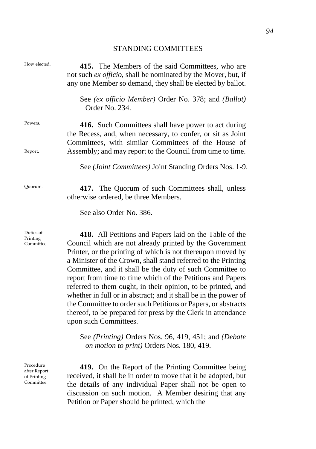# STANDING COMMITTEES

| How elected.                                           | 415. The Members of the said Committees, who are<br>not such ex officio, shall be nominated by the Mover, but, if<br>any one Member so demand, they shall be elected by ballot.                                                                                                                                                                                                                                                                                                                                                                                                                                                                                          |
|--------------------------------------------------------|--------------------------------------------------------------------------------------------------------------------------------------------------------------------------------------------------------------------------------------------------------------------------------------------------------------------------------------------------------------------------------------------------------------------------------------------------------------------------------------------------------------------------------------------------------------------------------------------------------------------------------------------------------------------------|
|                                                        | See (ex officio Member) Order No. 378; and (Ballot)<br>Order No. 234.                                                                                                                                                                                                                                                                                                                                                                                                                                                                                                                                                                                                    |
| Powers.                                                | 416. Such Committees shall have power to act during<br>the Recess, and, when necessary, to confer, or sit as Joint<br>Committees, with similar Committees of the House of                                                                                                                                                                                                                                                                                                                                                                                                                                                                                                |
| Report.                                                | Assembly; and may report to the Council from time to time.                                                                                                                                                                                                                                                                                                                                                                                                                                                                                                                                                                                                               |
|                                                        | See (Joint Committees) Joint Standing Orders Nos. 1-9.                                                                                                                                                                                                                                                                                                                                                                                                                                                                                                                                                                                                                   |
| Quorum.                                                | 417. The Quorum of such Committees shall, unless<br>otherwise ordered, be three Members.                                                                                                                                                                                                                                                                                                                                                                                                                                                                                                                                                                                 |
|                                                        | See also Order No. 386.                                                                                                                                                                                                                                                                                                                                                                                                                                                                                                                                                                                                                                                  |
| Duties of<br>Printing<br>Committee.                    | 418. All Petitions and Papers laid on the Table of the<br>Council which are not already printed by the Government<br>Printer, or the printing of which is not thereupon moved by<br>a Minister of the Crown, shall stand referred to the Printing<br>Committee, and it shall be the duty of such Committee to<br>report from time to time which of the Petitions and Papers<br>referred to them ought, in their opinion, to be printed, and<br>whether in full or in abstract; and it shall be in the power of<br>the Committee to order such Petitions or Papers, or abstracts<br>thereof, to be prepared for press by the Clerk in attendance<br>upon such Committees. |
|                                                        | See (Printing) Orders Nos. 96, 419, 451; and (Debate<br>on motion to print) Orders Nos. 180, 419.                                                                                                                                                                                                                                                                                                                                                                                                                                                                                                                                                                        |
| Procedure<br>after Report<br>of Printing<br>Committee. | 419. On the Report of the Printing Committee being<br>received, it shall be in order to move that it be adopted, but<br>the details of any individual Paper shall not be open to<br>discussion on such motion. A Member desiring that any<br>Petition or Paper should be printed, which the                                                                                                                                                                                                                                                                                                                                                                              |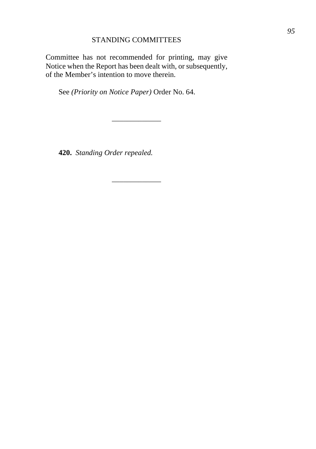# STANDING COMMITTEES

Committee has not recommended for printing, may give Notice when the Report has been dealt with, or subsequently, of the Member's intention to move therein.

\_\_\_\_\_\_\_\_\_\_\_\_\_

\_\_\_\_\_\_\_\_\_\_\_\_\_

See *(Priority on Notice Paper)* Order No. 64.

**420.** *Standing Order repealed.*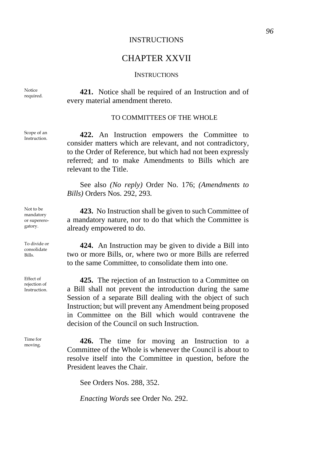## INSTRUCTIONS

# CHAPTER XXVII

### **INSTRUCTIONS**

421. Notice shall be required of an Instruction and of every material amendment thereto.

#### TO COMMITTEES OF THE WHOLE

Instruction. **422.** An Instruction empowers the Committee to consider matters which are relevant, and not contradictory, to the Order of Reference, but which had not been expressly referred; and to make Amendments to Bills which are relevant to the Title.

See also *(No reply)* Order No. 176; *(Amendments to Bills)* Orders Nos. 292, 293.

**423.** No Instruction shall be given to such Committee of a mandatory nature, nor to do that which the Committee is already empowered to do.

**424.** An Instruction may be given to divide a Bill into two or more Bills, or, where two or more Bills are referred to the same Committee, to consolidate them into one.

**425.** The rejection of an Instruction to a Committee on a Bill shall not prevent the introduction during the same Session of a separate Bill dealing with the object of such Instruction; but will prevent any Amendment being proposed in Committee on the Bill which would contravene the decision of the Council on such Instruction.

426. The time for moving an Instruction to a Committee of the Whole is whenever the Council is about to resolve itself into the Committee in question, before the President leaves the Chair.

See Orders Nos. 288, 352.

*Enacting Words* see Order No. 292.

Notice<br>required.

Scope of an<br>Instruction.

Not to be mandatory or supererogatory.

To divide or consolidate Bills.

Effect of rejection of Instruction.

Time for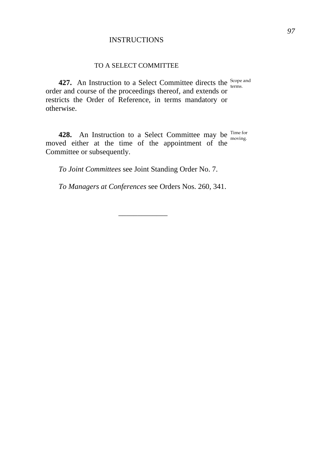# **INSTRUCTIONS**

## TO A SELECT COMMITTEE

**427.** An Instruction to a Select Committee directs the scope and order and course of the proceedings thereof, and extends or restricts the Order of Reference, in terms mandatory or otherwise.

**428.** An Instruction to a Select Committee may be <sup>Time for</sup> moved either at the time of the appointment of the Committee or subsequently. moving.

*To Joint Committees* see Joint Standing Order No. 7.

*To Managers at Conferences* see Orders Nos. 260, 341.

\_\_\_\_\_\_\_\_\_\_\_\_\_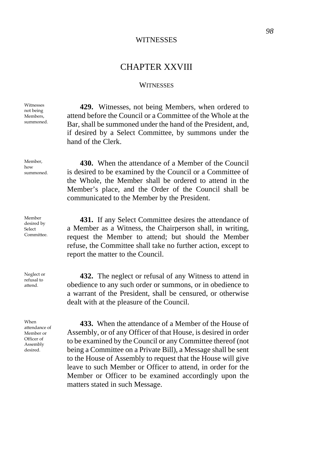### **WITNESSES**

# CHAPTER XXVIII

#### **WITNESSES**

**429.** Witnesses, not being Members, when ordered to attend before the Council or a Committee of the Whole at the Bar, shall be summoned under the hand of the President, and if desired by a Select Committee, by summons under the hand of the Clerk.

**430.** When the attendance of a Member of the Council is desired to be examined by the Council or a Committee of the Whole, the Member shall be ordered to attend in the Member's place, and the Order of the Council shall be communicated to the Member by the President.

**431.** If any Select Committee desires the attendance of a Member as a Witness, the Chairperson shall, in writing, request the Member to attend; but should the Member refuse, the Committee shall take no further action, except to report the matter to the Council.

**432.** The neglect or refusal of any Witness to attend in obedience to any such order or summons, or in obedience to a warrant of the President, shall be censured, or otherwise dealt with at the pleasure of the Council.

**433.** When the attendance of a Member of the House of Assembly, or of any Officer of that House, is desired in order to be examined by the Council or any Committee thereof (not being a Committee on a Private Bill), a Message shall be sent to the House of Assembly to request that the House will give leave to such Member or Officer to attend, in order for the Member or Officer to be examined accordingly upon the matters stated in such Message.

Witnesses not being Members summoned.

Member, how summoned.

Member desired by Select Committee.

Neglect or refusal to attend.

When attendance of Member or Officer of Assembly desired.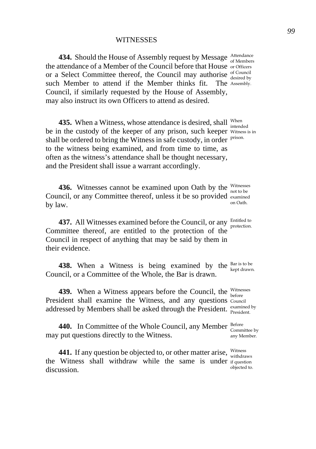**434.** Should the House of Assembly request by Message Attendance the attendance of a Member of the Council before that House or Officers or a Select Committee thereof, the Council may authorise  $\frac{\text{of Council}}{\text{desired by}}$ such Member to attend if the Member thinks fit. Council, if similarly requested by the House of Assembly, may also instruct its own Officers to attend as desired. The Assembly.

**435.** When a Witness, whose attendance is desired, shall When intended be in the custody of the keeper of any prison, such keeper Witness is in shall be ordered to bring the Witness in safe custody, in order prison. to the witness being examined, and from time to time, as often as the witness's attendance shall be thought necessary, and the President shall issue a warrant accordingly.

**436.** Witnesses cannot be examined upon Oath by the Witnesses Council, or any Committee thereof, unless it be so provided examined by law. on Oath.

**437.** All Witnesses examined before the Council, or any Entitled to Committee thereof, are entitled to the protection of the Council in respect of anything that may be said by them in their evidence.

**438.** When a Witness is being examined by the  $_{\text{kept drawn}}^{\text{Bar is to be}}$ Council, or a Committee of the Whole, the Bar is drawn.

**439.** When a Witness appears before the Council, the Witnesses President shall examine the Witness, and any questions Council addressed by Members shall be asked through the President. examined by

**440.** In Committee of the Whole Council, any Member Before may put questions directly to the Witness.

**441.** If any question be objected to, or other matter arise,  $\frac{\text{Witness}}{\text{withdraws}}}$ the Witness shall withdraw while the same is under if question discussion.

protection.

Committee by any Member.

objected to.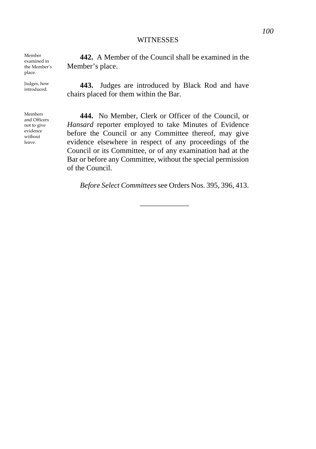### **WITNESSES**

Member examined in the Member's place.

Judges, how

Members and Officers not to give evidence without leave.

**442.** A Member of the Council shall be examined in the Member's place.

introduced. **443.** Judges are introduced by Black Rod and have chairs placed for them within the Bar.

> **444.** No Member, Clerk or Officer of the Council, or *Hansard* reporter employed to take Minutes of Evidence before the Council or any Committee thereof, may give evidence elsewhere in respect of any proceedings of the Council or its Committee, or of any examination had at the Bar or before any Committee, without the special permission of the Council.

*Before Select Committees*see Orders Nos. 395, 396, 413.

\_\_\_\_\_\_\_\_\_\_\_\_\_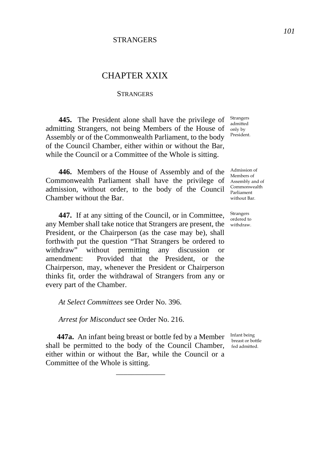# **STRANGERS**

# CHAPTER XXIX

### **STRANGERS**

**445.** The President alone shall have the privilege of admitting Strangers, not being Members of the House of Assembly or of the Commonwealth Parliament, to the body of the Council Chamber, either within or without the Bar, while the Council or a Committee of the Whole is sitting.

**446.** Members of the House of Assembly and of the Commonwealth Parliament shall have the privilege of admission, without order, to the body of the Council Chamber without the Bar.

**447.** If at any sitting of the Council, or in Committee, any Member shall take notice that Strangers are present, the withdraw. President, or the Chairperson (as the case may be), shall forthwith put the question "That Strangers be ordered to withdraw" without permitting any discussion or amendment: Provided that the President, or the Chairperson, may, whenever the President or Chairperson thinks fit, order the withdrawal of Strangers from any or every part of the Chamber.

*At Select Committees* see Order No. 396.

*Arrest for Misconduct* see Order No. 216.

**447a.** An infant being breast or bottle fed by a Member Infant being shall be permitted to the body of the Council Chamber, fed admitted. either within or without the Bar, while the Council or a Committee of the Whole is sitting.

\_\_\_\_\_\_\_\_\_\_\_\_\_

Strangers admitted only by President.

Admission of Members of Assembly and of Commonwealth Parliament without Bar.

Strangers ordered to

breast or bottle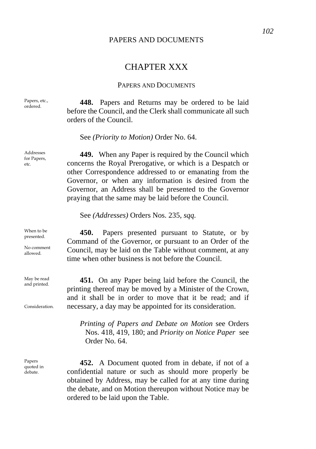## PAPERS AND DOCUMENTS

# CHAPTER XXX

### PAPERS AND DOCUMENTS

Papers, etc., **448.** Papers and Returns may be ordered to be laid before the Council, and the Clerk shall communicate all such orders of the Council.

See *(Priority to Motion)* Order No. 64.

**449.** When any Paper is required by the Council which concerns the Royal Prerogative, or which is a Despatch or other Correspondence addressed to or emanating from the Governor, or when any information is desired from the Governor, an Address shall be presented to the Governor praying that the same may be laid before the Council.

See *(Addresses)* Orders Nos. 235, *sqq.* 

**450.** Papers presented pursuant to Statute, or by Command of the Governor, or pursuant to an Order of the Council, may be laid on the Table without comment, at any time when other business is not before the Council.

**451.** On any Paper being laid before the Council, the printing thereof may be moved by a Minister of the Crown, and it shall be in order to move that it be read; and if necessary, a day may be appointed for its consideration.

*Printing of Papers and Debate on Motion* see Orders Nos. 418, 419, 180; and *Priority on Notice Paper* see Order No. 64.

**452.** A Document quoted from in debate, if not of a confidential nature or such as should more properly be obtained by Address, may be called for at any time during the debate, and on Motion thereupon without Notice may be ordered to be laid upon the Table.

Papers, etc.,

Addresses for Papers, etc.

When to be presented.

No comment allowed.

May be read and printed.

Consideration.

Papers quoted in debate.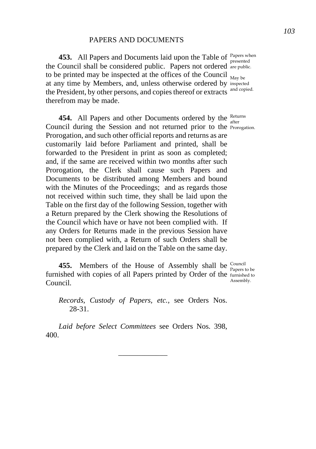**453.** All Papers and Documents laid upon the Table of Papers when the Council shall be considered public. Papers not ordered are public. to be printed may be inspected at the offices of the Council  $_{\text{May be}}$ at any time by Members, and, unless otherwise ordered by inspected the President, by other persons, and copies thereof or extracts and copied. therefrom may be made.

**454.** All Papers and other Documents ordered by the Returns Council during the Session and not returned prior to the Prorogation. Prorogation, and such other official reports and returns as are customarily laid before Parliament and printed, shall be forwarded to the President in print as soon as completed; and, if the same are received within two months after such Prorogation, the Clerk shall cause such Papers and Documents to be distributed among Members and bound with the Minutes of the Proceedings; and as regards those not received within such time, they shall be laid upon the Table on the first day of the following Session, together with a Return prepared by the Clerk showing the Resolutions of the Council which have or have not been complied with. If any Orders for Returns made in the previous Session have not been complied with, a Return of such Orders shall be prepared by the Clerk and laid on the Table on the same day.

**455.** Members of the House of Assembly shall be  $\frac{\text{Count}}{\text{Papers to be}}$ furnished with copies of all Papers printed by Order of the furnished to Council.

*Records, Custody of Papers, etc.,* see Orders Nos. 28-31.

*Laid before Select Committees* see Orders Nos. 398, 400.

\_\_\_\_\_\_\_\_\_\_\_\_\_

presented

Assembly.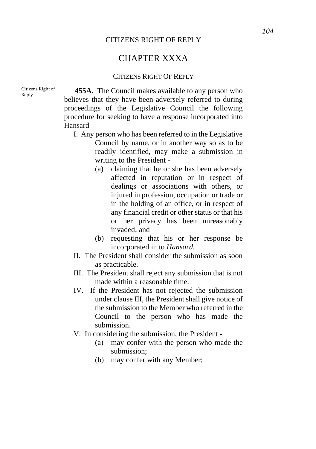## CITIZENS RIGHT OF REPLY

# CHAPTER XXXA

### CITIZENS RIGHT OF REPLY

Citizens Right of

Citizens Right of **455A.** The Council makes available to any person who believes that they have been adversely referred to during proceedings of the Legislative Council the following procedure for seeking to have a response incorporated into Hansard –

- I. Any person who has been referred to in the Legislative Council by name, or in another way so as to be readily identified, may make a submission in writing to the President -
	- (a) claiming that he or she has been adversely affected in reputation or in respect of dealings or associations with others, or injured in profession, occupation or trade or in the holding of an office, or in respect of any financial credit or other status or that his or her privacy has been unreasonably invaded; and
	- (b) requesting that his or her response be incorporated in to *Hansard.*
- II. The President shall consider the submission as soon as practicable.
- III. The President shall reject any submission that is not made within a reasonable time.
- IV. If the President has not rejected the submission under clause III, the President shall give notice of the submission to the Member who referred in the Council to the person who has made the submission.
- V. In considering the submission, the President
	- (a) may confer with the person who made the submission;
	- (b) may confer with any Member;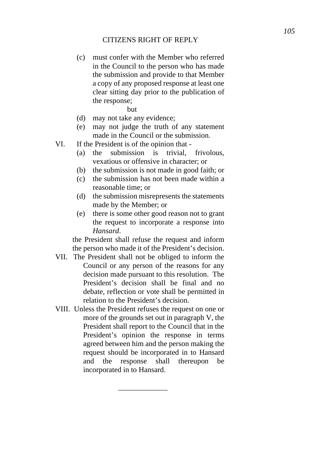# CITIZENS RIGHT OF REPLY

- (c) must confer with the Member who referred in the Council to the person who has made the submission and provide to that Member a copy of any proposed response at least one clear sitting day prior to the publication of the response;
	- but
- (d) may not take any evidence;
- (e) may not judge the truth of any statement made in the Council or the submission.
- VI. If the President is of the opinion that
	- (a) the submission is trivial, frivolous, vexatious or offensive in character; or
	- (b) the submission is not made in good faith; or
	- (c) the submission has not been made within a reasonable time; or
	- (d) the submission misrepresents the statements made by the Member; or
	- (e) there is some other good reason not to grant the request to incorporate a response into *Hansard*.

the President shall refuse the request and inform the person who made it of the President's decision.

- VII. The President shall not be obliged to inform the Council or any person of the reasons for any decision made pursuant to this resolution. The President's decision shall be final and no debate, reflection or vote shall be permitted in relation to the President's decision.
- VIII. Unless the President refuses the request on one or more of the grounds set out in paragraph V, the President shall report to the Council that in the President's opinion the response in terms agreed between him and the person making the request should be incorporated in to Hansard and the response shall thereupon be incorporated in to Hansard.

\_\_\_\_\_\_\_\_\_\_\_\_\_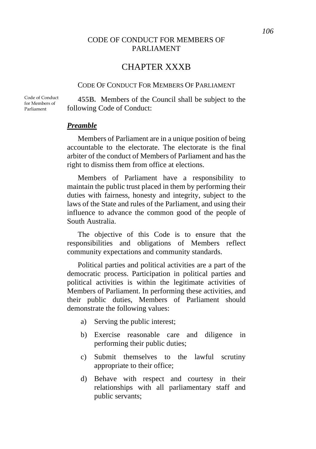# CHAPTER XXXB

# CODE OF CONDUCT FOR MEMBERS OF PARLIAMENT

Code of Conduct for Members of Parliament

**455B.** Members of the Council shall be subject to the following Code of Conduct:

## *Preamble*

Members of Parliament are in a unique position of being accountable to the electorate. The electorate is the final arbiter of the conduct of Members of Parliament and has the right to dismiss them from office at elections.

Members of Parliament have a responsibility to maintain the public trust placed in them by performing their duties with fairness, honesty and integrity, subject to the laws of the State and rules of the Parliament, and using their influence to advance the common good of the people of South Australia.

The objective of this Code is to ensure that the responsibilities and obligations of Members reflect community expectations and community standards.

Political parties and political activities are a part of the democratic process. Participation in political parties and political activities is within the legitimate activities of Members of Parliament. In performing these activities, and their public duties, Members of Parliament should demonstrate the following values:

- a) Serving the public interest;
- b) Exercise reasonable care and diligence in performing their public duties;
- c) Submit themselves to the lawful scrutiny appropriate to their office;
- d) Behave with respect and courtesy in their relationships with all parliamentary staff and public servants;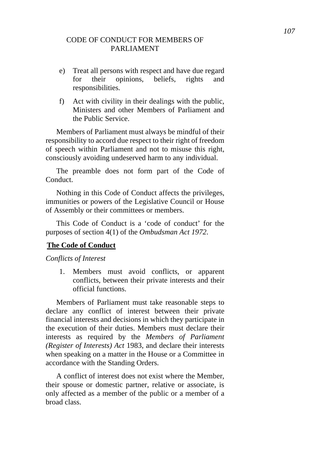- e) Treat all persons with respect and have due regard for their opinions, beliefs, rights and responsibilities.
- f) Act with civility in their dealings with the public, Ministers and other Members of Parliament and the Public Service.

Members of Parliament must always be mindful of their responsibility to accord due respect to their right of freedom of speech within Parliament and not to misuse this right, consciously avoiding undeserved harm to any individual.

The preamble does not form part of the Code of Conduct.

Nothing in this Code of Conduct affects the privileges, immunities or powers of the Legislative Council or House of Assembly or their committees or members.

This Code of Conduct is a 'code of conduct' for the purposes of section 4(1) of the *Ombudsman Act 1972*.

# **The Code of Conduct**

*Conflicts of Interest* 

1. Members must avoid conflicts, or apparent conflicts, between their private interests and their official functions.

Members of Parliament must take reasonable steps to declare any conflict of interest between their private financial interests and decisions in which they participate in the execution of their duties. Members must declare their interests as required by the *Members of Parliament (Register of Interests) Act* 1983, and declare their interests when speaking on a matter in the House or a Committee in accordance with the Standing Orders.

A conflict of interest does not exist where the Member, their spouse or domestic partner, relative or associate, is only affected as a member of the public or a member of a broad class.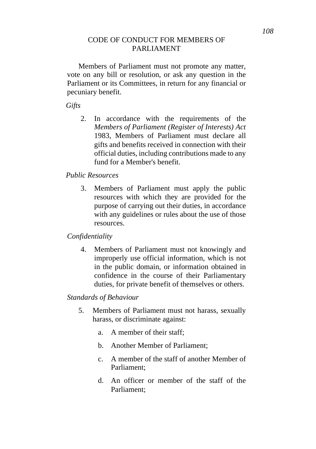Members of Parliament must not promote any matter, vote on any bill or resolution, or ask any question in the Parliament or its Committees, in return for any financial or pecuniary benefit.

*Gifts* 

2. In accordance with the requirements of the *Members of Parliament (Register of Interests) Act* 1983, Members of Parliament must declare all gifts and benefits received in connection with their official duties, including contributions made to any fund for a Member's benefit.

# *Public Resources*

3. Members of Parliament must apply the public resources with which they are provided for the purpose of carrying out their duties, in accordance with any guidelines or rules about the use of those resources.

# *Confidentiality*

4. Members of Parliament must not knowingly and improperly use official information, which is not in the public domain, or information obtained in confidence in the course of their Parliamentary duties, for private benefit of themselves or others.

# *Standards of Behaviour*

- 5. Members of Parliament must not harass, sexually harass, or discriminate against:
	- a. A member of their staff;
	- b. Another Member of Parliament;
	- c. A member of the staff of another Member of Parliament;
	- d. An officer or member of the staff of the Parliament;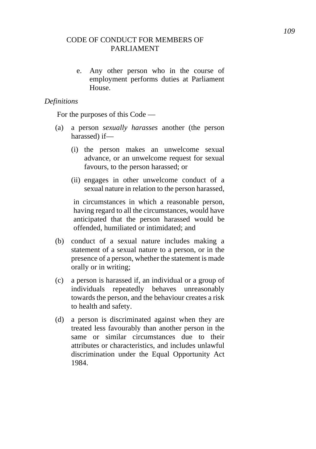e. Any other person who in the course of employment performs duties at Parliament House.

# *Definitions*

For the purposes of this Code —

- (a) a person *sexually harasses* another (the person harassed) if—
	- (i) the person makes an unwelcome sexual advance, or an unwelcome request for sexual favours, to the person harassed; or
	- (ii) engages in other unwelcome conduct of a sexual nature in relation to the person harassed,

in circumstances in which a reasonable person, having regard to all the circumstances, would have anticipated that the person harassed would be offended, humiliated or intimidated; and

- (b) conduct of a sexual nature includes making a statement of a sexual nature to a person, or in the presence of a person, whether the statement is made orally or in writing;
- (c) a person is harassed if, an individual or a group of individuals repeatedly behaves unreasonably towards the person, and the behaviour creates a risk to health and safety.
- (d) a person is discriminated against when they are treated less favourably than another person in the same or similar circumstances due to their attributes or characteristics, and includes unlawful discrimination under the Equal Opportunity Act 1984.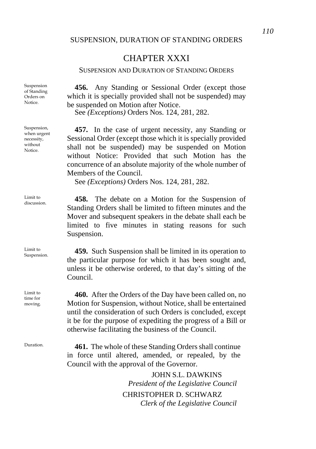# CHAPTER XXXI

## SUSPENSION AND DURATION OF STANDING ORDERS

**456.** Any Standing or Sessional Order (except those which it is specially provided shall not be suspended) may be suspended on Motion after Notice.

See *(Exceptions)* Orders Nos. 124, 281, 282.

**457.** In the case of urgent necessity, any Standing or Sessional Order (except those which it is specially provided shall not be suspended) may be suspended on Motion without Notice: Provided that such Motion has the concurrence of an absolute majority of the whole number of Members of the Council.

See *(Exceptions)* Orders Nos. 124, 281, 282.

Limit to **458.** The debate on a Motion for the Suspension of Standing Orders shall be limited to fifteen minutes and the Mover and subsequent speakers in the debate shall each be limited to five minutes in stating reasons for such Suspension.

 $S<sub>uspension.</sub>$  **459.** Such Suspension shall be limited in its operation to the particular purpose for which it has been sought and, unless it be otherwise ordered, to that day's sitting of the Council.

> **460.** After the Orders of the Day have been called on, no Motion for Suspension, without Notice, shall be entertained until the consideration of such Orders is concluded, except it be for the purpose of expediting the progress of a Bill or otherwise facilitating the business of the Council.

Duration. **461.** The whole of these Standing Orders shall continue in force until altered, amended, or repealed, by the Council with the approval of the Governor.

> JOHN S.L. DAWKINS *President of the Legislative Council*  CHRISTOPHER D. SCHWARZ *Clerk of the Legislative Council*

Suspension of Standing Orders on Notice.

Suspension, when urgent necessity, without Notice.

Limit to

Limit to

Limit to time for moving.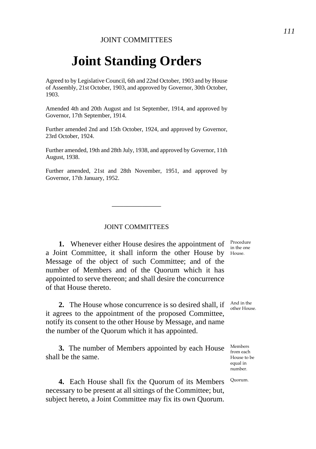# **Joint Standing Orders**

Agreed to by Legislative Council, 6th and 22nd October, 1903 and by House of Assembly, 21st October, 1903, and approved by Governor, 30th October, 1903.

Amended 4th and 20th August and 1st September, 1914, and approved by Governor, 17th September, 1914.

Further amended 2nd and 15th October, 1924, and approved by Governor, 23rd October, 1924.

Further amended, 19th and 28th July, 1938, and approved by Governor, 11th August, 1938.

Further amended, 21st and 28th November, 1951, and approved by Governor, 17th January, 1952.

JOINT COMMITTEES

\_\_\_\_\_\_\_\_\_\_\_\_\_

**1.** Whenever either House desires the appointment of  $\frac{Proceedure}{in those one}$ a Joint Committee, it shall inform the other House by House. Message of the object of such Committee; and of the number of Members and of the Quorum which it has appointed to serve thereon; and shall desire the concurrence of that House thereto.

**2.** The House whose concurrence is so desired shall, if it agrees to the appointment of the proposed Committee, notify its consent to the other House by Message, and name the number of the Quorum which it has appointed.

**3.** The number of Members appointed by each House shall be the same.

**4.** Each House shall fix the Quorum of its Members necessary to be present at all sittings of the Committee; but, subject hereto, a Joint Committee may fix its own Quorum.

in the one

And in the other House.

Members from each House to be equal in number.

Quorum.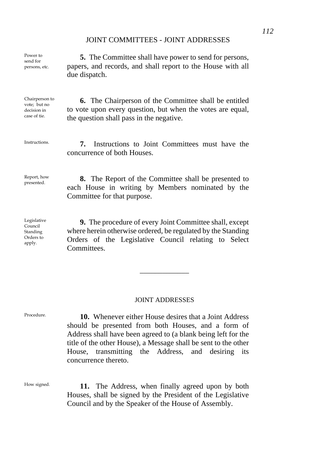# JOINT COMMITTEES - JOINT ADDRESSES

Power to send for persons, etc.

**5.** The Committee shall have power to send for persons, papers, and records, and shall report to the House with all due dispatch.

Chairperson to vote; but no decision in case of tie.

Instructions. **7.** Instructions to Joint Committees must have the

the question shall pass in the negative.

concurrence of both Houses.

**6.** The Chairperson of the Committee shall be entitled to vote upon every question, but when the votes are equal,

Report, how<br>presented.

**8.** The Report of the Committee shall be presented to each House in writing by Members nominated by the Committee for that purpose.

Legislative Council **Standing** Orders to apply.

**9.** The procedure of every Joint Committee shall, except where herein otherwise ordered, be regulated by the Standing Orders of the Legislative Council relating to Select **Committees** 

## JOINT ADDRESSES

\_\_\_\_\_\_\_\_\_\_\_\_\_

Procedure. **10.** Whenever either House desires that a Joint Address should be presented from both Houses, and a form of Address shall have been agreed to (a blank being left for the title of the other House), a Message shall be sent to the other House, transmitting the Address, and desiring its concurrence thereto.

How signed. **11.** The Address, when finally agreed upon by both Houses, shall be signed by the President of the Legislative Council and by the Speaker of the House of Assembly.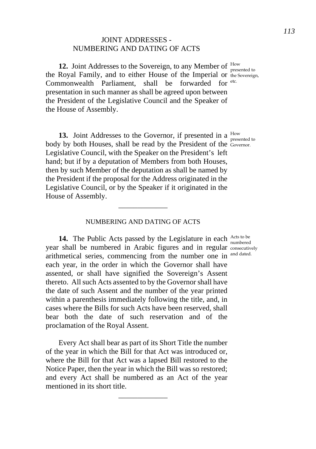# JOINT ADDRESSES - NUMBERING AND DATING OF ACTS

**12.** Joint Addresses to the Sovereign, to any Member of the Royal Family, and to either House of the Imperial or Commonwealth Parliament, presentation in such manner as shall be agreed upon between the President of the Legislative Council and the Speaker of the House of Assembly. shall be forwarded for etc.

**13.** Joint Addresses to the Governor, if presented in a  $\frac{How}{presented to}$ body by both Houses, shall be read by the President of the Governor. Legislative Council, with the Speaker on the President's left hand; but if by a deputation of Members from both Houses, then by such Member of the deputation as shall be named by the President if the proposal for the Address originated in the Legislative Council, or by the Speaker if it originated in the House of Assembly.

# NUMBERING AND DATING OF ACTS

\_\_\_\_\_\_\_\_\_\_\_\_\_

**14.** The Public Acts passed by the Legislature in each Acts to be year shall be numbered in Arabic figures and in regular consecutively arithmetical series, commencing from the number one in and dated. each year, in the order in which the Governor shall have assented, or shall have signified the Sovereign's Assent thereto. All such Acts assented to by the Governor shall have the date of such Assent and the number of the year printed within a parenthesis immediately following the title, and, in cases where the Bills for such Acts have been reserved, shall bear both the date of such reservation and of the proclamation of the Royal Assent.

Every Act shall bear as part of its Short Title the number of the year in which the Bill for that Act was introduced or, where the Bill for that Act was a lapsed Bill restored to the Notice Paper, then the year in which the Bill was so restored; and every Act shall be numbered as an Act of the year mentioned in its short title.

\_\_\_\_\_\_\_\_\_\_\_\_\_

How presented to the Sovereign,

numbered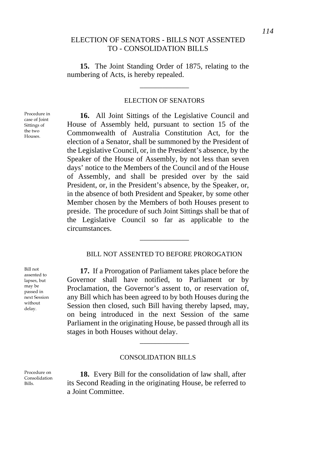# ELECTION OF SENATORS - BILLS NOT ASSENTED TO - CONSOLIDATION BILLS

**15.** The Joint Standing Order of 1875, relating to the numbering of Acts, is hereby repealed.

## ELECTION OF SENATORS

\_\_\_\_\_\_\_\_\_\_\_\_\_

**16.** All Joint Sittings of the Legislative Council and House of Assembly held, pursuant to section 15 of the Commonwealth of Australia Constitution Act, for the election of a Senator, shall be summoned by the President of the Legislative Council, or, in the President's absence, by the Speaker of the House of Assembly, by not less than seven days' notice to the Members of the Council and of the House of Assembly, and shall be presided over by the said President, or, in the President's absence, by the Speaker, or, in the absence of both President and Speaker, by some other Member chosen by the Members of both Houses present to preside. The procedure of such Joint Sittings shall be that of the Legislative Council so far as applicable to the circumstances.

# BILL NOT ASSENTED TO BEFORE PROROGATION

\_\_\_\_\_\_\_\_\_\_\_\_\_

**17.** If a Prorogation of Parliament takes place before the Governor shall have notified, to Parliament or by Proclamation, the Governor's assent to, or reservation of, any Bill which has been agreed to by both Houses during the Session then closed, such Bill having thereby lapsed, may, on being introduced in the next Session of the same Parliament in the originating House, be passed through all its stages in both Houses without delay.

## CONSOLIDATION BILLS

\_\_\_\_\_\_\_\_\_\_\_\_\_

**18.** Every Bill for the consolidation of law shall, after its Second Reading in the originating House, be referred to a Joint Committee.

Bill not assented to lapses, but may be passed in next Session without delay.

Procedure on Consolidation Bills.

Procedure in case of Joint Sittings of the two Houses.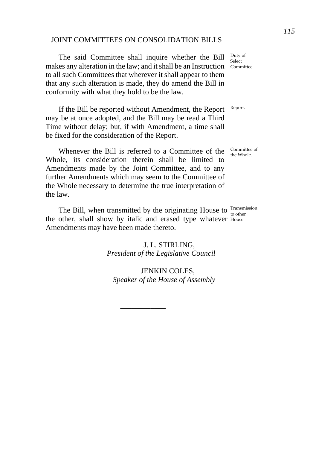# JOINT COMMITTEES ON CONSOLIDATION BILLS

The said Committee shall inquire whether the Bill makes any alteration in the law; and it shall be an Instruction Committee. to all such Committees that wherever it shall appear to them that any such alteration is made, they do amend the Bill in conformity with what they hold to be the law.

If the Bill be reported without Amendment, the Report may be at once adopted, and the Bill may be read a Third Time without delay; but, if with Amendment, a time shall be fixed for the consideration of the Report.

Whenever the Bill is referred to a Committee of the Whole, its consideration therein shall be limited to Amendments made by the Joint Committee, and to any further Amendments which may seem to the Committee of the Whole necessary to determine the true interpretation of the law.

The Bill, when transmitted by the originating House to  $\frac{\text{Transmission}}{\text{to other}}$ the other, shall show by italic and erased type whatever House. Amendments may have been made thereto.

\_\_\_\_\_\_\_\_\_\_\_\_

J. L. STIRLING, *President of the Legislative Council* 

JENKIN COLES, *Speaker of the House of Assembly* Duty of Select

Report.

Committee of the Whole.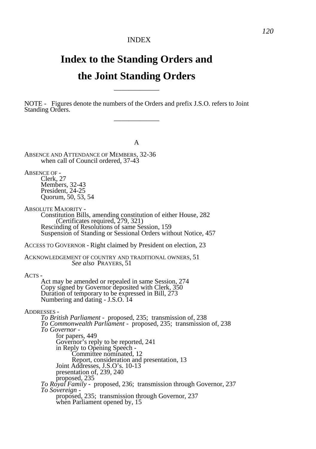# **Index to the Standing Orders and the Joint Standing Orders**

\_\_\_\_\_\_\_\_\_\_\_\_

NOTE - Figures denote the numbers of the Orders and prefix J.S.O. refers to Joint Standing Orders. \_\_\_\_\_\_\_\_\_\_\_\_

A ABSENCE AND ATTENDANCE OF MEMBERS, 32-36 when call of Council ordered, 37-43 ABSENCE OF -Clerk, 27 Members, 32-43 President, 24-25 Quorum, 50, 53, 54 ABSOLUTE MAJORITY - Constitution Bills, amending constitution of either House, 282 (Certificates required, 279, 321) Rescinding of Resolutions of same Session, 159 Suspension of Standing or Sessional Orders without Notice, 457 ACCESS TO GOVERNOR - Right claimed by President on election, 23 ACKNOWLEDGEMENT OF COUNTRY AND TRADITIONAL OWNERS, 51 *See also* PRAYERS, 51 ACTS - Act may be amended or repealed in same Session, 274 Copy signed by Governor deposited with Clerk, 350 Duration of temporary to be expressed in Bill, 273 Numbering and dating - J.S.O. 14 ADDRESSES - *To British Parliament -* proposed, 235; transmission of, 238 *To Commonwealth Parliament -* proposed, 235; transmission of, 238 *To Governor*  for papers, 449 Governor's reply to be reported, 241 in Reply to Opening Speech - Committee nominated, 12 Report, consideration and presentation, 13 Joint Addresses, J.S.O's. 10-13 presentation of, 239, 240 proposed, 235 *To Royal Family -* proposed, 236; transmission through Governor, 237 *To Sovereign*  proposed, 235; transmission through Governor, 237 when Parliament opened by, 15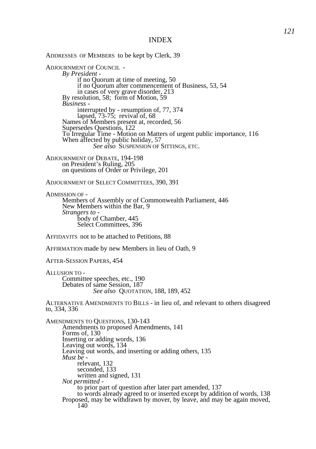ADDRESSES OF MEMBERS to be kept by Clerk, 39 ADJOURNMENT OF COUNCIL - *By President*  if no Quorum at time of meeting, 50 if no Quorum after commencement of Business, 53, 54 in cases of very grave disorder, 213 By resolution, 58; form of Motion, 59 *Business*  interrupted by - resumption of, 77, 374 lapsed, 73-75; revival of, 68 Names of Members present at, recorded, 56 Supersedes Questions, 122 To Irregular Time - Motion on Matters of urgent public importance, 116 When affected by public holiday, 57 *See also* SUSPENSION OF SITTINGS, ETC. ADJOURNMENT OF DEBATE, 194-198 on President's Ruling, 205 on questions of Order or Privilege, 201 ADJOURNMENT OF SELECT COMMITTEES, 390, 391 ADMISSION OF - Members of Assembly or of Commonwealth Parliament, 446 New Members within the Bar, 9 *Strangers to*  body of Chamber, 445 Select Committees, 396 AFFIDAVITS not to be attached to Petitions, 88 AFFIRMATION made by new Members in lieu of Oath, 9 AFTER-SESSION PAPERS, 454 ALLUSION TO - Committee speeches, etc., 190 Debates of same Session, 187 *See also* QUOTATION, 188, 189, 452 ALTERNATIVE AMENDMENTS TO BILLS - in lieu of, and relevant to others disagreed to, 334, 336 AMENDMENTS TO QUESTIONS, 130-143 Amendments to proposed Amendments, 141 Forms of, 130 Inserting or adding words, 136 Leaving out words, 134 Leaving out words, and inserting or adding others, 135 *Must be*  relevant, 132 seconded, 133 written and signed, 131 *Not permitted*  to prior part of question after later part amended, 137 to words already agreed to or inserted except by addition of words, 138 Proposed, may be withdrawn by mover, by leave, and may be again moved, 140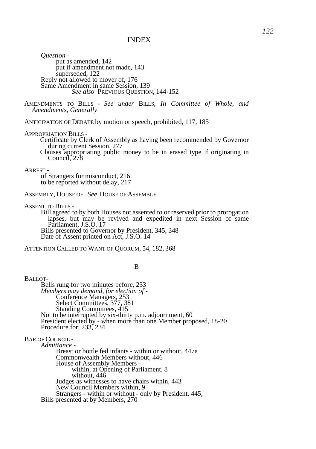*Question*  put as amended, 142 put if amendment not made, 143 superseded, 122 Reply not allowed to mover of, 176 Same Amendment in same Session, 139 *See also* PREVIOUS QUESTION, 144-152

AMENDMENTS TO BILLS - *See under* BILLS, *In Committee of Whole, and Amendments, Generally* 

ANTICIPATION OF DEBATE by motion or speech, prohibited, 117, 185

#### APPROPRIATION BILLS -

Certificate by Clerk of Assembly as having been recommended by Governor during current Session, 277

Clauses appropriating public money to be in erased type if originating in Council, 278

#### ARREST -

of Strangers for misconduct, 216 to be reported without delay, 217

ASSEMBLY, HOUSE OF. *See* HOUSE OF ASSEMBLY

ASSENT TO BILLS -

Bill agreed to by both Houses not assented to or reserved prior to prorogation lapses, but may be revived and expedited in next Session of same Parliament, J.S.O. 17 Bills presented to Governor by President, 345, 348 Date of Assent printed on Act, J.S.O. 14

ATTENTION CALLED TO WANT OF QUORUM, 54, 182, 368

#### B

BALLOT-Bells rung for two minutes before, 233 *Members may demand, for election of -*  Conference Managers, 253 Select Committees, 377, 381 Standing Committees, 415 Not to be interrupted by six-thirty p.m. adjournment, 60 President elected by - when more than one Member proposed, 18-20 Procedure for, 233, 234 BAR OF COUNCIL - *Admittance -*  Breast or bottle fed infants - within or without, 447a Commonwealth Members without, 446 House of Assembly Members within, at Opening of Parliament, 8 without, 446 Judges as witnesses to have chairs within, 443 New Council Members within, 9

Strangers - within or without - only by President, 445, Bills presented at by Members, 270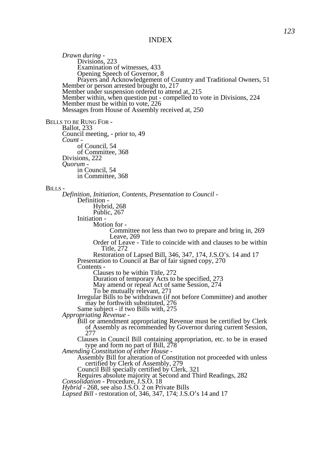*Drawn during -* Divisions, 223 Examination of witnesses, 433 Opening Speech of Governor, 8 Prayers and Acknowledgement of Country and Traditional Owners, 51 Member or person arrested brought to, 217 Member under suspension ordered to attend at, 215 Member within, when question put - compelled to vote in Divisions, 224 Member must be within to vote, 226 Messages from House of Assembly received at, 250 BELLS TO BE RUNG FOR - Ballot, 233 Council meeting, - prior to, 49 *Count*  of Council, 54 of Committee, 368 Divisions, 222 *Quorum*  in Council, 54 in Committee, 368 BILLS - *Definition, Initiation, Contents, Presentation to Council -* Definition - Hybrid, 268 Public, 267 Initiation - Motion for - Committee not less than two to prepare and bring in, 269 Leave, 269 Order of Leave - Title to coincide with and clauses to be within Title, 272 Restoration of Lapsed Bill, 346, 347, 174, J.S.O's. 14 and 17 Presentation to Council at Bar of fair signed copy, 270 Contents - Clauses to be within Title, 272 Duration of temporary Acts to be specified, 273 May amend or repeal Act of same Session, 274 To be mutually relevant, 271 Irregular Bills to be withdrawn (if not before Committee) and another may be forthwith substituted, 276 Same subject - if two Bills with, 275 *Appropriating Revenue -*  Bill or amendment appropriating Revenue must be certified by Clerk of Assembly as recommended by Governor during current Session, 277 Clauses in Council Bill containing appropriation, etc. to be in erased type and form no part of Bill, 278 *Amending Constitution of either House -*  Assembly Bill for alteration of Constitution not proceeded with unless certified by Clerk of Assembly, 279 Council Bill specially certified by Clerk, 321 Requires absolute majority at Second and Third Readings, 282 *Consolidation -* Procedure, J.S.O. 18 *Hybrid -* 268, see also J.S.O. 2 on Private Bills *Lapsed Bill* - restoration of, 346, 347, 174; J.S.O's 14 and 17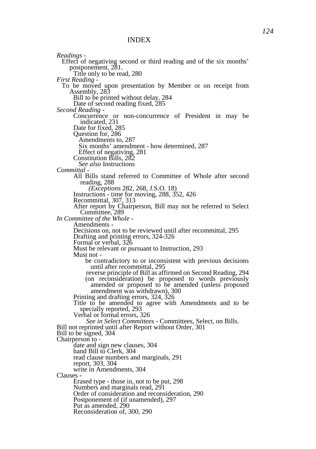*Readings -* Effect of negativing second or third reading and of the six months' postponement, 281. Title only to be read, 280 *First Reading -*  To be moved upon presentation by Member or on receipt from Assembly, 283 Bill to be printed without delay, 284 Date of second reading fixed, 285 *Second Reading -*  Concurrence or non-concurrence of President in may be indicated, 231 Date for fixed, 285 Question for, 286 Amendments to, 287 Six months' amendment - how determined, 287 Effect of negativing, 281 Constitution Bills, 282 *See also* Instructions *Committal -* All Bills stand referred to Committee of Whole after second reading, 288 *(Exceptions* 282, 268, J.S.O. 18) Instructions - time for moving, 288, 352, 426 Recommittal, 307, 313 After report by Chairperson, Bill may not be referred to Select Committee, 289 *In Committee of the Whole -* Amendments - Decisions on, not to be reviewed until after recommittal, 295 Drafting and printing errors, 324-326 Formal or verbal, 326 Must be relevant or pursuant to Instruction, 293 Must not be contradictory to or inconsistent with previous decisions until after recommittal, 295 reverse principle of Bill as affirmed on Second Reading, 294 (on reconsideration) be proposed to words previously amended or proposed to be amended (unless proposed amendment was withdrawn), 300 Printing and drafting errors, 324, 326 Title to be amended to agree with Amendments and to be specially reported, 293 Verbal or formal errors, 326 *See in Select Committees -* Committees, Select, on Bills. Bill not reprinted until after Report without Order, 301 Bill to be signed, 304 Chairperson to date and sign new clauses, 304 hand Bill to Clerk, 304 read clause numbers and marginals, 291 report, 303, 304 write in Amendments, 304 Clauses - Erased type - those in, not to be put, 298 Numbers and marginals read, 291 Order of consideration and reconsideration, 290 Postponement of (if unamended), 297 Put as amended, 290 Reconsideration of, 300, 290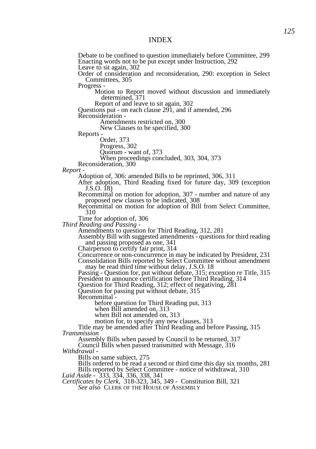Debate to be confined to question immediately before Committee, 299 Enacting words not to be put except under Instruction, 292 Leave to sit again, 302 Order of consideration and reconsideration, 290: exception in Select Committees, 305 Progress - Motion to Report moved without discussion and immediately determined, 371 Report of and leave to sit again, 302 Questions put - on each clause 291, and if amended, 296 Reconsideration - Amendments restricted on, 300 New Clauses to be specified, 300 Reports - Order, 373 Progress, 302 Quorum - want of, 373 When proceedings concluded, 303, 304, 373 Reconsideration, 300 *Report -*  Adoption of, 306: amended Bills to be reprinted, 306, 311 After adoption, Third Reading fixed for future day, 309 (exception J.S.O. 18) Recommittal on motion for adoption, 307 - number and nature of any proposed new clauses to be indicated, 308 Recommittal on motion for adoption of Bill from Select Committee, 310 Time for adoption of, 306 *Third Reading and Passing -*  Amendments to question for Third Reading, 312, 281 Assembly Bill with suggested amendments - questions for third reading and passing proposed as one, 341 Chairperson to certify fair print, 314 Concurrence or non-concurrence in may be indicated by President, 231 Consolidation Bills reported by Select Committee without amendment may be read third time without delay, J.S.O. 18 Passing - Question for, put without debate, 315; exception *re* Title, 315 President to announce certification before Third Reading, 314 Question for Third Reading, 312; effect of negativing, 281 Question for passing put without debate, 315 Recommittal before question for Third Reading put, 313 when Bill amended on, 313 when Bill not amended on, 313 motion for, to specify any new clauses, 313 Title may be amended after Third Reading and before Passing, 315

*Transmission* 

Assembly Bills when passed by Council to be returned, 317

Council Bills when passed transmitted with Message, 316 *Withdrawal -*

Bills on same subject, 275

Bills ordered to be read a second or third time this day six months, 281 Bills reported by Select Committee - notice of withdrawal, 310

*Laid Aside -* 333, 334, 336, 338, 341

*Certificates by Clerk,* 318-323, 345, 349 - Constitution Bill, 321

*See also* CLERK OF THE HOUSE OF ASSEMBLY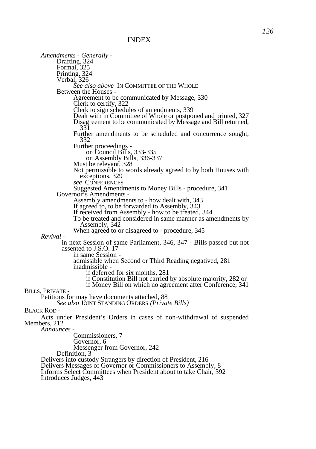*Amendments - Generally -* Drafting, 324 Formal, 325 Printing, 324 Verbal, 326 *See also above* IN COMMITTEE OF THE WHOLE Between the Houses - Agreement to be communicated by Message, 330 Clerk to certify, 322 Clerk to sign schedules of amendments, 339 Dealt with in Committee of Whole or postponed and printed, 327 Disagreement to be communicated by Message and Bill returned, 331 Further amendments to be scheduled and concurrence sought, 332 Further proceedings on Council Bills, 333-335 on Assembly Bills, 336-337 Must be relevant, 328 Not permissible to words already agreed to by both Houses with exceptions, 329 *see* CONFERENCES Suggested Amendments to Money Bills - procedure, 341 Governor's Amendments - Assembly amendments to - how dealt with, 343 If agreed to, to be forwarded to Assembly, 343 If received from Assembly - how to be treated, 344 To be treated and considered in same manner as amendments by Assembly, 342 When agreed to or disagreed to - procedure, 345 *Revival*  in next Session of same Parliament, 346, 347 - Bills passed but not assented to J.S.O. 17 in same Session admissible when Second or Third Reading negatived, 281 inadmissible if deferred for six months, 281 if Constitution Bill not carried by absolute majority, 282 or if Money Bill on which no agreement after Conference, 341 BILLS, PRIVATE - Petitions for may have documents attached, 88 *See also* JOINT STANDING ORDERS *(Private Bills)*  BLACK ROD - Acts under President's Orders in cases of non-withdrawal of suspended Members, 212 *Announces -*  Commissioners, 7 Governor, 6 Messenger from Governor, 242 Definition, 3 Delivers into custody Strangers by direction of President, 216 Delivers Messages of Governor or Commissioners to Assembly, 8 Informs Select Committees when President about to take Chair, 392

Introduces Judges, 443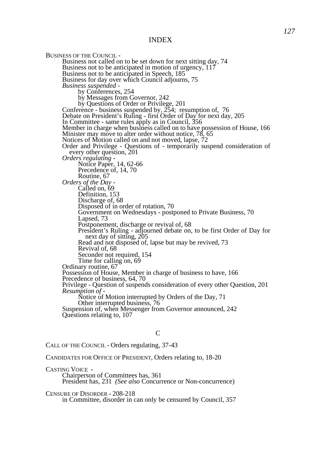BUSINESS OF THE COUNCIL - Business not called on to be set down for next sitting day, 74 Business not to be anticipated in motion of urgency, 117 Business not to be anticipated in Speech, 185 Business for day over which Council adjourns, 75 *Business suspended*  by Conferences, 254 by Messages from Governor, 242 by Questions of Order or Privilege, 201 Conference - business suspended by, 254; resumption of, 76 Debate on President's Ruling - first Order of Day for next day, 205 In Committee *-* same rules apply as in Council, 356 Member in charge when business called on to have possession of House, 166 Minister may move to alter order without notice, 78, 65 Notices of Motion called on and not moved, lapse, 72 Order and Privilege - Questions of - temporarily suspend consideration of every other question, 201 *Orders regulating -* Notice Paper, 14, 62-66 Precedence of, 14, 70 Routine, 67 *Orders of the Day -* Called on, 69 Definition, 153 Discharge of, 68 Disposed of in order of rotation, 70 Government on Wednesdays - postponed to Private Business, 70 Lapsed, 73 Postponement, discharge or revival of, 68 President's Ruling - adjourned debate on, to be first Order of Day for next day of sitting, 205 Read and not disposed of, lapse but may be revived, 73 Revival of, 68 Seconder not required, 154 Time for calling on, 69 Ordinary routine, 67 Possession of House, Member in charge of business to have, 166 Precedence of business, 64, 70 Privilege - Question of suspends consideration of every other Question, 201 *Resumption of -*  Notice of Motion interrupted by Orders of the Day, 71 Other interrupted business, 76 Suspension of, when Messenger from Governor announced, 242 Questions relating to, 107

#### $\mathcal{C}$

CALL OF THE COUNCIL - Orders regulating, 37-43

CANDIDATES FOR OFFICE OF PRESIDENT, Orders relating to, 18-20

CASTING VOICE - Chairperson of Committees has, 361 President has, 231 *(See also* Concurrence or Non-concurrence)

CENSURE OF DISORDER - 208-218 in Committee, disorder in can only be censured by Council, 357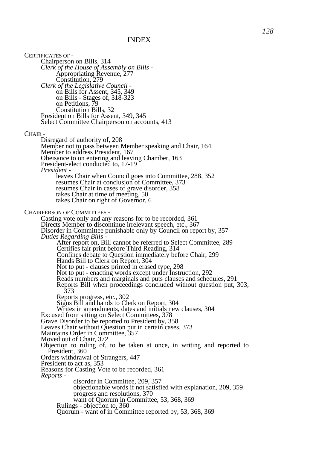CERTIFICATES OF - Chairperson on Bills, 314 *Clerk of the House of Assembly on Bills -*  Appropriating Revenue, 277 Constitution, 279 *Clerk of the Legislative Council*  on Bills for Assent, 345, 349 on Bills - Stages of, 318-323 on Petitions, 79 Constitution Bills, 321 President on Bills for Assent, 349, 345 Select Committee Chairperson on accounts, 413 CHAIR - Disregard of authority of, 208 Member not to pass between Member speaking and Chair, 164 Member to address President, 167 Obeisance to on entering and leaving Chamber, 163 President-elect conducted to, 17-19 *President*  leaves Chair when Council goes into Committee, 288, 352 resumes Chair at conclusion of Committee, 373 resumes Chair in cases of grave disorder, 358 takes Chair at time of meeting, 50 takes Chair on right of Governor, 6 CHAIRPERSON OF COMMITTEES - Casting vote only and any reasons for to be recorded, 361 Directs Member to discontinue irrelevant speech, etc., 367 Disorder in Committee punishable only by Council on report by, 357 *Duties Regarding Bills -*  After report on, Bill cannot be referred to Select Committee, 289 Certifies fair print before Third Reading, 314 Confines debate to Question immediately before Chair, 299 Hands Bill to Clerk on Report, 304 Not to put - clauses printed in erased type, 298 Not to put - enacting words except under Instruction, 292 Reads numbers and marginals and puts clauses and schedules, 291 Reports Bill when proceedings concluded without question put, 303, 373 Reports progress, etc., 302 Signs Bill and hands to Clerk on Report, 304 Writes in amendments, dates and initials new clauses, 304 Excused from sitting on Select Committees, 378 Grave Disorder to be reported to President by, 358 Leaves Chair without Question put in certain cases, 373 Maintains Order in Committee, 357 Moved out of Chair, 372 Objection to ruling of, to be taken at once, in writing and reported to President, 360 Orders withdrawal of Strangers, 447 President to act as, 353 Reasons for Casting Vote to be recorded, 361 *Reports*  disorder in Committee, 209, 357 objectionable words if not satisfied with explanation, 209, 359 progress and resolutions, 370 want of Quorum in Committee, 53, 368, 369 Rulings - objection to, 360 Quorum - want of in Committee reported by, 53, 368, 369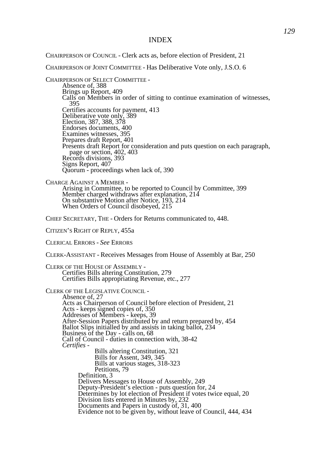CHAIRPERSON OF COUNCIL - Clerk acts as, before election of President, 21

CHAIRPERSON OF JOINT COMMITTEE - Has Deliberative Vote only, J.S.O. 6

CHAIRPERSON OF SELECT COMMITTEE - Absence of, 388 Brings up Report, 409 Calls on Members in order of sitting to continue examination of witnesses, 395 Certifies accounts for payment, 413 Deliberative vote only, 389 Election, 387, 388, 378 Endorses documents, 400 Examines witnesses, 395 Prepares draft Report, 401 Presents draft Report for consideration and puts question on each paragraph, page or section, 402, 403 Records divisions, 393 Signs Report, 407 Quorum - proceedings when lack of, 390

CHARGE AGAINST A MEMBER - Arising in Committee, to be reported to Council by Committee, 399 Member charged withdraws after explanation, 214 On substantive Motion after Notice, 193, 214 When Orders of Council disobeyed, 215

CHIEF SECRETARY, THE - Orders for Returns communicated to, 448.

CITIZEN'S RIGHT OF REPLY, 455a

CLERICAL ERRORS - *See* ERRORS

CLERK-ASSISTANT - Receives Messages from House of Assembly at Bar, 250

CLERK OF THE HOUSE OF ASSEMBLY - Certifies Bills altering Constitution, 279 Certifies Bills appropriating Revenue, etc., 277 CLERK OF THE LEGISLATIVE COUNCIL - Absence of, 27 Acts as Chairperson of Council before election of President, 21 Acts - keeps signed copies of, 350 Addresses of Members - keeps, 39 After-Session Papers distributed by and return prepared by, 454 Ballot Slips initialled by and assists in taking ballot, 234 Business of the Day - calls on, 68 Call of Council - duties in connection with, 38-42 *Certifies -*  Bills altering Constitution, 321 Bills for Assent, 349, 345 Bills at various stages, 318-323 Petitions, 79 Definition, 3 Delivers Messages to House of Assembly, 249 Deputy-President's election - puts question for, 24 Determines by lot election of President if votes twice equal, 20 Division lists entered in Minutes by, 232 Documents and Papers in custody of, 31, 400 Evidence not to be given by, without leave of Council, 444, 434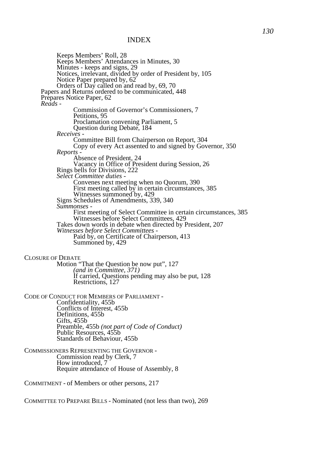Keeps Members' Roll, 28 Keeps Members' Attendances in Minutes, 30 Minutes - keeps and signs, 29 Notices, irrelevant, divided by order of President by, 105 Notice Paper prepared by, 62 Orders of Day called on and read by, 69, 70 Papers and Returns ordered to be communicated, 448 Prepares Notice Paper, 62 *Reads -*  Commission of Governor's Commissioners, 7 Petitions, 95 Proclamation convening Parliament, 5 Question during Debate, 184 *Receives -*  Committee Bill from Chairperson on Report, 304 Copy of every Act assented to and signed by Governor, 350 *Reports -*  Absence of President, 24 Vacancy in Office of President during Session, 26 Rings bells for Divisions, 222 *Select Committee duties -*  Convenes next meeting when no Quorum, 390 First meeting called by in certain circumstances, 385 Witnesses summoned by, 429 Signs Schedules of Amendments, 339, 340 *Summonses -*  First meeting of Select Committee in certain circumstances, 385 Witnesses before Select Committees, 429 Takes down words in debate when directed by President, 207 *Witnesses before Select Committees -*  Paid by, on Certificate of Chairperson, 413 Summoned by, 429 CLOSURE OF DEBATE Motion "That the Question be now put", 127 *(and in Committee, 371)*  If carried, Questions pending may also be put, 128 Restrictions, 127 CODE OF CONDUCT FOR MEMBERS OF PARLIAMENT - Confidentiality, 455b Conflicts of Interest, 455b Definitions, 455b Gifts, 455b Preamble, 455b *(not part of Code of Conduct)* Public Resources, 455b Standards of Behaviour, 455b COMMISSIONERS REPRESENTING THE GOVERNOR - Commission read by Clerk, 7 How introduced, 7 Require attendance of House of Assembly, 8 COMMITMENT - of Members or other persons, 217

COMMITTEE TO PREPARE BILLS - Nominated (not less than two), 269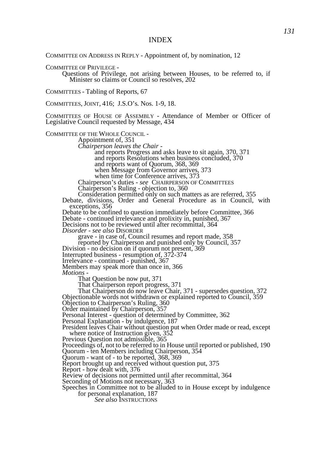COMMITTEE ON ADDRESS IN REPLY - Appointment of, by nomination, 12

COMMITTEE OF PRIVILEGE -

Questions of Privilege, not arising between Houses, to be referred to, if Minister so claims or Council so resolves, 202

COMMITTEES - Tabling of Reports, 67

COMMITTEES, JOINT, 416; J.S.O's. Nos. 1-9, 18.

COMMITTEES OF HOUSE OF ASSEMBLY - Attendance of Member or Officer of Legislative Council requested by Message, 434

COMMITTEE OF THE WHOLE COUNCIL -

Appointment of, 351

*Chairperson leaves the Chair -* 

and reports Progress and asks leave to sit again, 370, 371 and reports Resolutions when business concluded, 370 and reports want of Quorum, 368, 369 when Message from Governor arrives, 373 when time for Conference arrives, 373

Chairperson's duties - *see* CHAIRPERSON OF COMMITTEES

Chairperson's Ruling - objection to, 360

Consideration permitted only on such matters as are referred, 355

Debate, divisions, Order and General Procedure as in Council, with exceptions, 356

Debate to be confined to question immediately before Committee, 366 Debate - continued irrelevance and prolixity in, punished, 367 Decisions not to be reviewed until after recommittal, 364

*Disorder* - *see also* DISORDER

grave - in case of, Council resumes and report made, 358

reported by Chairperson and punished only by Council, 357

Division - no decision on if quorum not present, 369

Interrupted business - resumption of, 372-374

Irrelevance - continued - punished, 367

Members may speak more than once in, 366 *Motions -*

That Question be now put, 371

That Chairperson report progress, 371

That Chairperson do now leave Chair, 371 - supersedes question, 372 Objectionable words not withdrawn or explained reported to Council, 359 Objection to Chairperson's Ruling, 360

Order maintained by Chairperson, 357

Personal Interest - question of determined by Committee, 362

Personal Explanation - by indulgence, 187

President leaves Chair without question put when Order made or read, except where notice of Instruction given, 352

Previous Question not admissible, 365

Proceedings of, not to be referred to in House until reported or published, 190 Quorum - ten Members including Chairperson, 354

Quorum - want of - to be reported, 368, 369

Report brought up and received without question put, 375

Report - how dealt with, 376

Review of decisions not permitted until after recommittal, 364

Seconding of Motions not necessary, 363

Speeches in Committee not to be alluded to in House except by indulgence for personal explanation, 187

*See also* INSTRUCTIONS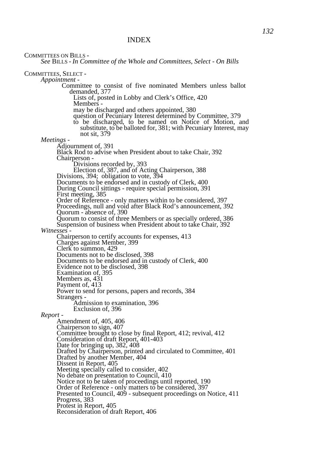COMMITTEES ON BILLS -

*See* BILLS - *In Committee of the Whole and Committees, Select - On Bills* 

COMMITTEES, SELECT -

*Appointment -*  Committee to consist of five nominated Members unless ballot demanded, 377 Lists of, posted in Lobby and Clerk's Office, 420 Members may be discharged and others appointed, 380 question of Pecuniary Interest determined by Committee, 379 to be discharged, to be named on Notice of Motion, and substitute, to be balloted for, 381; with Pecuniary Interest, may not sit, 379 *Meetings -*  Adjournment of, 391 Black Rod to advise when President about to take Chair, 392 Chairperson - Divisions recorded by, 393 Election of, 387, and of Acting Chairperson, 388 Divisions, 394; obligation to vote, 394 Documents to be endorsed and in custody of Clerk, 400 During Council sittings - require special permission, 391 First meeting, 385 Order of Reference - only matters within to be considered, 397 Proceedings, null and void after Black Rod's announcement, 392 Quorum - absence of, 390 Quorum to consist of three Members or as specially ordered, 386 Suspension of business when President about to take Chair, 392 *Witnesses -*  Chairperson to certify accounts for expenses, 413 Charges against Member, 399 Clerk to summon, 429 Documents not to be disclosed, 398 Documents to be endorsed and in custody of Clerk, 400 Evidence not to be disclosed, 398 Examination of, 395 Members as,  $431$ Payment of, 413 Power to send for persons, papers and records, 384 Strangers - Admission to examination, 396 Exclusion of, 396 *Report -*  Amendment of, 405, 406 Chairperson to sign, 407 Committee brought to close by final Report, 412; revival, 412 Consideration of draft Report, 401-403 Date for bringing up, 382, 408 Drafted by Chairperson, printed and circulated to Committee, 401 Drafted by another Member, 404 Dissent in Report, 405 Meeting specially called to consider, 402 No debate on presentation to Council, 410 Notice not to be taken of proceedings until reported, 190 Order of Reference - only matters to be considered, 397 Presented to Council, 409 - subsequent proceedings on Notice, 411

Protest in Report, 405

Reconsideration of draft Report, 406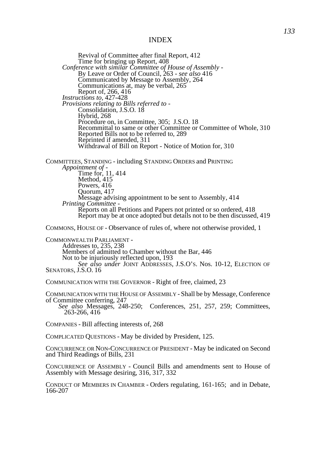Revival of Committee after final Report, 412 Time for bringing up Report, 408 *Conference with similar Committee of House of Assembly -* By Leave or Order of Council, 263 - *see also* 416 Communicated by Message to Assembly, 264 Communications at, may be verbal, 265 Report of, 266, 416 *Instructions to,* 427-428 *Provisions relating to Bills referred to -*  Consolidation, J.S.O. 18 Hybrid, 268 Procedure on, in Committee, 305; J.S.O. 18 Recommittal to same or other Committee or Committee of Whole, 310 Reported Bills not to be referred to, 289 Reprinted if amended, 311 Withdrawal of Bill on Report - Notice of Motion for, 310 COMMITTEES, STANDING - including STANDING ORDERS and PRINTING *Appointment of -*  Time for, 11, 414 Method, 415 Powers, 416 Quorum, 417

Message advising appointment to be sent to Assembly, 414 *Printing Committee -*  Reports on all Petitions and Papers not printed or so ordered, 418

Report may be at once adopted but details not to be then discussed, 419

COMMONS, HOUSE OF - Observance of rules of, where not otherwise provided, 1

COMMONWEALTH PARLIAMENT - Addresses to, 235, 238 Members of admitted to Chamber without the Bar, 446 Not to be injuriously reflected upon, 193 *See also under* JOINT ADDRESSES, J.S.O'S. Nos. 10-12, ELECTION OF SENATORS, J.S.O. 16

COMMUNICATION WITH THE GOVERNOR - Right of free, claimed, 23

COMMUNICATION WITH THE HOUSE OF ASSEMBLY - Shall be by Message, Conference of Committee conferring, 247

*See also* Messages, 248-250; Conferences, 251, 257, 259; Committees, 263-266, 416

COMPANIES - Bill affecting interests of, 268

COMPLICATED QUESTIONS - May be divided by President, 125.

CONCURRENCE OR NON-CONCURRENCE OF PRESIDENT - May be indicated on Second and Third Readings of Bills, 231

CONCURRENCE OF ASSEMBLY - Council Bills and amendments sent to House of Assembly with Message desiring, 316, 317, 332

CONDUCT OF MEMBERS IN CHAMBER - Orders regulating, 161-165; and in Debate, 166-207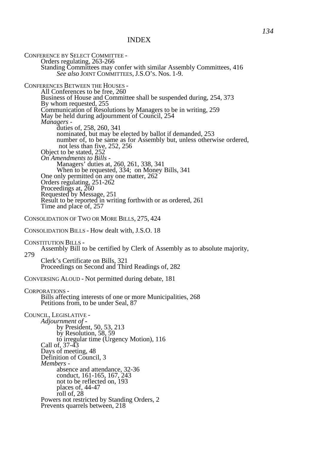CONFERENCE BY SELECT COMMITTEE - Orders regulating, 263-266 Standing Committees may confer with similar Assembly Committees, 416 *See also* JOINT COMMITTEES, J.S.O'S. Nos. 1-9. CONFERENCES BETWEEN THE HOUSES - All Conferences to be free, 260 Business of House and Committee shall be suspended during, 254, 373 By whom requested, 255 Communication of Resolutions by Managers to be in writing, 259 May be held during adjournment of Council, 254 *Managers*  duties of, 258, 260, 341 nominated, but may be elected by ballot if demanded, 253 number of, to be same as for Assembly but, unless otherwise ordered, not less than five, 252, 256 Object to be stated, 252 *On Amendments to Bills -*  Managers' duties at, 260, 261, 338, 341 When to be requested, 334; on Money Bills, 341 One only permitted on any one matter, 262 Orders regulating, 251-262 Proceedings at, 260 Requested by Message, 251 Result to be reported in writing forthwith or as ordered, 261 Time and place of, 257 CONSOLIDATION OF TWO OR MORE BILLS, 275, 424 CONSOLIDATION BILLS - How dealt with, J.S.O. 18 CONSTITUTION BILLS - Assembly Bill to be certified by Clerk of Assembly as to absolute majority, 279 Clerk's Certificate on Bills, 321 Proceedings on Second and Third Readings of, 282 CONVERSING ALOUD - Not permitted during debate, 181 CORPORATIONS - Bills affecting interests of one or more Municipalities, 268 Petitions from, to be under Seal, 87 COUNCIL, LEGISLATIVE - *Adjournment of*  by President, 50, 53, 213 by Resolution, 58, 59 to irregular time (Urgency Motion), 116 Call of, 37-43 Days of meeting, 48 Definition of Council, 3 *Members*  absence and attendance, 32-36 conduct, 161-165, 167, 243 not to be reflected on, 193 places of, 44-47 roll of, 28 Powers not restricted by Standing Orders, 2 Prevents quarrels between, 218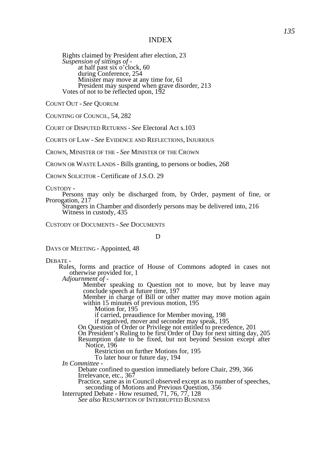Rights claimed by President after election, 23 *Suspension of sittings of*  at half past six o'clock, 60 during Conference, 254 Minister may move at any time for, 61 President may suspend when grave disorder, 213 Votes of not to be reflected upon, 192

COUNT OUT - *See* QUORUM

COUNTING OF COUNCIL, 54, 282

COURT OF DISPUTED RETURNS - *See* Electoral Act s.103

COURTS OF LAW - *See* EVIDENCE AND REFLECTIONS, INJURIOUS

CROWN, MINISTER OF THE - *See* MINISTER OF THE CROWN

CROWN OR WASTE LANDS - Bills granting, to persons or bodies, 268

CROWN SOLICITOR - Certificate of J.S.O. 29

CUSTODY -

Persons may only be discharged from, by Order, payment of fine, or Prorogation, 217

Strangers in Chamber and disorderly persons may be delivered into, 216 Witness in custody, 435

CUSTODY OF DOCUMENTS - *See* DOCUMENTS

D

DAYS OF MEETING - Appointed, 48

DEBATE -

 Rules, forms and practice of House of Commons adopted in cases not otherwise provided for, 1

*Adjournment of -*

Member speaking to Question not to move, but by leave may conclude speech at future time, 197

 Member in charge of Bill or other matter may move motion again within 15 minutes of previous motion, 195

Motion for, 195

if carried, preaudience for Member moving, 198

if negatived, mover and seconder may speak, 195

On Question of Order or Privilege not entitled to precedence, 201

On President's Ruling to be first Order of Day for next sitting day, 205

Resumption date to be fixed, but not beyond Session except after Notice, 196

Restriction on further Motions for, 195

To later hour or future day, 194

*In Committee -* 

Debate confined to question immediately before Chair, 299, 366 Irrelevance, etc., 367

Practice, same as in Council observed except as to number of speeches, seconding of Motions and Previous Question, 356

Interrupted Debate - How resumed, 71, 76, 77, 128

*See also* RESUMPTION OF INTERRUPTED BUSINESS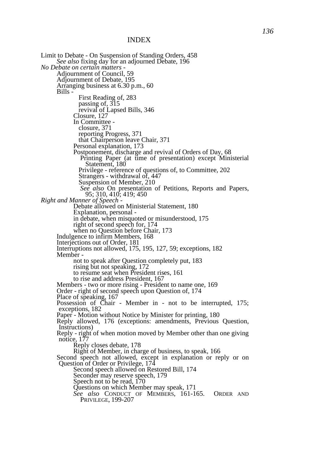Limit to Debate - On Suspension of Standing Orders, 458 *See also* fixing day for an adjourned Debate, 196 *No Debate on certain matters -* Adjournment of Council, 59 Adjournment of Debate, 195 Arranging business at 6.30 p.m., 60 Bills - First Reading of, 283 passing of, 315 revival of Lapsed Bills, 346 Closure, 127 In Committee closure, 371 reporting Progress, 371 that Chairperson leave Chair, 371 Personal explanation, 173 Postponement, discharge and revival of Orders of Day, 68 Printing Paper (at time of presentation) except Ministerial Statement, 180 Privilege - reference of questions of, to Committee, 202 Strangers - withdrawal of, 447 Suspension of Member, 210 *See also* On presentation of Petitions, Reports and Papers, 95; 310, 410; 419; 450 *Right and Manner of Speech -* Debate allowed on Ministerial Statement, 180 Explanation, personal in debate, when misquoted or misunderstood, 175 right of second speech for, 174 when no Question before Chair, 173 Indulgence to infirm Members, 168 Interjections out of Order, 181 Interruptions not allowed, 175, 195, 127, 59; exceptions, 182 Member not to speak after Question completely put, 183 rising but not speaking, 172 to resume seat when President rises, 161 to rise and address President, 167 Members - two or more rising - President to name one, 169 Order - right of second speech upon Question of, 174 Place of speaking, 167 Possession of Chair - Member in - not to be interrupted, 175; exceptions, 182 Paper - Motion without Notice by Minister for printing, 180 Reply allowed, 176 (exceptions: amendments, Previous Question, Instructions) Reply - right of when motion moved by Member other than one giving notice, 177 Reply closes debate, 178 Right of Member, in charge of business, to speak, 166 Second speech not allowed, except in explanation or reply or on Question of Order or Privilege, 174 Second speech allowed on Restored Bill, 174 Seconder may reserve speech, 179 Speech not to be read, 170 Questions on which Member may speak, 171 *See also* CONDUCT OF MEMBERS, 161-165. ORDER AND PRIVILEGE, 199-207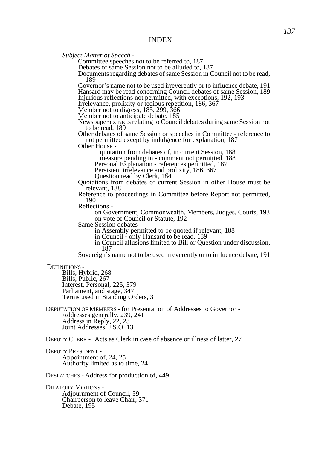*Subject Matter of Speech -*

Committee speeches not to be referred to, 187

Debates of same Session not to be alluded to, 187

Documents regarding debates of same Session in Council not to be read, 189

Governor's name not to be used irreverently or to influence debate, 191 Hansard may be read concerning Council debates of same Session, 189 Injurious reflections not permitted, with exceptions, 192, 193

Irrelevance, prolixity or tedious repetition, 186, 367

Member not to digress, 185, 299, 366

Member not to anticipate debate, 185

Newspaper extracts relating to Council debates during same Session not to be read, 189

Other debates of same Session or speeches in Committee - reference to not permitted except by indulgence for explanation, 187

Other House -

quotation from debates of, in current Session, 188

measure pending in - comment not permitted, 188

Personal Explanation - references permitted, 187

Persistent irrelevance and prolixity, 186, 367

Question read by Clerk, 184

Quotations from debates of current Session in other House must be relevant, 188

Reference to proceedings in Committee before Report not permitted, 190

Reflections -

on Government, Commonwealth, Members, Judges, Courts, 193 on vote of Council or Statute, 192

Same Session debates -

in Assembly permitted to be quoted if relevant, 188

in Council - only Hansard to be read, 189

in Council allusions limited to Bill or Question under discussion, 187

Sovereign's name not to be used irreverently or to influence debate, 191

DEFINITIONS -

Bills, Hybrid, 268 Bills, Public, 267 Interest, Personal, 225, 379 Parliament, and stage, 347 Terms used in Standing Orders, 3

DEPUTATION OF MEMBERS - for Presentation of Addresses to Governor - Addresses generally, 239, 241 Address in Reply, 22, 23 Joint Addresses, J.S.O. 13

DEPUTY CLERK - Acts as Clerk in case of absence or illness of latter, 27

DEPUTY PRESIDENT - Appointment of, 24, 25 Authority limited as to time, 24

DESPATCHES - Address for production of, 449

DILATORY MOTIONS - Adjournment of Council, 59 Chairperson to leave Chair, 371 Debate, 195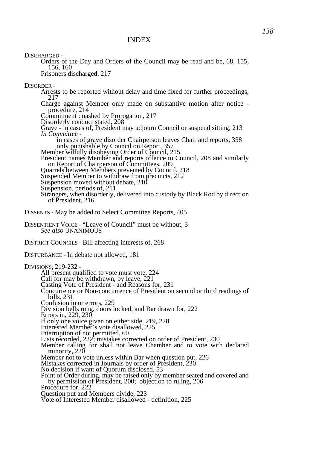DISCHARGED -

Orders of the Day and Orders of the Council may be read and be, 68, 155, 156, 160 Prisoners discharged, 217

DISORDER -

Arrests to be reported without delay and time fixed for further proceedings, 217

Charge against Member only made on substantive motion after notice procedure, 214

Commitment quashed by Prorogation, 217

Disorderly conduct stated, 208

Grave - in cases of, President may adjourn Council or suspend sitting, 213 *In Committee -* 

in cases of grave disorder Chairperson leaves Chair and reports, 358 only punishable by Council on Report, 357

Member wilfully disobeying Order of Council, 215

President names Member and reports offence to Council, 208 and similarly on Report of Chairperson of Committees, 209

Quarrels between Members prevented by Council, 218

Suspended Member to withdraw from precincts, 212

Suspension moved without debate, 210

Suspension, periods of, 211

Strangers, when disorderly, delivered into custody by Black Rod by direction of President, 216

DISSENTS - May be added to Select Committee Reports, 405

DISSENTIENT VOICE - "Leave of Council" must be without, 3 *See also* UNANIMOUS

DISTRICT COUNCILS - Bill affecting interests of, 268

DISTURBANCE - In debate not allowed, 181

DIVISIONS, 219-232 - All present qualified to vote must vote, 224 Call for may be withdrawn, by leave, 221 Casting Vote of President - and Reasons for, 231 Concurrence or Non-concurrence of President on second or third readings of bills, 231 Confusion in or errors, 229 Division bells rung, doors locked, and Bar drawn for, 222 Errors in, 229, 230 If only one voice given on either side, 219, 228 Interested Member's vote disallowed, 225 Interruption of not permitted, 60 Lists recorded, 232; mistakes corrected on order of President, 230 Member calling for shall not leave Chamber and to vote with declared minority, 220 Member not to vote unless within Bar when question put, 226 Mistakes corrected in Journals by order of President, 230 No decision if want of Quorum disclosed, 53 Point of Order during, may be raised only by member seated and covered and by permission of President, 200; objection to ruling, 206 Procedure for, 222 Question put and Members divide, 223 Vote of Interested Member disallowed - definition, 225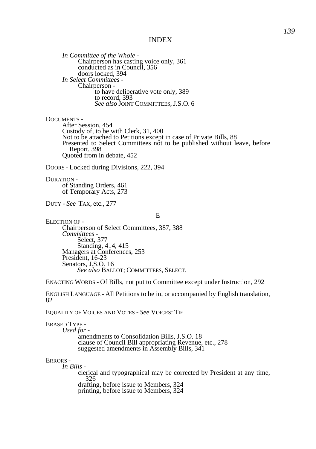*In Committee of the Whole -* Chairperson has casting voice only, 361 conducted as in Council, 356 doors locked, 394 *In Select Committees -* Chairperson to have deliberative vote only, 389 to record, 393 *See also* JOINT COMMITTEES, J.S.O. 6

#### DOCUMENTS -

After Session, 454 Custody of, to be with Clerk, 31, 400 Not to be attached to Petitions except in case of Private Bills, 88 Presented to Select Committees not to be published without leave, before Report, 398 Quoted from in debate, 452

DOORS - Locked during Divisions, 222, 394

DURATION of Standing Orders, 461 of Temporary Acts, 273

DUTY - *See* TAX, etc., 277

E

ELECTION OF - Chairperson of Select Committees, 387, 388 *Committees -*  Select, 377 Standing, 414, 415 Managers at Conferences, 253 President, 16-23 Senators, J.S.O. 16 *See also* BALLOT; COMMITTEES, SELECT.

ENACTING WORDS - Of Bills, not put to Committee except under Instruction, 292

ENGLISH LANGUAGE - All Petitions to be in, or accompanied by English translation, 82

EQUALITY OF VOICES AND VOTES - *See* VOICES: TIE

ERASED TYPE -

*Used for*  amendments to Consolidation Bills, J.S.O. 18 clause of Council Bill appropriating Revenue, etc., 278 suggested amendments in Assembly Bills, 341

#### ERRORS -

*In Bills -* 

clerical and typographical may be corrected by President at any time, 326 drafting, before issue to Members, 324 printing, before issue to Members, 324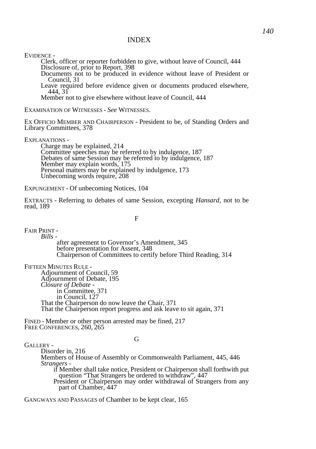EVIDENCE -

Clerk, officer or reporter forbidden to give, without leave of Council, 444 Disclosure of, prior to Report, 398

Documents not to be produced in evidence without leave of President or Council, 31

Leave required before evidence given or documents produced elsewhere, 444, 31

Member not to give elsewhere without leave of Council, 444

EXAMINATION OF WITNESSES - *See* WITNESSES.

EX OFFICIO MEMBER AND CHAIRPERSON - President to be, of Standing Orders and Library Committees, 378

EXPLANATIONS -

Charge may be explained, 214 Committee speeches may be referred to by indulgence, 187 Debates of same Session may be referred to by indulgence, 187 Member may explain words, 175 Personal matters may be explained by indulgence, 173 Unbecoming words require, 208

EXPUNGEMENT - Of unbecoming Notices, 104

EXTRACTS - Referring to debates of same Session, excepting *Hansard,* not to be read, 189

F

FAIR PRINT - *Bills -*

after agreement to Governor's Amendment, 345 before presentation for Assent, 348 Chairperson of Committees to certify before Third Reading, 314

FIFTEEN MINUTES RULE -

Adjournment of Council, 59 Adjournment of Debate, 195 *Closure of Debate*  in Committee, 371 in Council, 127 That the Chairperson do now leave the Chair, 371 That the Chairperson report progress and ask leave to sit again, 371

FINED - Member or other person arrested may be fined, 217 FREE CONFERENCES, 260, 265

GALLERY -

#### G

Disorder in, 216 Members of House of Assembly or Commonwealth Parliament, 445, 446 *Strangers*  if Member shall take notice, President or Chairperson shall forthwith put question "That Strangers be ordered to withdraw", 447 President or Chairperson may order withdrawal of Strangers from any part of Chamber, 447

GANGWAYS AND PASSAGES of Chamber to be kept clear, 165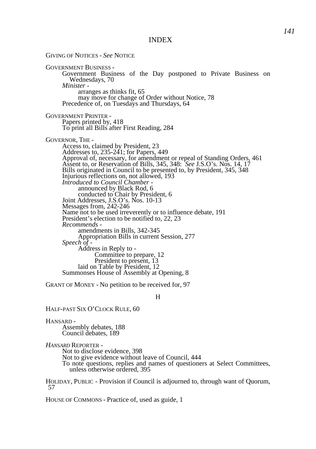GIVING OF NOTICES - *See* NOTICE GOVERNMENT BUSINESS - Government Business of the Day postponed to Private Business on Wednesdays, 70 *Minister*  arranges as thinks fit, 65 may move for change of Order without Notice, 78 Precedence of, on Tuesdays and Thursdays, 64 GOVERNMENT PRINTER - Papers printed by, 418 To print all Bills after First Reading, 284 GOVERNOR, THE - Access to, claimed by President, 23 Addresses to, 235-241; for Papers, 449 Approval of, necessary, for amendment or repeal of Standing Orders, 461 Assent to, or Reservation of Bills, 345, 348: *See* J.S.O's. Nos. 14, 17 Bills originated in Council to be presented to, by President, 345, 348 Injurious reflections on, not allowed, 193 *Introduced to Council Chamber*  announced by Black Rod, 6 conducted to Chair by President, 6 Joint Addresses, J.S.O's. Nos. 10-13 Messages from, 242-246 Name not to be used irreverently or to influence debate, 191 President's election to be notified to, 22, 23 *Recommends*  amendments in Bills, 342-345 Appropriation Bills in current Session, 277 *Speech of -*  Address in Reply to - Committee to prepare, 12 President to present, 13 laid on Table by President, 12 Summonses House of Assembly at Opening, 8

GRANT OF MONEY - No petition to be received for, 97

H

HALF-PAST SIX O'CLOCK RULE, 60

HANSARD -

Assembly debates, 188 Council debates, 189

*HANSARD* REPORTER -

Not to disclose evidence, 398 Not to give evidence without leave of Council, 444 To note questions, replies and names of questioners at Select Committees, unless otherwise ordered, 395

HOLIDAY, PUBLIC - Provision if Council is adjourned to, through want of Quorum, 57

HOUSE OF COMMONS - Practice of, used as guide, 1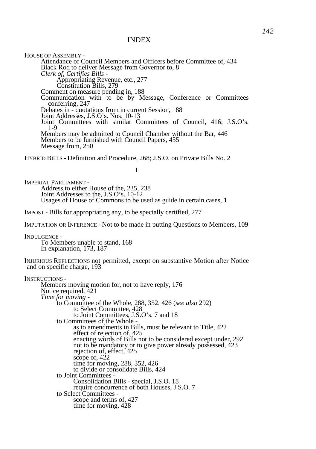HOUSE OF ASSEMBLY -Attendance of Council Members and Officers before Committee of, 434 Black Rod to deliver Message from Governor to, 8 *Clerk of, Certifies Bills -* Appropriating Revenue, etc., 277 Constitution Bills, 279 Comment on measure pending in, 188 Communication with to be by Message, Conference or Committees conferring, 247 Debates in - quotations from in current Session, 188 Joint Addresses, J.S.O's. Nos. 10-13 Joint Committees with similar Committees of Council, 416; J.S.O's. 1-9 Members may be admitted to Council Chamber without the Bar, 446 Members to be furnished with Council Papers, 455 Message from, 250

HYBRID BILLS - Definition and Procedure, 268; J.S.O. on Private Bills No. 2

I

IMPERIAL PARLIAMENT - Address to either House of the, 235, 238 Joint Addresses to the, J.S.O's. 10-12 Usages of House of Commons to be used as guide in certain cases, 1

IMPOST - Bills for appropriating any, to be specially certified, 277

IMPUTATION OR INFERENCE - Not to be made in putting Questions to Members, 109

INDULGENCE - To Members unable to stand, 168 In explanation, 173, 187

INJURIOUS REFLECTIONS not permitted, except on substantive Motion after Notice and on specific charge, 193

```
INSTRUCTIONS -
Members moving motion for, not to have reply, 176 
Notice required, 421 
Time for moving - 
      to Committee of the Whole, 288, 352, 426 (see also 292) 
            to Select Committee, 428 
            to Joint Committees, J.S.O's. 7 and 18 
      to Committees of the Whole - 
            as to amendments in Bills, must be relevant to Title, 422 
            effect of rejection of, 425 
            enacting words of Bills not to be considered except under, 292 
            not to be mandatory or to give power already possessed, 423 
            rejection of, effect, 425 
            scope of, 422 
            time for moving, 288, 352, 426 
            to divide or consolidate Bills, 424 
      to Joint Committees -
            Consolidation Bills - special, J.S.O. 18 
            require concurrence of both Houses, J.S.O. 7
      to Select Committees -
            scope and terms of, 427 
            time for moving, 428
```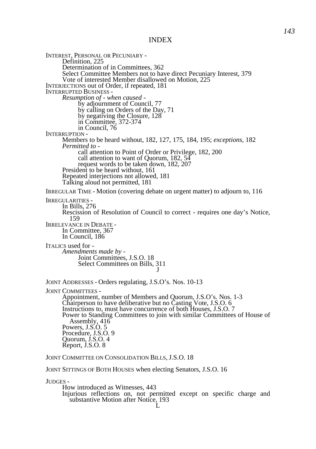INTEREST, PERSONAL OR PECUNIARY - Definition, 225 Determination of in Committees, 362 Select Committee Members not to have direct Pecuniary Interest, 379 Vote of interested Member disallowed on Motion, 225 INTERJECTIONS out of Order, if repeated, 181 INTERRUPTED BUSINESS - *Resumption of - when caused*  by adjournment of Council, 77 by calling on Orders of the Day, 71 by negativing the Closure, 128 in Committee, 372-374 in Council, 76 INTERRUPTION - Members to be heard without, 182, 127, 175, 184, 195; *exceptions,* 182 *Permitted to*  call attention to Point of Order or Privilege, 182, 200 call attention to want of Quorum, 182, 54 request words to be taken down, 182, 207 President to be heard without, 161 Repeated interjections not allowed, 181 Talking aloud not permitted, 181 IRREGULAR TIME - Motion (covering debate on urgent matter) to adjourn to, 116 IRREGULARITIES - In Bills, 276 Rescission of Resolution of Council to correct - requires one day's Notice, 159 IRRELEVANCE IN DEBATE - In Committee, 367 In Council, 186 ITALICS used for - *Amendments made by -* Joint Committees, J.S.O. 18 Select Committees on Bills, 311 J JOINT ADDRESSES - Orders regulating, J.S.O's. Nos. 10-13 JOINT COMMITTEES - Appointment, number of Members and Quorum, J.S.O's. Nos. 1-3 Chairperson to have deliberative but no Casting Vote, J.S.O. 6 Instructions to, must have concurrence of both Houses, J.S.O. 7 Power to Standing Committees to join with similar Committees of House of Assembly, 416 Powers, J.S.O. 5 Procedure, J.S.O. 9 Quorum, J.S.O. 4 Report, J.S.O. 8 JOINT COMMITTEE ON CONSOLIDATION BILLS, J.S.O. 18 JOINT SITTINGS OF BOTH HOUSES when electing Senators, J.S.O. 16 JUDGES - How introduced as Witnesses, 443

Injurious reflections on, not permitted except on specific charge and substantive Motion after Notice, 193 L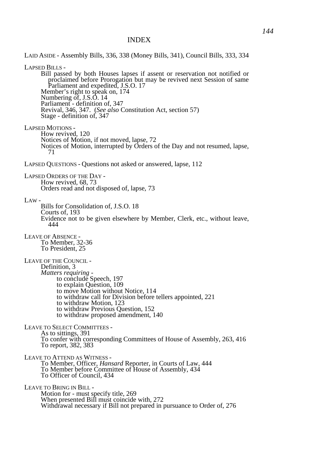LAID ASIDE - Assembly Bills, 336, 338 (Money Bills, 341), Council Bills, 333, 334 LAPSED BILLS - Bill passed by both Houses lapses if assent or reservation not notified or proclaimed before Prorogation but may be revived next Session of same Parliament and expedited, J.S.O. 17 Member's right to speak on, 174 Numbering of, J.S.O. 14 Parliament - definition of, 347 Revival, 346, 347. (*See also* Constitution Act, section 57) Stage - definition of, 347 LAPSED MOTIONS - How revived, 120 Notices of Motion, if not moved, lapse, 72 Notices of Motion, interrupted by Orders of the Day and not resumed, lapse, 71 LAPSED QUESTIONS - Questions not asked or answered, lapse, 112 LAPSED ORDERS OF THE DAY - How revived, 68, 73 Orders read and not disposed of, lapse, 73  $LAW -$ Bills for Consolidation of, J.S.O. 18 Courts of, 193 Evidence not to be given elsewhere by Member, Clerk, etc., without leave, 444 LEAVE OF ABSENCE - To Member, 32-36 To President, 25 LEAVE OF THE COUNCIL - Definition, 3 *Matters requiring*  to conclude Speech, 197 to explain Question, 109 to move Motion without Notice, 114 to withdraw call for Division before tellers appointed, 221 to withdraw Motion, 123 to withdraw Previous Question, 152 to withdraw proposed amendment, 140 LEAVE TO SELECT COMMITTEES - As to sittings, 391 To confer with corresponding Committees of House of Assembly, 263, 416 To report, 382, 383 LEAVE TO ATTEND AS WITNESS - To Member, Officer, *Hansard* Reporter, in Courts of Law, 444 To Member before Committee of House of Assembly, 434 To Officer of Council, 434 LEAVE TO BRING IN BILL - Motion for - must specify title, 269 When presented Bill must coincide with, 272 Withdrawal necessary if Bill not prepared in pursuance to Order of, 276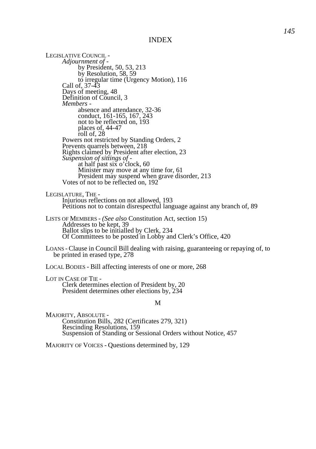LEGISLATIVE COUNCIL - *Adjournment of*  by President, 50, 53, 213 by Resolution, 58, 59 to irregular time (Urgency Motion), 116 Call of, 37-43 Days of meeting, 48 Definition of Council, 3 *Members*  absence and attendance, 32-36 conduct, 161-165, 167, 243 not to be reflected on, 193 places of, 44-47 roll of, 28 Powers not restricted by Standing Orders, 2 Prevents quarrels between, 218 Rights claimed by President after election, 23 *Suspension of sittings of*  at half past six o'clock, 60 Minister may move at any time for, 61 President may suspend when grave disorder, 213 Votes of not to be reflected on, 192 LEGISLATURE, THE - Injurious reflections on not allowed, 193 Petitions not to contain disrespectful language against any branch of, 89 LISTS OF MEMBERS - *(See also* Constitution Act, section 15) Addresses to be kept, 39 Ballot slips to be initialled by Clerk, 234 Of Committees to be posted in Lobby and Clerk's Office, 420 LOANS - Clause in Council Bill dealing with raising, guaranteeing or repaying of, to be printed in erased type, 278 LOCAL BODIES - Bill affecting interests of one or more, 268

LOT IN CASE OF TIE - Clerk determines election of President by, 20 President determines other elections by, 234

#### M

MAJORITY, ABSOLUTE - Constitution Bills, 282 (Certificates 279, 321) Rescinding Resolutions, 159 Suspension of Standing or Sessional Orders without Notice, 457

MAJORITY OF VOICES - Questions determined by, 129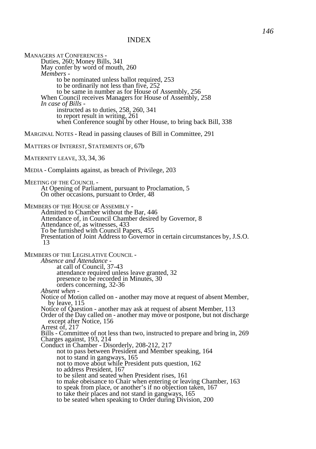MANAGERS AT CONFERENCES - Duties, 260; Money Bills, 341 May confer by word of mouth, 260 *Members*  to be nominated unless ballot required, 253 to be ordinarily not less than five, 252 to be same in number as for House of Assembly, 256 When Council receives Managers for House of Assembly, 258 *In case of Bills*  instructed as to duties, 258, 260, 341 to report result in writing, 261 when Conference sought by other House, to bring back Bill, 338 MARGINAL NOTES - Read in passing clauses of Bill in Committee, 291 MATTERS OF INTEREST, STATEMENTS OF, 67b MATERNITY LEAVE, 33, 34, 36 MEDIA - Complaints against, as breach of Privilege, 203 MEETING OF THE COUNCIL - At Opening of Parliament, pursuant to Proclamation, 5 On other occasions, pursuant to Order, 48 MEMBERS OF THE HOUSE OF ASSEMBLY - Admitted to Chamber without the Bar, 446 Attendance of, in Council Chamber desired by Governor, 8 Attendance of, as witnesses, 433 To be furnished with Council Papers, 455 Presentation of Joint Address to Governor in certain circumstances by, J.S.O. 13 MEMBERS OF THE LEGISLATIVE COUNCIL - *Absence and Attendance*  at call of Council, 37-43 attendance required unless leave granted, 32 presence to be recorded in Minutes, 30 orders concerning, 32-36 *Absent when -*  Notice of Motion called on - another may move at request of absent Member, by leave, 115 Notice of Question - another may ask at request of absent Member, 113 Order of the Day called on - another may move or postpone, but not discharge except after Notice, 156 Arrest of, 217 Bills - Committee of not less than two, instructed to prepare and bring in, 269 Charges against, 193, 214 Conduct in Chamber - Disorderly, 208-212, 217 not to pass between President and Member speaking, 164 not to stand in gangways, 165 not to move about while President puts question, 162 to address President, 167 to be silent and seated when President rises, 161 to make obeisance to Chair when entering or leaving Chamber, 163 to speak from place, or another's if no objection taken, 167 to take their places and not stand in gangways, 165 to be seated when speaking to Order during Division, 200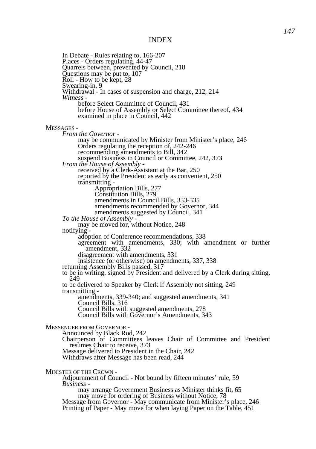In Debate - Rules relating to, 166-207 Places - Orders regulating, 44-47 Quarrels between, prevented by Council, 218 Questions may be put to, 107 Roll - How to be kept, 28 Swearing-in, 9 Withdrawal - In cases of suspension and charge, 212, 214 *Witness*  before Select Committee of Council, 431 before House of Assembly or Select Committee thereof, 434 examined in place in Council, 442 MESSAGES - *From the Governor*  may be communicated by Minister from Minister's place, 246 Orders regulating the reception of, 242-246 recommending amendments to Bill, 342 suspend Business in Council or Committee, 242, 373 *From the House of Assembly*  received by a Clerk-Assistant at the Bar, 250 reported by the President as early as convenient, 250 transmitting - Appropriation Bills, 277 Constitution Bills, 279 amendments in Council Bills, 333-335 amendments recommended by Governor, 344 amendments suggested by Council, 341 *To the House of Assembly*  may be moved for, without Notice, 248 notifying adoption of Conference recommendations, 338 agreement with amendments, 330; with amendment or further amendment, 332 disagreement with amendments, 331 insistence (or otherwise) on amendments, 337, 338 returning Assembly Bills passed, 317 to be in writing, signed by President and delivered by a Clerk during sitting, 249 to be delivered to Speaker by Clerk if Assembly not sitting, 249 transmitting amendments, 339-340; and suggested amendments, 341 Council Bills, 316 Council Bills with suggested amendments, 278 Council Bills with Governor's Amendments, 343 MESSENGER FROM GOVERNOR - Announced by Black Rod, 242 Chairperson of Committees leaves Chair of Committee and President resumes Chair to receive, 373 Message delivered to President in the Chair, 242 Withdraws after Message has been read, 244 MINISTER OF THE CROWN - Adjournment of Council - Not bound by fifteen minutes' rule, 59 *Business*  may arrange Government Business as Minister thinks fit, 65 may move for ordering of Business without Notice, 78 Message from Governor - May communicate from Minister's place, 246 Printing of Paper - May move for when laying Paper on the Table, 451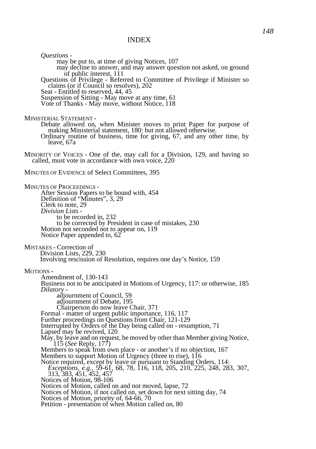*Questions*  may be put to, at time of giving Notices, 107 may decline to answer, and may answer question not asked, on ground of public interest, 111 Questions of Privilege *-* Referred to Committee of Privilege if Minister so claims (or if Council so resolves), 202 Seat *-* Entitled to reserved, 44, 45 Suspension of Sitting *-* May move at any time, 61 Vote of Thanks *-* May move, without Notice, 118 MINISTERIAL STATEMENT - Debate allowed on, when Minister moves to print Paper for purpose of making Ministerial statement, 180: but not allowed otherwise. Ordinary routine of business, time for giving, 67, and any other time, by leave, 67a MINORITY OF VOICES - One of the, may call for a Division, 129, and having so called, must vote in accordance with own voice, 220 MINUTES OF EVIDENCE of Select Committees, 395 MINUTES OF PROCEEDINGS - After Session Papers to be bound with, 454 Definition of "Minutes", 3, 29 Clerk to note, 29 *Division Lists*  to be recorded in, 232 to be corrected by President in case of mistakes, 230 Motion not seconded not to appear on, 119 Notice Paper appended to, 62 MISTAKES - Correction of Division Lists, 229, 230 Involving rescission of Resolution, requires one day's Notice, 159 MOTIONS - Amendment of, 130-143 Business not to be anticipated in Motions of Urgency, 117: or otherwise, 185 *Dilatory*  adjournment of Council, 59 adjournment of Debate, 195 Chairperson do now leave Chair, 371 Formal - matter of urgent public importance, 116, 117 Further proceedings on Questions from Chair, 121-129 Interrupted by Orders of the Day being called on - resumption, 71 Lapsed may be revived, 120 May, by leave and on request, be moved by other than Member giving Notice, 115 (*See* Reply, 177) Members to speak from own place - or another's if no objection, 167 Members to support Motion of Urgency (three to rise), 116 Notice required, except by leave or pursuant to Standing Orders, 114: *Exceptions, e.g.,* 59-61, 68, 78, 116, 118, 205, 210, 225, 248, 283, 307, 313, 383, 451, 452, 457 Notices of Motion, 98-106 Notices of Motion, called on and not moved, lapse, 72 Notices of Motion, if not called on, set down for next sitting day, 74 Notices of Motion, priority of, 64-66, 70 Petition - presentation of when Motion called on, 80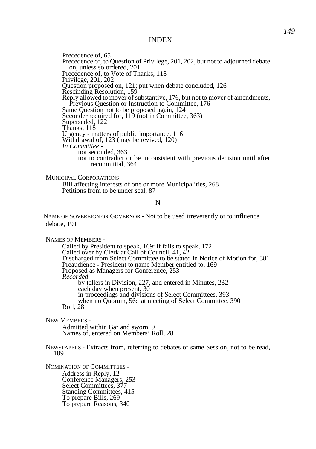Precedence of, 65 Precedence of, to Question of Privilege, 201, 202, but not to adjourned debate on, unless so ordered, 201 Precedence of, to Vote of Thanks, 118 Privilege, 201, 202 Question proposed on, 121; put when debate concluded, 126 Rescinding Resolution, 159 Reply allowed to mover of substantive, 176, but not to mover of amendments, Previous Question or Instruction to Committee, 176 Same Question not to be proposed again, 124 Seconder required for, 119 (not in Committee, 363) Superseded, 122 Thanks, 118 Urgency - matters of public importance, 116 Withdrawal of, 123 (may be revived, 120) *In Committee*  not seconded, 363 not to contradict or be inconsistent with previous decision until after recommittal, 364

MUNICIPAL CORPORATIONS -

Bill affecting interests of one or more Municipalities, 268 Petitions from to be under seal, 87

#### N

NAME OF SOVEREIGN OR GOVERNOR - Not to be used irreverently or to influence debate, 191

NAMES OF MEMBERS -

Called by President to speak, 169: if fails to speak, 172 Called over by Clerk at Call of Council, 41, 42 Discharged from Select Committee to be stated in Notice of Motion for, 381 Preaudience - President to name Member entitled to, 169 Proposed as Managers for Conference, 253 *Recorded*  by tellers in Division, 227, and entered in Minutes, 232 each day when present, 30 in proceedings and divisions of Select Committees, 393 when no Quorum, 56: at meeting of Select Committee, 390 Roll, 28

NEW MEMBERS -

Admitted within Bar and sworn, 9 Names of, entered on Members' Roll, 28

NEWSPAPERS - Extracts from, referring to debates of same Session, not to be read, 189

NOMINATION OF COMMITTEES - Address in Reply, 12 Conference Managers, 253 Select Committees, 377 Standing Committees, 415 To prepare Bills, 269 To prepare Reasons, 340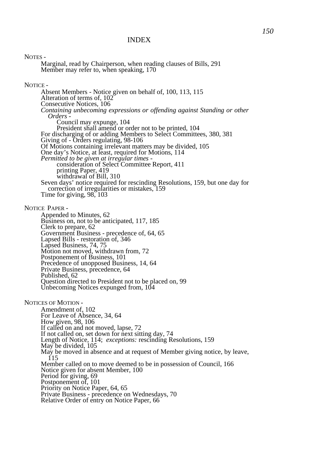NOTES -

Marginal, read by Chairperson, when reading clauses of Bills, 291 Member may refer to, when speaking, 170

NOTICE -

Absent Members - Notice given on behalf of, 100, 113, 115 Alteration of terms of, 102 Consecutive Notices, 106 *Containing unbecoming expressions or offending against Standing or other Orders -*  Council may expunge, 104 President shall amend or order not to be printed, 104 For discharging of or adding Members to Select Committees, 380, 381 Giving of - Orders regulating, 98-106 Of Motions containing irrelevant matters may be divided, 105 One day's Notice, at least, required for Motions, 114 *Permitted to be given at irregular times*  consideration of Select Committee Report, 411 printing Paper, 419 withdrawal of Bill, 310 Seven days' notice required for rescinding Resolutions, 159, but one day for correction of irregularities or mistakes, 159 Time for giving,  $98, 103$ 

NOTICE PAPER -

Appended to Minutes, 62 Business on, not to be anticipated, 117, 185 Clerk to prepare, 62 Government Business - precedence of, 64, 65 Lapsed Bills - restoration of, 346 Lapsed Business, 74, 75 Motion not moved, withdrawn from, 72 Postponement of Business, 101 Precedence of unopposed Business, 14, 64 Private Business, precedence, 64 Published, 62 Question directed to President not to be placed on, 99 Unbecoming Notices expunged from, 104

NOTICES OF MOTION -

Amendment of, 102 For Leave of Absence, 34, 64 How given, 98, 106 If called on and not moved, lapse, 72 If not called on, set down for next sitting day, 74 Length of Notice, 114; *exceptions:* rescinding Resolutions, 159 May be divided, 105 May be moved in absence and at request of Member giving notice, by leave, 115 Member called on to move deemed to be in possession of Council, 166 Notice given for absent Member, 100 Period for giving, 69 Postponement of, 101 Priority on Notice Paper, 64, 65 Private Business - precedence on Wednesdays, 70 Relative Order of entry on Notice Paper, 66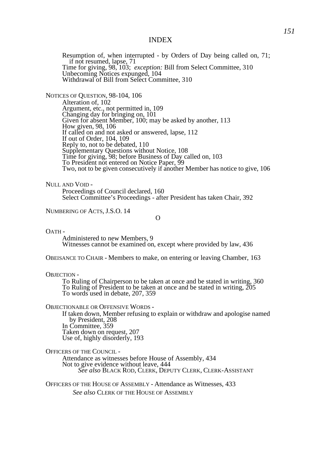Resumption of, when interrupted - by Orders of Day being called on, 71; if not resumed, lapse, 71 Time for giving, 98, 103; *exception:* Bill from Select Committee, 310 Unbecoming Notices expunged, 104 Withdrawal of Bill from Select Committee, 310

NOTICES OF QUESTION, 98-104, 106

Alteration of, 102 Argument, etc., not permitted in, 109 Changing day for bringing on, 101 Given for absent Member, 100; may be asked by another, 113 How given, 98, 106 If called on and not asked or answered, lapse, 112 If out of Order, 104, 109 Reply to, not to be debated, 110 Supplementary Questions without Notice, 108 Time for giving, 98; before Business of Day called on, 103 To President not entered on Notice Paper, 99 Two, not to be given consecutively if another Member has notice to give, 106

NIILL AND VOID -

Proceedings of Council declared, 160 Select Committee's Proceedings - after President has taken Chair, 392

NUMBERING OF ACTS, J.S.O. 14

 $\Omega$ 

 $OATH -$ 

Administered to new Members, 9 Witnesses cannot be examined on, except where provided by law, 436

OBEISANCE TO CHAIR - Members to make, on entering or leaving Chamber, 163

OBJECTION -

To Ruling of Chairperson to be taken at once and be stated in writing, 360 To Ruling of President to be taken at once and be stated in writing,  $\tilde{205}$ To words used in debate, 207, 359

OBJECTIONABLE OR OFFENSIVE WORDS -

If taken down, Member refusing to explain or withdraw and apologise named by President, 208 In Committee, 359 Taken down on request, 207 Use of, highly disorderly, 193

OFFICERS OF THE COUNCIL -

Attendance as witnesses before House of Assembly, 434 Not to give evidence without leave, 444 *See also* BLACK ROD, CLERK, DEPUTY CLERK, CLERK-ASSISTANT

OFFICERS OF THE HOUSE OF ASSEMBLY - Attendance as Witnesses, 433 *See also* CLERK OF THE HOUSE OF ASSEMBLY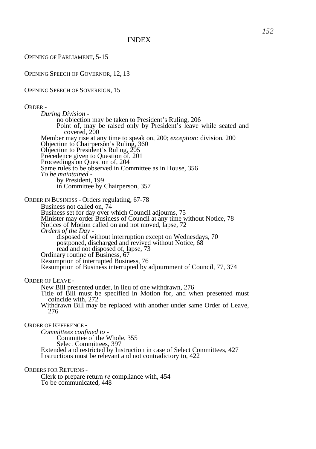OPENING OF PARLIAMENT, 5-15

OPENING SPEECH OF GOVERNOR, 12, 13

### OPENING SPEECH OF SOVEREIGN, 15

#### ORDER -

*During Division*  no objection may be taken to President's Ruling, 206 Point of, may be raised only by President's leave while seated and covered, 200 Member may rise at any time to speak on, 200; *exception:* division, 200 Objection to Chairperson's Ruling, 360 Objection to President's Ruling, 205 Precedence given to Question of, 201 Proceedings on Question of, 204 Same rules to be observed in Committee as in House, 356 *To be maintained*  by President, 199 in Committee by Chairperson, 357

ORDER IN BUSINESS - Orders regulating, 67-78

Business not called on, 74

Business set for day over which Council adjourns, 75 Minister may order Business of Council at any time without Notice, 78 Notices of Motion called on and not moved, lapse, 72 *Orders of the Day*  disposed of without interruption except on Wednesdays, 70 postponed, discharged and revived without Notice, 68 read and not disposed of, lapse, 73 Ordinary routine of Business, 67 Resumption of interrupted Business, 76 Resumption of Business interrupted by adjournment of Council, 77, 374

ORDER OF LEAVE -

New Bill presented under, in lieu of one withdrawn, 276 Title of Bill must be specified in Motion for, and when presented must coincide with, 272 Withdrawn Bill may be replaced with another under same Order of Leave, 276

ORDER OF REFERENCE -

*Committees confined to -*  Committee of the Whole, 355 Select Committees, 397 Extended and restricted by Instruction in case of Select Committees, 427 Instructions must be relevant and not contradictory to, 422

ORDERS FOR RETURNS -

Clerk to prepare return *re* compliance with, 454 To be communicated, 448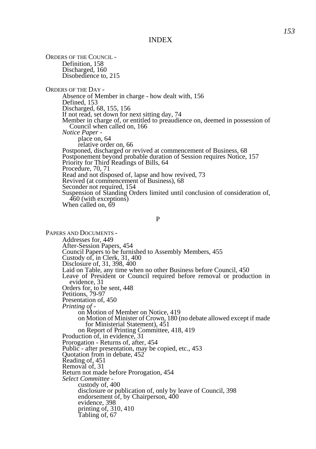ORDERS OF THE COUNCIL - Definition, 158 Discharged, 160 Disobedience to, 215 ORDERS OF THE DAY - Absence of Member in charge - how dealt with, 156 Defined, 153 Discharged, 68, 155, 156 If not read, set down for next sitting day, 74 Member in charge of, or entitled to preaudience on, deemed in possession of Council when called on, 166 *Notice Paper*  place on, 64 relative order on, 66 Postponed, discharged or revived at commencement of Business, 68 Postponement beyond probable duration of Session requires Notice, 157 Priority for Third Readings of Bills, 64 Procedure, 70, 71 Read and not disposed of, lapse and how revived, 73 Revived (at commencement of Business), 68 Seconder not required, 154 Suspension of Standing Orders limited until conclusion of consideration of, 460 (with exceptions) When called on, 69

P

PAPERS AND DOCUMENTS - Addresses for, 449 After-Session Papers, 454 Council Papers to be furnished to Assembly Members, 455 Custody of, in Clerk, 31, 400 Disclosure of, 31, 398, 400 Laid on Table, any time when no other Business before Council, 450 Leave of President or Council required before removal or production in evidence, 31 Orders for, to be sent, 448 Petitions, 79-97 Presentation of, 450 *Printing of*  on Motion of Member on Notice, 419 on Motion of Minister of Crown, 180 (no debate allowed except if made for Ministerial Statement), 451 on Report of Printing Committee, 418, 419 Production of, in evidence, 31 Prorogation - Returns of, after, 454 Public - after presentation, may be copied, etc., 453 Quotation from in debate, 452 Reading of, 451 Removal of, 31 Return not made before Prorogation, 454 *Select Committee*  custody of, 400 disclosure or publication of, only by leave of Council, 398 endorsement of, by Chairperson, 400 evidence, 398 printing of, 310, 410 Tabling of, 67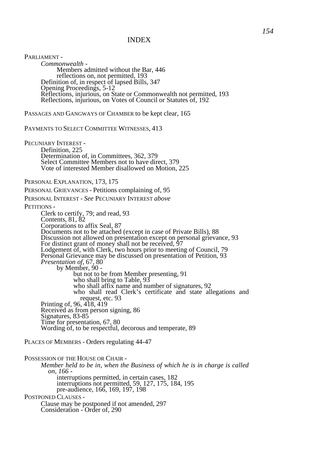PARLIAMENT - *Commonwealth -*  Members admitted without the Bar, 446 reflections on, not permitted, 193 Definition of, in respect of lapsed Bills, 347 Opening Proceedings, 5-12 Reflections, injurious, on State or Commonwealth not permitted, 193 Reflections, injurious, on Votes of Council or Statutes of, 192

PASSAGES AND GANGWAYS OF CHAMBER to be kept clear, 165

PAYMENTS TO SELECT COMMITTEE WITNESSES, 413

PECUNIARY INTEREST - Definition, 225 Determination of, in Committees, 362, 379 Select Committee Members not to have direct, 379 Vote of interested Member disallowed on Motion, 225

PERSONAL EXPLANATION, 173, 175

PERSONAL GRIEVANCES - Petitions complaining of, 95

PERSONAL INTEREST - *See* PECUNIARY INTEREST *above* 

PETITIONS -

Clerk to certify, 79; and read, 93 Contents, 81, 82 Corporations to affix Seal, 87 Documents not to be attached (except in case of Private Bills), 88 Discussion not allowed on presentation except on personal grievance, 93 For distinct grant of money shall not be received, 97 Lodgement of, with Clerk, two hours prior to meeting of Council, 79 Personal Grievance may be discussed on presentation of Petition, 93 *Presentation of,* 67, 80 by Member, 90 but not to be from Member presenting, 91 who shall bring to Table, 93 who shall affix name and number of signatures, 92 who shall read Clerk's certificate and state allegations and request, etc. 93 Printing of, 96, 418, 419 Received as from person signing, 86 Signatures, 83-85 Time for presentation, 67, 80 Wording of, to be respectful, decorous and temperate, 89

PLACES OF MEMBERS - Orders regulating 44-47

POSSESSION OF THE HOUSE OR CHAIR - *Member held to be in, when the Business of which he is in charge is called on, 166*  interruptions permitted, in certain cases, 182 interruptions not permitted, 59, 127, 175, 184, 195 pre-audience, 166, 169, 197, 198 POSTPONED CLAUSES - Clause may be postponed if not amended, 297

Consideration - Order of, 290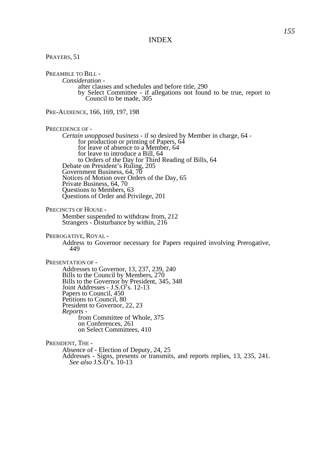PRAYERS, 51 PREAMBLE TO BILL -*Consideration*  after clauses and schedules and before title, 290 by Select Committee - if allegations not found to be true, report to Council to be made, 305 PRE-AUDIENCE, 166, 169, 197, 198 PRECEDENCE OF - *Certain unopposed business* - if so desired by Member in charge, 64 for production or printing of Papers, 64 for leave of absence to a Member, 64 for leave to introduce a Bill, 64 to Orders of the Day for Third Reading of Bills, 64 Debate on President's Ruling, 205 Government Business, 64, 70 Notices of Motion over Orders of the Day, 65 Private Business, 64, 70 Questions to Members, 63 Questions of Order and Privilege, 201 PRECINCTS OF HOUSE - Member suspended to withdraw from, 212 Strangers - Disturbance by within, 216 PREROGATIVE, ROYAL - Address to Governor necessary for Papers required involving Prerogative, 449 PRESENTATION OF - Addresses to Governor, 13, 237, 239, 240 Bills to the Council by Members, 270 Bills to the Governor by President, 345, 348 Joint Addresses - J.S.O's. 12-13 Papers to Council, 450 Petitions to Council, 80 President to Governor, 22, 23 *Reports*  from Committee of Whole, 375 on Conferences, 261 on Select Committees, 410 PRESIDENT, THE - Absence of - Election of Deputy, 24, 25 Addresses - Signs, presents or transmits, and reports replies, 13, 235, 241.

*See also* J.S.O's. 10-13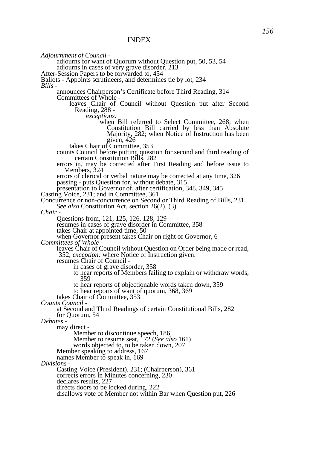*Adjournment of Council -*

adjourns for want of Quorum without Question put, 50, 53, 54 adjourns in cases of very grave disorder, 213 After-Session Papers to be forwarded to, 454

Ballots *-* Appoints scrutineers, and determines tie by lot, 234 *Bills -* 

announces Chairperson's Certificate before Third Reading, 314 Committees of Whole -

 leaves Chair of Council without Question put after Second Reading, 288 -

e*xceptions:*

when Bill referred to Select Committee, 268; when Constitution Bill carried by less than Absolute Majority, 282; when Notice of Instruction has been given, 426

takes Chair of Committee, 353

counts Council before putting question for second and third reading of certain Constitution Bills, 282

errors in, may be corrected after First Reading and before issue to Members, 324

errors of clerical or verbal nature may be corrected at any time, 326 passing - puts Question for, without debate, 315

presentation to Governor of, after certification, 348, 349, 345

Casting Voice, 231; and in Committee, 361

Concurrence or non-concurrence on Second or Third Reading of Bills, 231 *See also* Constitution Act, section 26(2), (3)

*Chair -*

Questions from, 121, 125, 126, 128, 129

resumes in cases of grave disorder in Committee, 358 takes Chair at appointed time, 50

when Governor present takes Chair on right of Governor, 6

*Committees of Whole -*

leaves Chair of Council without Question on Order being made or read, 352; *exception:* where Notice of Instruction given.

resumes Chair of Council -

in cases of grave disorder, 358

to hear reports of Members failing to explain or withdraw words, 359

to hear reports of objectionable words taken down, 359

to hear reports of want of quorum, 368, 369

takes Chair of Committee, 353

*Counts Council -* 

at Second and Third Readings of certain Constitutional Bills, 282 for Quorum, 54

*Debates -*

may direct -

Member to discontinue speech, 186

Member to resume seat, 172 (*See also* 161)

words objected to, to be taken down, 207

Member speaking to address, 167

names Member to speak in, 169

*Divisions -* 

Casting Voice (President), 231; (Chairperson), 361

corrects errors in Minutes concerning, 230

declares results, 227

directs doors to be locked during, 222

disallows vote of Member not within Bar when Question put, 226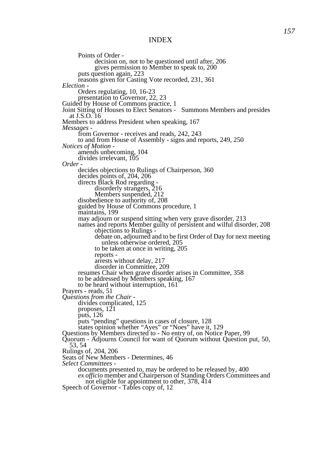Points of Order decision on, not to be questioned until after, 206 gives permission to Member to speak to, 200 puts question again, 223 reasons given for Casting Vote recorded, 231, 361 *Election -* Orders regulating, 10, 16-23 presentation to Governor, 22, 23 Guided by House of Commons practice, 1 Joint Sitting of Houses to Elect Senators - Summons Members and presides at J.S.O. 16 Members to address President when speaking, 167 *Messages*  from Governor - receives and reads, 242, 243 to and from House of Assembly - signs and reports, 249, 250 *Notices of Motion*  amends unbecoming, 104 divides irrelevant. 105 *Order*  decides objections to Rulings of Chairperson, 360 decides points of, 204, 206 directs Black Rod regarding disorderly strangers, 216 Members suspended, 212 disobedience to authority of, 208 guided by House of Commons procedure, 1 maintains, 199 may adjourn or suspend sitting when very grave disorder, 213 names and reports Member guilty of persistent and wilful disorder, 208 objections to Rulings debate on, adjourned and to be first Order of Day for next meeting unless otherwise ordered, 205 to be taken at once in writing, 205 reports arrests without delay, 217 disorder in Committee, 209 resumes Chair when grave disorder arises in Committee, 358 to be addressed by Members speaking, 167 to be heard without interruption, 161 Prayers *-* reads, 51 *Questions from the Chair*  divides complicated, 125 proposes, 121 puts, 126 puts "pending" questions in cases of closure, 128 states opinion whether "Ayes" or "Noes" have it, 129 Questions by Members directed to - No entry of, on Notice Paper, 99 Quorum - Adjourns Council for want of Quorum without Question put, 50, 53, 54 Rulings of, 204, 206 Seats of New Members *-* Determines, 46 *Select Committees*  documents presented to, may be ordered to be released by, 400 *ex officio* member and Chairperson of Standing Orders Committees and not eligible for appointment to other, 378, 414 Speech of Governor *-* Tables copy of, 12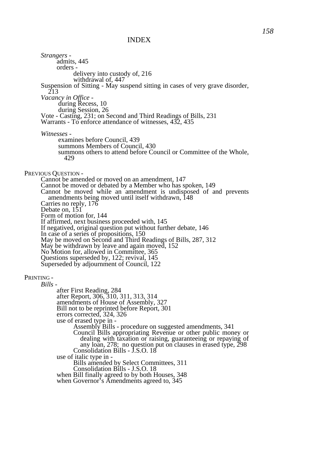*Strangers*  admits, 445 orders delivery into custody of, 216 withdrawal of, 447 Suspension of Sitting *-* May suspend sitting in cases of very grave disorder, 213 *Vacancy in Office*  during Recess, 10 during Session, 26 Vote - Casting, 231; on Second and Third Readings of Bills, 231 Warrants - To enforce attendance of witnesses, 432, 435 *Witnesses*  examines before Council, 439 summons Members of Council, 430 summons others to attend before Council or Committee of the Whole, 429 PREVIOUS QUESTION - Cannot be amended or moved on an amendment, 147 Cannot be moved or debated by a Member who has spoken, 149 Cannot be moved while an amendment is undisposed of and prevents amendments being moved until itself withdrawn, 148 Carries no reply, 176 Debate on, 151 Form of motion for, 144 If affirmed, next business proceeded with, 145 If negatived, original question put without further debate, 146 In case of a series of propositions, 150 May be moved on Second and Third Readings of Bills, 287, 312 May be withdrawn by leave and again moved, 152 No Motion for, allowed in Committee, 365 Questions superseded by, 122; revival, 145 Superseded by adjournment of Council, 122 PRINTING - *Bills*  after First Reading, 284 after Report, 306, 310, 311, 313, 314 amendments of House of Assembly, 327 Bill not to be reprinted before Report, 301 errors corrected, 324, 326 use of erased type in - Assembly Bills - procedure on suggested amendments, 341 Council Bills appropriating Revenue or other public money or dealing with taxation or raising, guaranteeing or repaying of any loan, 278; no question put on clauses in erased type, 298 Consolidation Bills - J.S.O. 18 use of italic type in - Bills amended by Select Committees, 311 Consolidation Bills - J.S.O. 18 when Bill finally agreed to by both Houses, 348 when Governor's Amendments agreed to, 345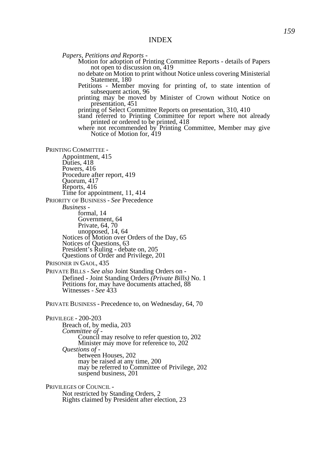*Papers, Petitions and Reports -*

- Motion for adoption of Printing Committee Reports details of Papers not open to discussion on, 419
- no debate on Motion to print without Notice unless covering Ministerial Statement, 180
- Petitions Member moving for printing of, to state intention of subsequent action, 96
- printing may be moved by Minister of Crown without Notice on presentation, 451
- printing of Select Committee Reports on presentation, 310, 410
- stand referred to Printing Committee for report where not already printed or ordered to be printed, 418

where not recommended by Printing Committee, Member may give Notice of Motion for, 419

PRINTING COMMITTEE -

- Appointment, 415 Duties, 418 Powers, 416 Procedure after report, 419 Quorum, 417 Reports, 416 Time for appointment, 11, 414 PRIORITY OF BUSINESS - *See* Precedence *Business*  formal, 14 Government, 64 Private, 64, 70 unopposed, 14, 64 Notices of Motion over Orders of the Day, 65 Notices of Questions, 63 President's Ruling - debate on, 205 Questions of Order and Privilege, 201
- PRISONER IN GAOL, 435
- PRIVATE BILLS *See also* Joint Standing Orders on Defined - Joint Standing Orders *(Private Bills)* No. 1 Petitions for, may have documents attached, 88 Witnesses - *See* 433
- PRIVATE BUSINESS Precedence to, on Wednesday, 64, 70

PRIVILEGE - 200-203 Breach of, by media, 203 *Committee of -* Council may resolve to refer question to, 202 Minister may move for reference to, 202 *Questions of*  between Houses, 202 may be raised at any time, 200 may be referred to Committee of Privilege, 202 suspend business, 201

PRIVILEGES OF COUNCIL - Not restricted by Standing Orders, 2 Rights claimed by President after election, 23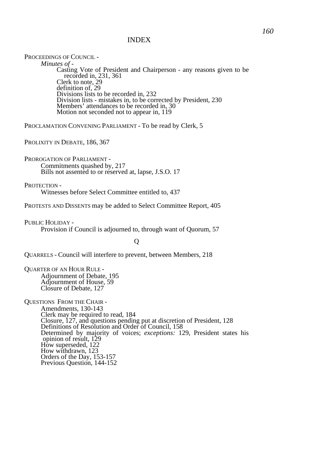PROCEEDINGS OF COUNCIL - *Minutes of -*  Casting Vote of President and Chairperson - any reasons given to be recorded in, 231, 361 Clerk to note, 29 definition of, 29 Divisions lists to be recorded in, 232 Division lists - mistakes in, to be corrected by President, 230 Members' attendances to be recorded in, 30 Motion not seconded not to appear in, 119

PROCLAMATION CONVENING PARLIAMENT - To be read by Clerk, 5

PROLIXITY IN DEBATE, 186, 367

PROROGATION OF PARLIAMENT - Commitments quashed by, 217 Bills not assented to or reserved at, lapse, J.S.O. 17

PROTECTION -

Witnesses before Select Committee entitled to, 437

PROTESTS AND DISSENTS may be added to Select Committee Report, 405

PUBLIC HOLIDAY - Provision if Council is adjourned to, through want of Quorum, 57

Q

QUARRELS - Council will interfere to prevent, between Members, 218

QUARTER OF AN HOUR RULE - Adjournment of Debate, 195 Adjournment of House, 59 Closure of Debate, 127

QUESTIONS FROM THE CHAIR - Amendments, 130-143 Clerk may be required to read, 184 Closure, 127, and questions pending put at discretion of President, 128 Definitions of Resolution and Order of Council, 158 Determined by majority of voices; *exceptions:* 129, President states his opinion of result, 129 How superseded, 122 How withdrawn, 123 Orders of the Day, 153-157 Previous Question, 144-152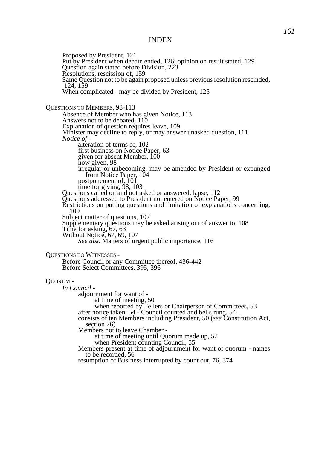Proposed by President, 121 Put by President when debate ended, 126; opinion on result stated, 129 Question again stated before Division, 223 Resolutions, rescission of, 159 Same Question not to be again proposed unless previous resolution rescinded, 124, 159 When complicated - may be divided by President, 125 QUESTIONS TO MEMBERS, 98-113 Absence of Member who has given Notice, 113 Answers not to be debated, 110 Explanation of question requires leave, 109 Minister may decline to reply, or may answer unasked question, 111 *Notice of*  alteration of terms of, 102 first business on Notice Paper, 63 given for absent Member, 100 how given, 98 irregular or unbecoming, may be amended by President or expunged from Notice Paper, 104 postponement of, 101 time for giving, 98, 103 Questions called on and not asked or answered, lapse, 112 Questions addressed to President not entered on Notice Paper, 99 Restrictions on putting questions and limitation of explanations concerning, 109 Subject matter of questions, 107 Supplementary questions may be asked arising out of answer to, 108 Time for asking, 67, 63 Without Notice, 67, 69, 107 *See also* Matters of urgent public importance, 116 QUESTIONS TO WITNESSES - Before Council or any Committee thereof, 436-442 Before Select Committees, 395, 396 QUORUM - *In Council*  adjournment for want of at time of meeting, 50 when reported by Tellers or Chairperson of Committees, 53 after notice taken, 54 - Council counted and bells rung, 54 consists of ten Members including President, 50 (*see* Constitution Act, section 26) Members not to leave Chamber at time of meeting until Quorum made up, 52 when President counting Council, 55 Members present at time of adjournment for want of quorum - names to be recorded, 56 resumption of Business interrupted by count out, 76, 374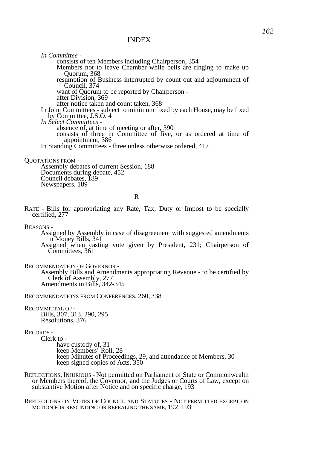*In Committee*  consists of ten Members including Chairperson, 354 Members not to leave Chamber while bells are ringing to make up Quorum, 368 resumption of Business interrupted by count out and adjournment of Council, 374 want of Quorum to be reported by Chairperson after Division, 369 after notice taken and count taken, 368 In Joint Committees *-* subject to minimum fixed by each House, may be fixed by Committee, J.S.O. 4 *In Select Committees*  absence of, at time of meeting or after, 390 consists of three in Committee of five, or as ordered at time of appointment, 386 In Standing Committees *-* three unless otherwise ordered, 417

QUOTATIONS FROM -

Assembly debates of current Session, 188 Documents during debate, 452 Council debates, 189 Newspapers, 189

R

- RATE Bills for appropriating any Rate, Tax, Duty or Impost to be specially certified, 277
- REASONS -

Assigned by Assembly in case of disagreement with suggested amendments in Money Bills, 341

- Assigned when casting vote given by President, 231; Chairperson of Committees, 361
- RECOMMENDATION OF GOVERNOR -

Assembly Bills and Amendments appropriating Revenue - to be certified by Clerk of Assembly, 277 Amendments in Bills, 342-345

RECOMMENDATIONS FROM CONFERENCES, 260, 338

RECOMMITTAL OF -

Bills, 307, 313, 290, 295 Resolutions, 376

RECORDS -

Clerk to have custody of, 31 keep Members' Roll, 28 keep Minutes of Proceedings, 29, and attendance of Members, 30 keep signed copies of Acts, 350

REFLECTIONS, INJURIOUS - Not permitted on Parliament of State or Commonwealth or Members thereof, the Governor, and the Judges or Courts of Law, except on substantive Motion after Notice and on specific charge, 193

REFLECTIONS ON VOTES OF COUNCIL AND STATUTES - NOT PERMITTED EXCEPT ON MOTION FOR RESCINDING OR REPEALING THE SAME, 192, 193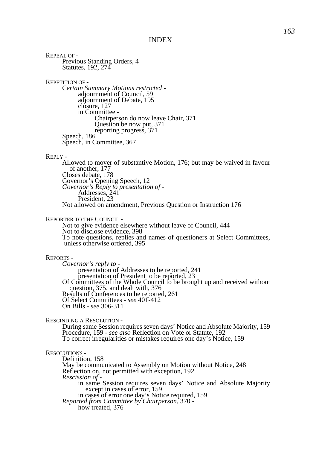REPEAL OF - Previous Standing Orders, 4 Statutes, 192, 274 REPETITION OF - C*ertain Summary Motions restricted*  adiournment of Council, 59 adjournment of Debate, 195 closure, 127 in Committee - Chairperson do now leave Chair, 371 Question be now put, 371 reporting progress, 371 Speech, 186 Speech, in Committee, 367 REPLY - Allowed to mover of substantive Motion, 176; but may be waived in favour of another, 177 Closes debate, 178 Governor's Opening Speech, 12 *Governor's Reply to presentation of -*  Addresses, 241 President, 23 Not allowed on amendment, Previous Question or Instruction 176 REPORTER TO THE COUNCIL - Not to give evidence elsewhere without leave of Council, 444 Not to disclose evidence, 398 To note questions, replies and names of questioners at Select Committees, unless otherwise ordered, 395 REPORTS - *Governor's reply to*  presentation of Addresses to be reported, 241 presentation of President to be reported, 23 Of Committees of the Whole Council to be brought up and received without question, 375, and dealt with, 376 Results of Conferences to be reported, 261 Of Select Committees *- see* 401-412 On Bills - *see* 306-311 RESCINDING A RESOLUTION - During same Session requires seven days' Notice and Absolute Majority, 159 Procedure, 159 - *see also* Reflection on Vote or Statute, 192 To correct irregularities or mistakes requires one day's Notice, 159 RESOLUTIONS - Definition, 158 May be communicated to Assembly on Motion without Notice, 248 Reflection on, not permitted with exception, 192 *Rescission of -* in same Session requires seven days' Notice and Absolute Majority except in cases of error, 159 in cases of error one day's Notice required, 159 *Reported from Committee by Chairperson,* 370 how treated, 376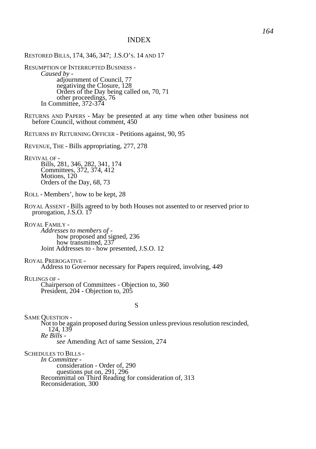RESTORED BILLS, 174, 346, 347; J.S.O'S. 14 AND 17 RESUMPTION OF INTERRUPTED BUSINESS - *Caused by*  adjournment of Council, 77 negativing the Closure, 128 Orders of the Day being called on, 70, 71 other proceedings, 76 In Committee, 372-374 RETURNS AND PAPERS - May be presented at any time when other business not before Council, without comment, 450 RETURNS BY RETURNING OFFICER - Petitions against, 90, 95 REVENUE, THE - Bills appropriating, 277, 278 REVIVAL OF - Bills, 281, 346, 282, 341, 174 Committees, 372, 374, 412 Motions, 120 Orders of the Day, 68, 73 ROLL - Members', how to be kept, 28 ROYAL ASSENT - Bills agreed to by both Houses not assented to or reserved prior to prorogation, J.S.O. 17 ROYAL FAMILY - *Addresses to members of*  how proposed and signed, 236 how transmitted, 237 Joint Addresses to - how presented, J.S.O. 12 ROYAL PREROGATIVE - Address to Governor necessary for Papers required, involving, 449 RULINGS OF - Chairperson of Committees - Objection to, 360 President, 204 - Objection to, 205 S SAME QUESTION - Not to be again proposed during Session unless previous resolution rescinded, 124, 139 *Re Bills see* Amending Act of same Session, 274 SCHEDULES TO BILLS - *In Committee*  consideration - Order of, 290 questions put on, 291, 296

Recommittal on Third Reading for consideration of, 313

Reconsideration, 300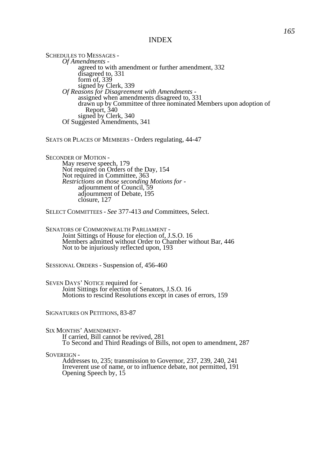SCHEDULES TO MESSAGES -*Of Amendments*  agreed to with amendment or further amendment, 332 disagreed to, 331 form of, 339 signed by Clerk, 339 *Of Reasons for Disagreement with Amendments*  assigned when amendments disagreed to, 331 drawn up by Committee of three nominated Members upon adoption of Report, 340 signed by Clerk, 340 Of Suggested Amendments, 341

SEATS OR PLACES OF MEMBERS - Orders regulating, 44-47

SECONDER OF MOTION - May reserve speech, 179 Not required on Orders of the Day, 154 Not required in Committee, 363 *Restrictions on those seconding Motions for -*  adjournment of Council, 59 adjournment of Debate, 195 closure, 127

SELECT COMMITTEES - *See* 377-413 *and* Committees, Select.

SENATORS OF COMMONWEALTH PARLIAMENT - Joint Sittings of House for election of, J.S.O. 16 Members admitted without Order to Chamber without Bar, 446 Not to be injuriously reflected upon, 193

SESSIONAL ORDERS - Suspension of, 456-460

SEVEN DAYS' NOTICE required for - Joint Sittings for election of Senators, J.S.O. 16 Motions to rescind Resolutions except in cases of errors, 159

SIGNATURES ON PETITIONS, 83-87

#### SIX MONTHS' AMENDMENT-

If carried, Bill cannot be revived, 281 To Second and Third Readings of Bills, not open to amendment, 287

SOVEREIGN -

Addresses to, 235; transmission to Governor, 237, 239, 240, 241 Irreverent use of name, or to influence debate, not permitted, 191 Opening Speech by, 15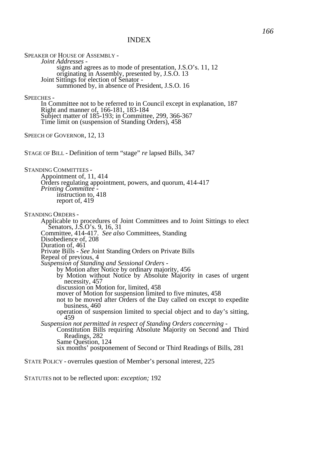SPEAKER OF HOUSE OF ASSEMBLY -*Joint Addresses*  signs and agrees as to mode of presentation, J.S.O's. 11, 12 originating in Assembly, presented by, J.S.O. 13 Joint Sittings for election of Senator summoned by, in absence of President, J.S.O. 16 SPEECHES - In Committee not to be referred to in Council except in explanation, 187 Right and manner of, 166-181, 183-184 Subject matter of 185-193; in Committee, 299, 366-367 Time limit on (suspension of Standing Orders), 458 SPEECH OF GOVERNOR, 12, 13 STAGE OF BILL - Definition of term "stage" *re* lapsed Bills, 347 STANDING COMMITTEES - Appointment of, 11, 414 Orders regulating appointment, powers, and quorum, 414-417 *Printing Committee*  instruction to, 418 report of, 419 STANDING ORDERS - Applicable to procedures of Joint Committees and to Joint Sittings to elect Senators, J.S.O's. 9, 16, 31 Committee, 414-417. *See also* Committees, Standing Disobedience of, 208 Duration of, 461 Private Bills - *See* Joint Standing Orders on Private Bills Repeal of previous, 4 *Suspension of Standing and Sessional Orders*  by Motion after Notice by ordinary majority, 456 by Motion without Notice by Absolute Majority in cases of urgent necessity, 457 discussion on Motion for, limited, 458 mover of Motion for suspension limited to five minutes, 458 not to be moved after Orders of the Day called on except to expedite business, 460 operation of suspension limited to special object and to day's sitting, 459 *Suspension not permitted in respect of Standing Orders concerning -*  Constitution Bills requiring Absolute Majority on Second and Third Readings, 282 Same Question, 124 six months' postponement of Second or Third Readings of Bills, 281 STATE POLICY - overrules question of Member's personal interest, 225

STATUTES not to be reflected upon: *exception;* 192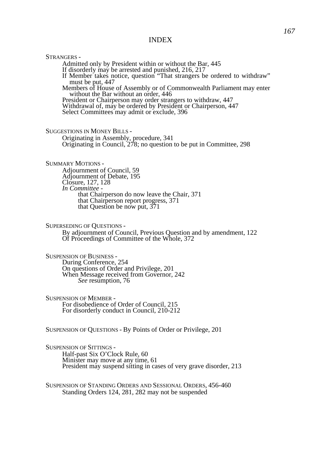STRANGERS - Admitted only by President within or without the Bar, 445 If disorderly may be arrested and punished, 216, 217 If Member takes notice, question "That strangers be ordered to withdraw" must be put, 447 Members of House of Assembly or of Commonwealth Parliament may enter without the Bar without an order, 446 President or Chairperson may order strangers to withdraw, 447 Withdrawal of, may be ordered by President or Chairperson, 447 Select Committees may admit or exclude, 396 SUGGESTIONS IN MONEY BILLS - Originating in Assembly, procedure, 341 Originating in Council, 278; no question to be put in Committee, 298 SUMMARY MOTIONS - Adjournment of Council, 59 Adjournment of Debate, 195 Closure, 127, 128 *In Committee*  that Chairperson do now leave the Chair, 371 that Chairperson report progress, 371 that Question be now put, 371 SUPERSEDING OF QUESTIONS - By adjournment of Council, Previous Question and by amendment, 122 Of Proceedings of Committee of the Whole, 372 SUSPENSION OF BUSINESS - During Conference, 254

On questions of Order and Privilege, 201 When Message received from Governor, 242 *See* resumption, 76

SUSPENSION OF MEMBER - For disobedience of Order of Council, 215 For disorderly conduct in Council, 210-212

SUSPENSION OF QUESTIONS - By Points of Order or Privilege, 201

SUSPENSION OF SITTINGS - Half-past Six O'Clock Rule, 60 Minister may move at any time, 61 President may suspend sitting in cases of very grave disorder, 213

SUSPENSION OF STANDING ORDERS AND SESSIONAL ORDERS, 456-460 Standing Orders 124, 281, 282 may not be suspended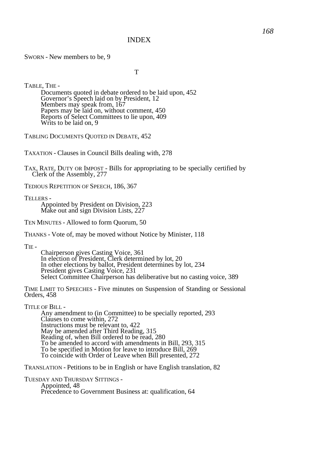SWORN - New members to be, 9

T

TABLE, THE - Documents quoted in debate ordered to be laid upon, 452 Governor's Speech laid on by President, 12 Members may speak from, 167 Papers may be laid on, without comment, 450 Reports of Select Committees to lie upon, 409 Writs to be laid on, 9

TABLING DOCUMENTS QUOTED IN DEBATE, 452

TAXATION - Clauses in Council Bills dealing with, 278

TAX, RATE, DUTY OR IMPOST - Bills for appropriating to be specially certified by Clerk of the Assembly, 277

TEDIOUS REPETITION OF SPEECH, 186, 367

TELLERS -

Appointed by President on Division, 223 Make out and sign Division Lists, 227

TEN MINUTES - Allowed to form Quorum, 50

THANKS - Vote of, may be moved without Notice by Minister, 118

TIE -

Chairperson gives Casting Voice, 361 In election of President, Clerk determined by lot, 20 In other elections by ballot, President determines by lot, 234 President gives Casting Voice, 231 Select Committee Chairperson has deliberative but no casting voice, 389

TIME LIMIT TO SPEECHES - Five minutes on Suspension of Standing or Sessional Orders, 458

TITLE OF BILL -

Any amendment to (in Committee) to be specially reported, 293 Clauses to come within, 272 Instructions must be relevant to, 422 May be amended after Third Reading, 315 Reading of, when Bill ordered to be read, 280 To be amended to accord with amendments in Bill, 293, 315 To be specified in Motion for leave to introduce Bill, 269 To coincide with Order of Leave when Bill presented, 272

TRANSLATION - Petitions to be in English or have English translation, 82

TUESDAY AND THURSDAY SITTINGS - Appointed, 48 Precedence to Government Business at: qualification, 64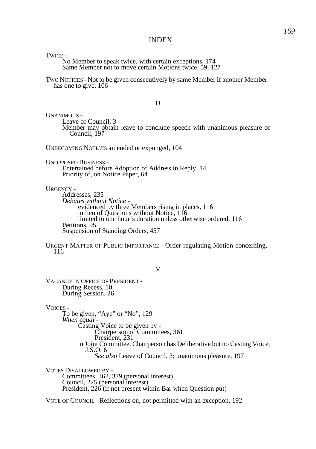TWICE -

No Member to speak twice, with certain exceptions, 174 Same Member not to move certain Motions twice, 59, 127

TWO NOTICES - Not to be given consecutively by same Member if another Member has one to give, 106

 $U$ 

UNANIMOUS - Leave of Council, 3 Member may obtain leave to conclude speech with unanimous pleasure of Council, 197

UNBECOMING NOTICES amended or expunged, 104

UNOPPOSED BUSINESS - Entertained before Adoption of Address in Reply, 14 Priority of, on Notice Paper, 64

URGENCY -

Addresses, 235 *Debates without Notice*  evidenced by three Members rising in places, 116 in lieu of Questions without Notice, 116 limited to one hour's duration unless otherwise ordered, 116 Petitions, 95 Suspension of Standing Orders, 457

URGENT MATTER OF PUBLIC IMPORTANCE - Order regulating Motion concerning, 116

V

VACANCY IN OFFICE OF PRESIDENT - During Recess, 10 During Session, 26

VOICES -

To be given, "Aye" or "No", 129 *When equal -* Casting Voice to be given by - Chairperson of Committees, 361 President, 231 in Joint Committee, Chairperson has Deliberative but no Casting Voice, J.S.O. 6 *See also* Leave of Council, 3; unanimous pleasure, 197

VOTES DISALLOWED BY - Committees, 362, 379 (personal interest) Council, 225 (personal interest) President, 226 (if not present within Bar when Question put)

VOTE OF COUNCIL - Reflections on, not permitted with an exception, 192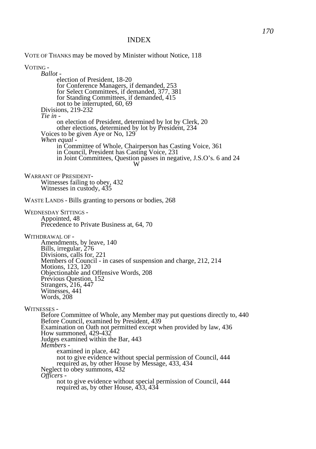VOTE OF THANKS may be moved by Minister without Notice, 118

VOTING - *Ballot*  election of President, 18-20 for Conference Managers, if demanded, 253 for Select Committees, if demanded, 377, 381 for Standing Committees, if demanded, 415 not to be interrupted, 60, 69 Divisions, 219-232 *Tie in*  on election of President, determined by lot by Clerk, 20 other elections, determined by lot by President, 234 Voices to be given Aye or No, 129 *When equal*  in Committee of Whole, Chairperson has Casting Voice, 361 in Council, President has Casting Voice, 231 in Joint Committees, Question passes in negative, J.S.O's. 6 and 24 W WARRANT OF PRESIDENT-Witnesses failing to obey, 432 Witnesses in custody, 435 WASTE LANDS - Bills granting to persons or bodies, 268 WEDNESDAY SITTINGS - Appointed, 48 Precedence to Private Business at, 64, 70 WITHDRAWAL OF - Amendments, by leave, 140 Bills, irregular, 276 Divisions, calls for, 221 Members of Council - in cases of suspension and charge, 212, 214 Motions, 123, 120 Objectionable and Offensive Words, 208 Previous Question, 152 Strangers, 216, 447 Witnesses, 441 Words, 208 WITNESSES - Before Committee of Whole, any Member may put questions directly to, 440 Before Council, examined by President, 439 Examination on Oath not permitted except when provided by law, 436 How summoned, 429-432 Judges examined within the Bar, 443 *Members*  examined in place, 442 not to give evidence without special permission of Council, 444 required as, by other House by Message, 433, 434 Neglect to obey summons, 432 *Officers*  not to give evidence without special permission of Council, 444 required as, by other House, 433, 434